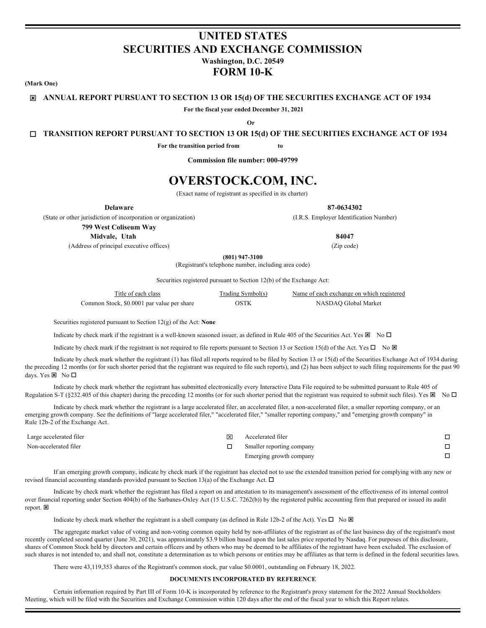# **UNITED STATES SECURITIES AND EXCHANGE COMMISSION Washington, D.C. 20549**

# **FORM 10-K**

**(Mark One)**

#### ý **ANNUAL REPORT PURSUANT TO SECTION 13 OR 15(d) OF THE SECURITIES EXCHANGE ACT OF 1934**

**For the fiscal year ended December 31, 2021**

**Or**

**D TRANSITION REPORT PURSUANT TO SECTION 13 OR 15(d) OF THE SECURITIES EXCHANGE ACT OF 1934** 

**For the transition period from to** 

**Commission file number: 000-49799**

# **OVERSTOCK.COM, INC.**

(Exact name of registrant as specified in its charter)

**Delaware 87-0634302**

(Address of principal executive offices) (Zip code)

**(801) 947-3100**

(Registrant's telephone number, including area code)

Securities registered pursuant to Section 12(b) of the Exchange Act:

| Title of each class                        | Trading Symbol(s) | Name of each exchange on which registered |
|--------------------------------------------|-------------------|-------------------------------------------|
| Common Stock, \$0.0001 par value per share | <b>OSTK</b>       | NASDAO Global Market                      |

Securities registered pursuant to Section 12(g) of the Act: **None**

Indicate by check mark if the registrant is a well-known seasoned issuer, as defined in Rule 405 of the Securities Act. Yes  $\boxtimes$  No  $\square$ 

Indicate by check mark if the registrant is not required to file reports pursuant to Section 13 or Section 15(d) of the Act. Yes  $\Box$  No  $\boxtimes$ 

Indicate by check mark whether the registrant (1) has filed all reports required to be filed by Section 13 or 15(d) of the Securities Exchange Act of 1934 during the preceding 12 months (or for such shorter period that the registrant was required to file such reports), and (2) has been subject to such filing requirements for the past 90 days. Yes  $\boxtimes$  No  $\square$ 

Indicate by check mark whether the registrant has submitted electronically every Interactive Data File required to be submitted pursuant to Rule 405 of Regulation S-T (§232.405 of this chapter) during the preceding 12 months (or for such shorter period that the registrant was required to submit such files). Yes  $\boxtimes$  No  $\square$ 

Indicate by check mark whether the registrant is a large accelerated filer, an accelerated filer, a non-accelerated filer, a smaller reporting company, or an emerging growth company. See the definitions of "large accelerated filer," "accelerated filer," "smaller reporting company," and "emerging growth company" in Rule 12b-2 of the Exchange Act.

| Large accelerated filer | Accelerated filer         |  |
|-------------------------|---------------------------|--|
| Non-accelerated filer   | Smaller reporting company |  |
|                         | Emerging growth company   |  |

If an emerging growth company, indicate by check mark if the registrant has elected not to use the extended transition period for complying with any new or revised financial accounting standards provided pursuant to Section 13(a) of the Exchange Act.  $\Box$ 

Indicate by check mark whether the registrant has filed a report on and attestation to its management's assessment of the effectiveness of its internal control over financial reporting under Section 404(b) of the Sarbanes-Oxley Act (15 U.S.C. 7262(b)) by the registered public accounting firm that prepared or issued its audit report.  $\boxtimes$ 

Indicate by check mark whether the registrant is a shell company (as defined in Rule 12b-2 of the Act). Yes  $\Box$  No  $\boxtimes$ 

The aggregate market value of voting and non-voting common equity held by non-affiliates of the registrant as of the last business day of the registrant's most recently completed second quarter (June 30, 2021), was approximately \$3.9 billion based upon the last sales price reported by Nasdaq. For purposes of this disclosure, shares of Common Stock held by directors and certain officers and by others who may be deemed to be affiliates of the registrant have been excluded. The exclusion of such shares is not intended to, and shall not, constitute a determination as to which persons or entities may be affiliates as that term is defined in the federal securities laws.

There were 43,119,353 shares of the Registrant's common stock, par value \$0.0001, outstanding on February 18, 2022.

#### **DOCUMENTS INCORPORATED BY REFERENCE**

Certain information required by Part III of Form 10-K is incorporated by reference to the Registrant's proxy statement for the 2022 Annual Stockholders Meeting, which will be filed with the Securities and Exchange Commission within 120 days after the end of the fiscal year to which this Report relates.

(State or other jurisdiction of incorporation or organization) (I.R.S. Employer Identification Number)

**799 West Coliseum Way**

**Midvale, Utah 84047**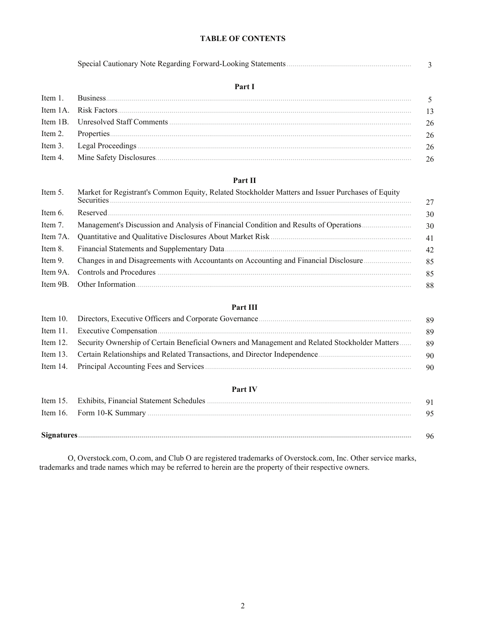## **TABLE OF CONTENTS**

| Special Cautionary Note Regarding Forward-Looking Statements |  |
|--------------------------------------------------------------|--|
|--------------------------------------------------------------|--|

## **Part I**

| Item 1. Business. |      |
|-------------------|------|
|                   | - 13 |
|                   | 26   |
|                   | -26  |
|                   | 26   |
|                   | 26   |

## **Part II**

| Item 5.  | Market for Registrant's Common Equity, Related Stockholder Matters and Issuer Purchases of Equity<br><b>Securities</b> | 27 |
|----------|------------------------------------------------------------------------------------------------------------------------|----|
| Item 6.  | Reserved.                                                                                                              | 30 |
| Item 7.  | Management's Discussion and Analysis of Financial Condition and Results of Operations.                                 | 30 |
| Item 7A. |                                                                                                                        | 41 |
| Item 8.  |                                                                                                                        | 42 |
| Item 9.  | Changes in and Disagreements with Accountants on Accounting and Financial Disclosure                                   | 85 |
| Item 9A. |                                                                                                                        | 85 |
| Item 9B. | Other Information                                                                                                      | 88 |

## **Part III**

| Item 10. Directors, Executive Officers and Corporate Governance.                                        | 89  |
|---------------------------------------------------------------------------------------------------------|-----|
|                                                                                                         | 89  |
| Item 12. Security Ownership of Certain Beneficial Owners and Management and Related Stockholder Matters | -89 |
|                                                                                                         | 90  |
|                                                                                                         | 90  |
|                                                                                                         |     |

## **Part IV**

|  | Q <sub>1</sub> |
|--|----------------|
|  | 95             |
|  |                |
|  | 96             |

O, Overstock.com, O.com, and Club O are registered trademarks of Overstock.com, Inc. Other service marks, trademarks and trade names which may be referred to herein are the property of their respective owners.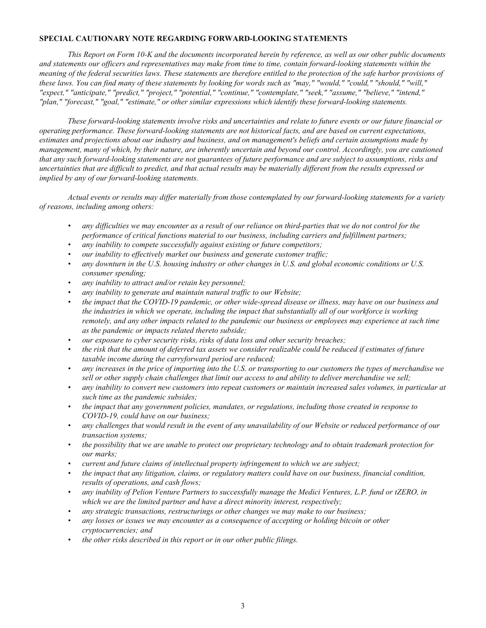## **SPECIAL CAUTIONARY NOTE REGARDING FORWARD-LOOKING STATEMENTS**

*This Report on Form 10-K and the documents incorporated herein by reference, as well as our other public documents and statements our officers and representatives may make from time to time, contain forward-looking statements within the meaning of the federal securities laws. These statements are therefore entitled to the protection of the safe harbor provisions of these laws. You can find many of these statements by looking for words such as "may," "would," "could," "should," "will," "expect," "anticipate," "predict," "project," "potential," "continue," "contemplate," "seek," "assume," "believe," "intend," "plan," "forecast," "goal," "estimate," or other similar expressions which identify these forward-looking statements.*

*These forward-looking statements involve risks and uncertainties and relate to future events or our future financial or operating performance. These forward-looking statements are not historical facts, and are based on current expectations, estimates and projections about our industry and business, and on management's beliefs and certain assumptions made by management, many of which, by their nature, are inherently uncertain and beyond our control. Accordingly, you are cautioned that any such forward-looking statements are not guarantees of future performance and are subject to assumptions, risks and uncertainties that are difficult to predict, and that actual results may be materially different from the results expressed or implied by any of our forward-looking statements.*

*Actual events or results may differ materially from those contemplated by our forward-looking statements for a variety of reasons, including among others:*

- *• any difficulties we may encounter as a result of our reliance on third-parties that we do not control for the performance of critical functions material to our business, including carriers and fulfillment partners;*
- *• any inability to compete successfully against existing or future competitors;*
- *• our inability to effectively market our business and generate customer traffic;*
- *• any downturn in the U.S. housing industry or other changes in U.S. and global economic conditions or U.S. consumer spending;*
- *• any inability to attract and/or retain key personnel;*
- *• any inability to generate and maintain natural traffic to our Website;*
- *• the impact that the COVID-19 pandemic, or other wide-spread disease or illness, may have on our business and the industries in which we operate, including the impact that substantially all of our workforce is working remotely, and any other impacts related to the pandemic our business or employees may experience at such time as the pandemic or impacts related thereto subside;*
- *• our exposure to cyber security risks, risks of data loss and other security breaches;*
- *• the risk that the amount of deferred tax assets we consider realizable could be reduced if estimates of future taxable income during the carryforward period are reduced;*
- *• any increases in the price of importing into the U.S. or transporting to our customers the types of merchandise we sell or other supply chain challenges that limit our access to and ability to deliver merchandise we sell;*
- *• any inability to convert new customers into repeat customers or maintain increased sales volumes, in particular at such time as the pandemic subsides;*
- *• the impact that any government policies, mandates, or regulations, including those created in response to COVID-19, could have on our business;*
- *• any challenges that would result in the event of any unavailability of our Website or reduced performance of our transaction systems;*
- *• the possibility that we are unable to protect our proprietary technology and to obtain trademark protection for our marks;*
- *• current and future claims of intellectual property infringement to which we are subject;*
- *• the impact that any litigation, claims, or regulatory matters could have on our business, financial condition, results of operations, and cash flows;*
- *• any inability of Pelion Venture Partners to successfully manage the Medici Ventures, L.P. fund or tZERO, in which we are the limited partner and have a direct minority interest, respectively;*
- *• any strategic transactions, restructurings or other changes we may make to our business;*
- *• any losses or issues we may encounter as a consequence of accepting or holding bitcoin or other cryptocurrencies; and*
- *• the other risks described in this report or in our other public filings.*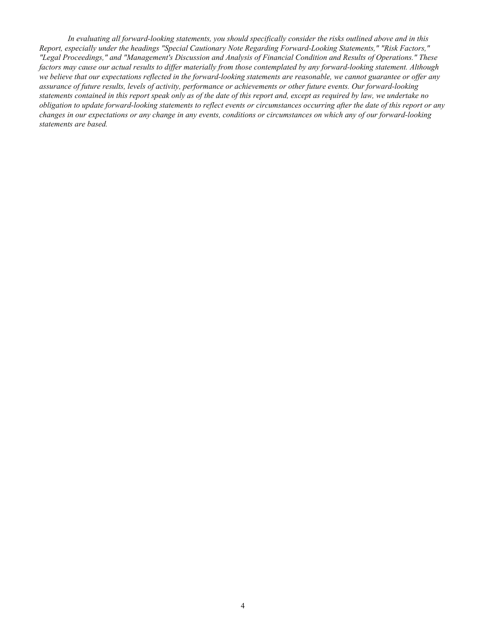*In evaluating all forward-looking statements, you should specifically consider the risks outlined above and in this Report, especially under the headings "Special Cautionary Note Regarding Forward-Looking Statements," "Risk Factors," "Legal Proceedings," and "Management's Discussion and Analysis of Financial Condition and Results of Operations." These factors may cause our actual results to differ materially from those contemplated by any forward-looking statement. Although we believe that our expectations reflected in the forward-looking statements are reasonable, we cannot guarantee or offer any assurance of future results, levels of activity, performance or achievements or other future events. Our forward-looking statements contained in this report speak only as of the date of this report and, except as required by law, we undertake no obligation to update forward-looking statements to reflect events or circumstances occurring after the date of this report or any changes in our expectations or any change in any events, conditions or circumstances on which any of our forward-looking statements are based.*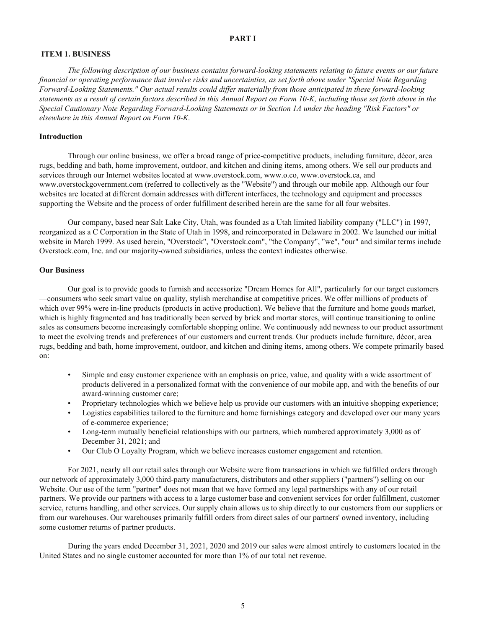## **PART I**

#### **ITEM 1. BUSINESS**

*The following description of our business contains forward-looking statements relating to future events or our future financial or operating performance that involve risks and uncertainties, as set forth above under "Special Note Regarding Forward-Looking Statements." Our actual results could differ materially from those anticipated in these forward-looking statements as a result of certain factors described in this Annual Report on Form 10-K, including those set forth above in the Special Cautionary Note Regarding Forward-Looking Statements or in Section 1A under the heading "Risk Factors" or elsewhere in this Annual Report on Form 10-K.*

## **Introduction**

Through our online business, we offer a broad range of price-competitive products, including furniture, décor, area rugs, bedding and bath, home improvement, outdoor, and kitchen and dining items, among others. We sell our products and services through our Internet websites located at www.overstock.com, www.o.co, www.overstock.ca, and www.overstockgovernment.com (referred to collectively as the "Website") and through our mobile app. Although our four websites are located at different domain addresses with different interfaces, the technology and equipment and processes supporting the Website and the process of order fulfillment described herein are the same for all four websites.

Our company, based near Salt Lake City, Utah, was founded as a Utah limited liability company ("LLC") in 1997, reorganized as a C Corporation in the State of Utah in 1998, and reincorporated in Delaware in 2002. We launched our initial website in March 1999. As used herein, "Overstock", "Overstock.com", "the Company", "we", "our" and similar terms include Overstock.com, Inc. and our majority-owned subsidiaries, unless the context indicates otherwise.

### **Our Business**

Our goal is to provide goods to furnish and accessorize "Dream Homes for All", particularly for our target customers —consumers who seek smart value on quality, stylish merchandise at competitive prices. We offer millions of products of which over 99% were in-line products (products in active production). We believe that the furniture and home goods market, which is highly fragmented and has traditionally been served by brick and mortar stores, will continue transitioning to online sales as consumers become increasingly comfortable shopping online. We continuously add newness to our product assortment to meet the evolving trends and preferences of our customers and current trends. Our products include furniture, décor, area rugs, bedding and bath, home improvement, outdoor, and kitchen and dining items, among others. We compete primarily based on:

- Simple and easy customer experience with an emphasis on price, value, and quality with a wide assortment of products delivered in a personalized format with the convenience of our mobile app, and with the benefits of our award-winning customer care;
- Proprietary technologies which we believe help us provide our customers with an intuitive shopping experience;
- Logistics capabilities tailored to the furniture and home furnishings category and developed over our many years of e-commerce experience;
- Long-term mutually beneficial relationships with our partners, which numbered approximately 3,000 as of December 31, 2021; and
- Our Club O Loyalty Program, which we believe increases customer engagement and retention.

For 2021, nearly all our retail sales through our Website were from transactions in which we fulfilled orders through our network of approximately 3,000 third-party manufacturers, distributors and other suppliers ("partners") selling on our Website. Our use of the term "partner" does not mean that we have formed any legal partnerships with any of our retail partners. We provide our partners with access to a large customer base and convenient services for order fulfillment, customer service, returns handling, and other services. Our supply chain allows us to ship directly to our customers from our suppliers or from our warehouses. Our warehouses primarily fulfill orders from direct sales of our partners' owned inventory, including some customer returns of partner products.

During the years ended December 31, 2021, 2020 and 2019 our sales were almost entirely to customers located in the United States and no single customer accounted for more than 1% of our total net revenue.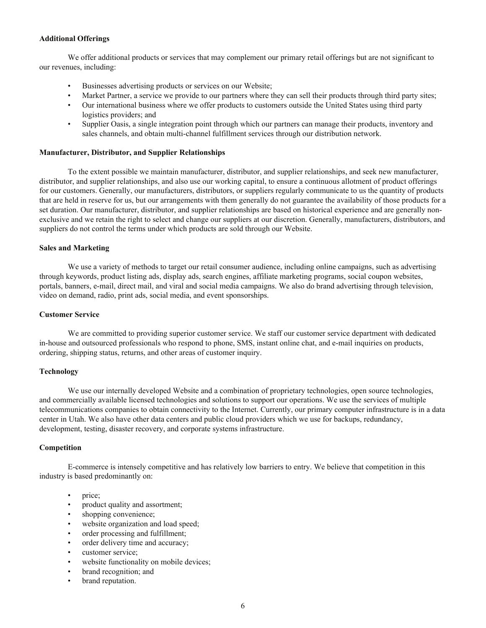## **Additional Offerings**

We offer additional products or services that may complement our primary retail offerings but are not significant to our revenues, including:

- Businesses advertising products or services on our Website;
- Market Partner, a service we provide to our partners where they can sell their products through third party sites;
- Our international business where we offer products to customers outside the United States using third party logistics providers; and
- Supplier Oasis, a single integration point through which our partners can manage their products, inventory and sales channels, and obtain multi-channel fulfillment services through our distribution network.

## **Manufacturer, Distributor, and Supplier Relationships**

To the extent possible we maintain manufacturer, distributor, and supplier relationships, and seek new manufacturer, distributor, and supplier relationships, and also use our working capital, to ensure a continuous allotment of product offerings for our customers. Generally, our manufacturers, distributors, or suppliers regularly communicate to us the quantity of products that are held in reserve for us, but our arrangements with them generally do not guarantee the availability of those products for a set duration. Our manufacturer, distributor, and supplier relationships are based on historical experience and are generally nonexclusive and we retain the right to select and change our suppliers at our discretion. Generally, manufacturers, distributors, and suppliers do not control the terms under which products are sold through our Website.

## **Sales and Marketing**

We use a variety of methods to target our retail consumer audience, including online campaigns, such as advertising through keywords, product listing ads, display ads, search engines, affiliate marketing programs, social coupon websites, portals, banners, e-mail, direct mail, and viral and social media campaigns. We also do brand advertising through television, video on demand, radio, print ads, social media, and event sponsorships.

## **Customer Service**

We are committed to providing superior customer service. We staff our customer service department with dedicated in-house and outsourced professionals who respond to phone, SMS, instant online chat, and e-mail inquiries on products, ordering, shipping status, returns, and other areas of customer inquiry.

## **Technology**

We use our internally developed Website and a combination of proprietary technologies, open source technologies, and commercially available licensed technologies and solutions to support our operations. We use the services of multiple telecommunications companies to obtain connectivity to the Internet. Currently, our primary computer infrastructure is in a data center in Utah. We also have other data centers and public cloud providers which we use for backups, redundancy, development, testing, disaster recovery, and corporate systems infrastructure.

## **Competition**

E-commerce is intensely competitive and has relatively low barriers to entry. We believe that competition in this industry is based predominantly on:

- price;
- product quality and assortment;
- shopping convenience;
- website organization and load speed;
- order processing and fulfillment;
- order delivery time and accuracy;
- customer service:
- website functionality on mobile devices;
- brand recognition; and
- brand reputation.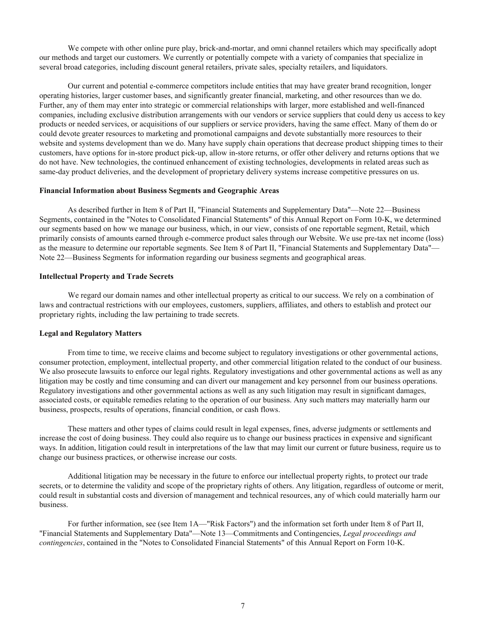We compete with other online pure play, brick-and-mortar, and omni channel retailers which may specifically adopt our methods and target our customers. We currently or potentially compete with a variety of companies that specialize in several broad categories, including discount general retailers, private sales, specialty retailers, and liquidators.

Our current and potential e-commerce competitors include entities that may have greater brand recognition, longer operating histories, larger customer bases, and significantly greater financial, marketing, and other resources than we do. Further, any of them may enter into strategic or commercial relationships with larger, more established and well-financed companies, including exclusive distribution arrangements with our vendors or service suppliers that could deny us access to key products or needed services, or acquisitions of our suppliers or service providers, having the same effect. Many of them do or could devote greater resources to marketing and promotional campaigns and devote substantially more resources to their website and systems development than we do. Many have supply chain operations that decrease product shipping times to their customers, have options for in-store product pick-up, allow in-store returns, or offer other delivery and returns options that we do not have. New technologies, the continued enhancement of existing technologies, developments in related areas such as same-day product deliveries, and the development of proprietary delivery systems increase competitive pressures on us.

#### **Financial Information about Business Segments and Geographic Areas**

As described further in Item 8 of Part II, "Financial Statements and Supplementary Data"—Note 22—Business Segments, contained in the "Notes to Consolidated Financial Statements" of this Annual Report on Form 10-K, we determined our segments based on how we manage our business, which, in our view, consists of one reportable segment, Retail, which primarily consists of amounts earned through e-commerce product sales through our Website. We use pre-tax net income (loss) as the measure to determine our reportable segments. See Item 8 of Part II, "Financial Statements and Supplementary Data"— Note 22—Business Segments for information regarding our business segments and geographical areas.

#### **Intellectual Property and Trade Secrets**

We regard our domain names and other intellectual property as critical to our success. We rely on a combination of laws and contractual restrictions with our employees, customers, suppliers, affiliates, and others to establish and protect our proprietary rights, including the law pertaining to trade secrets.

#### **Legal and Regulatory Matters**

From time to time, we receive claims and become subject to regulatory investigations or other governmental actions, consumer protection, employment, intellectual property, and other commercial litigation related to the conduct of our business. We also prosecute lawsuits to enforce our legal rights. Regulatory investigations and other governmental actions as well as any litigation may be costly and time consuming and can divert our management and key personnel from our business operations. Regulatory investigations and other governmental actions as well as any such litigation may result in significant damages, associated costs, or equitable remedies relating to the operation of our business. Any such matters may materially harm our business, prospects, results of operations, financial condition, or cash flows.

These matters and other types of claims could result in legal expenses, fines, adverse judgments or settlements and increase the cost of doing business. They could also require us to change our business practices in expensive and significant ways. In addition, litigation could result in interpretations of the law that may limit our current or future business, require us to change our business practices, or otherwise increase our costs.

Additional litigation may be necessary in the future to enforce our intellectual property rights, to protect our trade secrets, or to determine the validity and scope of the proprietary rights of others. Any litigation, regardless of outcome or merit, could result in substantial costs and diversion of management and technical resources, any of which could materially harm our business.

For further information, see (see Item 1A—"Risk Factors") and the information set forth under Item 8 of Part II, "Financial Statements and Supplementary Data"—Note 13—Commitments and Contingencies, *Legal proceedings and contingencies*, contained in the "Notes to Consolidated Financial Statements" of this Annual Report on Form 10-K.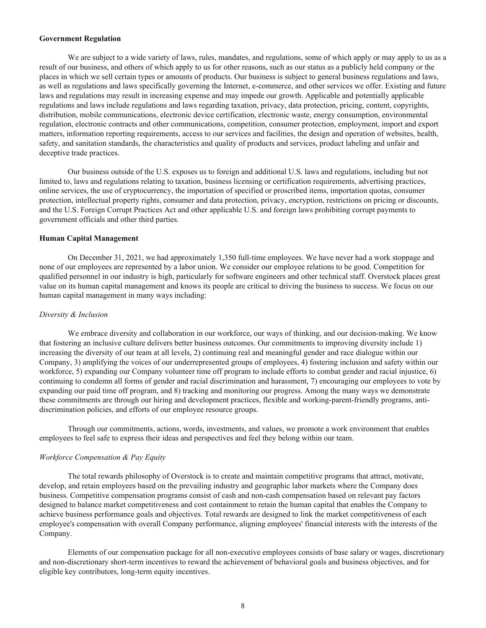## **Government Regulation**

We are subject to a wide variety of laws, rules, mandates, and regulations, some of which apply or may apply to us as a result of our business, and others of which apply to us for other reasons, such as our status as a publicly held company or the places in which we sell certain types or amounts of products. Our business is subject to general business regulations and laws, as well as regulations and laws specifically governing the Internet, e-commerce, and other services we offer. Existing and future laws and regulations may result in increasing expense and may impede our growth. Applicable and potentially applicable regulations and laws include regulations and laws regarding taxation, privacy, data protection, pricing, content, copyrights, distribution, mobile communications, electronic device certification, electronic waste, energy consumption, environmental regulation, electronic contracts and other communications, competition, consumer protection, employment, import and export matters, information reporting requirements, access to our services and facilities, the design and operation of websites, health, safety, and sanitation standards, the characteristics and quality of products and services, product labeling and unfair and deceptive trade practices.

Our business outside of the U.S. exposes us to foreign and additional U.S. laws and regulations, including but not limited to, laws and regulations relating to taxation, business licensing or certification requirements, advertising practices, online services, the use of cryptocurrency, the importation of specified or proscribed items, importation quotas, consumer protection, intellectual property rights, consumer and data protection, privacy, encryption, restrictions on pricing or discounts, and the U.S. Foreign Corrupt Practices Act and other applicable U.S. and foreign laws prohibiting corrupt payments to government officials and other third parties.

#### **Human Capital Management**

On December 31, 2021, we had approximately 1,350 full-time employees. We have never had a work stoppage and none of our employees are represented by a labor union. We consider our employee relations to be good. Competition for qualified personnel in our industry is high, particularly for software engineers and other technical staff. Overstock places great value on its human capital management and knows its people are critical to driving the business to success. We focus on our human capital management in many ways including:

## *Diversity & Inclusion*

We embrace diversity and collaboration in our workforce, our ways of thinking, and our decision-making. We know that fostering an inclusive culture delivers better business outcomes. Our commitments to improving diversity include 1) increasing the diversity of our team at all levels, 2) continuing real and meaningful gender and race dialogue within our Company, 3) amplifying the voices of our underrepresented groups of employees, 4) fostering inclusion and safety within our workforce, 5) expanding our Company volunteer time off program to include efforts to combat gender and racial injustice, 6) continuing to condemn all forms of gender and racial discrimination and harassment, 7) encouraging our employees to vote by expanding our paid time off program, and 8) tracking and monitoring our progress. Among the many ways we demonstrate these commitments are through our hiring and development practices, flexible and working-parent-friendly programs, antidiscrimination policies, and efforts of our employee resource groups.

Through our commitments, actions, words, investments, and values, we promote a work environment that enables employees to feel safe to express their ideas and perspectives and feel they belong within our team.

## *Workforce Compensation & Pay Equity*

The total rewards philosophy of Overstock is to create and maintain competitive programs that attract, motivate, develop, and retain employees based on the prevailing industry and geographic labor markets where the Company does business. Competitive compensation programs consist of cash and non-cash compensation based on relevant pay factors designed to balance market competitiveness and cost containment to retain the human capital that enables the Company to achieve business performance goals and objectives. Total rewards are designed to link the market competitiveness of each employee's compensation with overall Company performance, aligning employees' financial interests with the interests of the Company.

Elements of our compensation package for all non-executive employees consists of base salary or wages, discretionary and non-discretionary short-term incentives to reward the achievement of behavioral goals and business objectives, and for eligible key contributors, long-term equity incentives.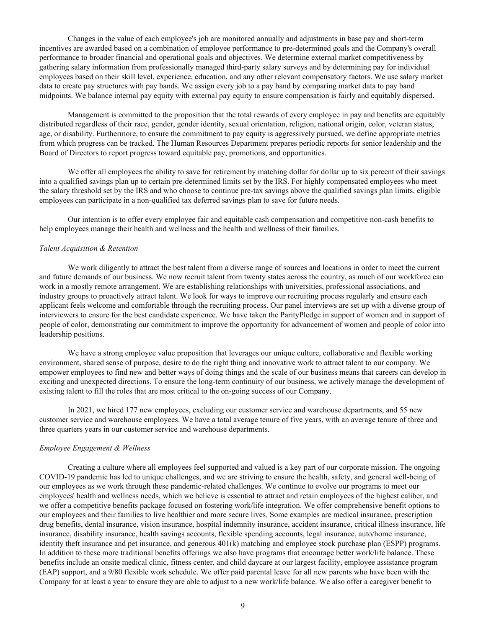Changes in the value of each employee's job are monitored annually and adjustments in base pay and short-term incentives are awarded based on a combination of employee performance to pre-determined goals and the Company's overall performance to broader financial and operational goals and objectives. We determine external market competitiveness by gathering salary information from professionally managed third-party salary surveys and by determining pay for individual employees based on their skill level, experience, education, and any other relevant compensatory factors. We use salary market data to create pay structures with pay bands. We assign every job to a pay band by comparing market data to pay band midpoints. We balance internal pay equity with external pay equity to ensure compensation is fairly and equitably dispersed.

Management is committed to the proposition that the total rewards of every employee in pay and benefits are equitably distributed regardless of their race, gender, gender identity, sexual orientation, religion, national origin, color, veteran status, age, or disability. Furthermore, to ensure the commitment to pay equity is aggressively pursued, we define appropriate metrics from which progress can be tracked. The Human Resources Department prepares periodic reports for senior leadership and the Board of Directors to report progress toward equitable pay, promotions, and opportunities.

We offer all employees the ability to save for retirement by matching dollar for dollar up to six percent of their savings into a qualified savings plan up to certain pre-determined limits set by the IRS. For highly compensated employees who meet the salary threshold set by the IRS and who choose to continue pre-tax savings above the qualified savings plan limits, eligible employees can participate in a non-qualified tax deferred savings plan to save for future needs.

Our intention is to offer every employee fair and equitable cash compensation and competitive non-cash benefits to help employees manage their health and wellness and the health and wellness of their families.

#### *Talent Acquisition & Retention*

We work diligently to attract the best talent from a diverse range of sources and locations in order to meet the current and future demands of our business. We now recruit talent from twenty states across the country, as much of our workforce can work in a mostly remote arrangement. We are establishing relationships with universities, professional associations, and industry groups to proactively attract talent. We look for ways to improve our recruiting process regularly and ensure each applicant feels welcome and comfortable through the recruiting process. Our panel interviews are set up with a diverse group of interviewers to ensure for the best candidate experience. We have taken the ParityPledge in support of women and in support of people of color, demonstrating our commitment to improve the opportunity for advancement of women and people of color into leadership positions.

We have a strong employee value proposition that leverages our unique culture, collaborative and flexible working environment, shared sense of purpose, desire to do the right thing and innovative work to attract talent to our company. We empower employees to find new and better ways of doing things and the scale of our business means that careers can develop in exciting and unexpected directions. To ensure the long-term continuity of our business, we actively manage the development of existing talent to fill the roles that are most critical to the on-going success of our Company.

In 2021, we hired 177 new employees, excluding our customer service and warehouse departments, and 55 new customer service and warehouse employees. We have a total average tenure of five years, with an average tenure of three and three quarters years in our customer service and warehouse departments.

#### *Employee Engagement & Wellness*

Creating a culture where all employees feel supported and valued is a key part of our corporate mission. The ongoing COVID-19 pandemic has led to unique challenges, and we are striving to ensure the health, safety, and general well-being of our employees as we work through these pandemic-related challenges. We continue to evolve our programs to meet our employees' health and wellness needs, which we believe is essential to attract and retain employees of the highest caliber, and we offer a competitive benefits package focused on fostering work/life integration. We offer comprehensive benefit options to our employees and their families to live healthier and more secure lives. Some examples are medical insurance, prescription drug benefits, dental insurance, vision insurance, hospital indemnity insurance, accident insurance, critical illness insurance, life insurance, disability insurance, health savings accounts, flexible spending accounts, legal insurance, auto/home insurance, identity theft insurance and pet insurance, and generous 401(k) matching and employee stock purchase plan (ESPP) programs. In addition to these more traditional benefits offerings we also have programs that encourage better work/life balance. These benefits include an onsite medical clinic, fitness center, and child daycare at our largest facility, employee assistance program (EAP) support, and a 9/80 flexible work schedule. We offer paid parental leave for all new parents who have been with the Company for at least a year to ensure they are able to adjust to a new work/life balance. We also offer a caregiver benefit to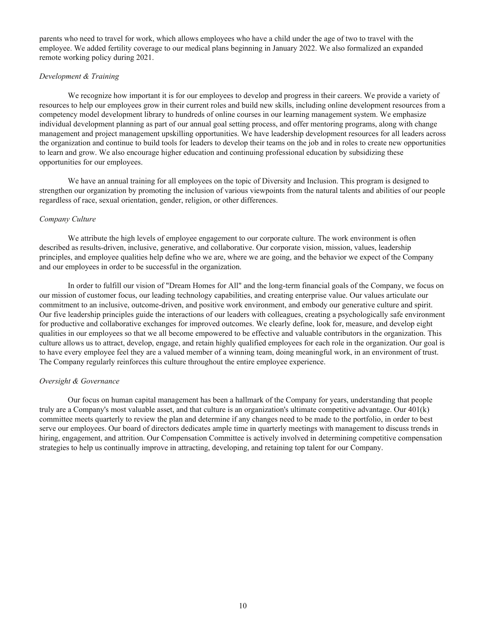parents who need to travel for work, which allows employees who have a child under the age of two to travel with the employee. We added fertility coverage to our medical plans beginning in January 2022. We also formalized an expanded remote working policy during 2021.

## *Development & Training*

We recognize how important it is for our employees to develop and progress in their careers. We provide a variety of resources to help our employees grow in their current roles and build new skills, including online development resources from a competency model development library to hundreds of online courses in our learning management system. We emphasize individual development planning as part of our annual goal setting process, and offer mentoring programs, along with change management and project management upskilling opportunities. We have leadership development resources for all leaders across the organization and continue to build tools for leaders to develop their teams on the job and in roles to create new opportunities to learn and grow. We also encourage higher education and continuing professional education by subsidizing these opportunities for our employees.

We have an annual training for all employees on the topic of Diversity and Inclusion. This program is designed to strengthen our organization by promoting the inclusion of various viewpoints from the natural talents and abilities of our people regardless of race, sexual orientation, gender, religion, or other differences.

## *Company Culture*

We attribute the high levels of employee engagement to our corporate culture. The work environment is often described as results-driven, inclusive, generative, and collaborative. Our corporate vision, mission, values, leadership principles, and employee qualities help define who we are, where we are going, and the behavior we expect of the Company and our employees in order to be successful in the organization.

In order to fulfill our vision of "Dream Homes for All" and the long-term financial goals of the Company, we focus on our mission of customer focus, our leading technology capabilities, and creating enterprise value. Our values articulate our commitment to an inclusive, outcome-driven, and positive work environment, and embody our generative culture and spirit. Our five leadership principles guide the interactions of our leaders with colleagues, creating a psychologically safe environment for productive and collaborative exchanges for improved outcomes. We clearly define, look for, measure, and develop eight qualities in our employees so that we all become empowered to be effective and valuable contributors in the organization. This culture allows us to attract, develop, engage, and retain highly qualified employees for each role in the organization. Our goal is to have every employee feel they are a valued member of a winning team, doing meaningful work, in an environment of trust. The Company regularly reinforces this culture throughout the entire employee experience.

## *Oversight & Governance*

Our focus on human capital management has been a hallmark of the Company for years, understanding that people truly are a Company's most valuable asset, and that culture is an organization's ultimate competitive advantage. Our 401(k) committee meets quarterly to review the plan and determine if any changes need to be made to the portfolio, in order to best serve our employees. Our board of directors dedicates ample time in quarterly meetings with management to discuss trends in hiring, engagement, and attrition. Our Compensation Committee is actively involved in determining competitive compensation strategies to help us continually improve in attracting, developing, and retaining top talent for our Company.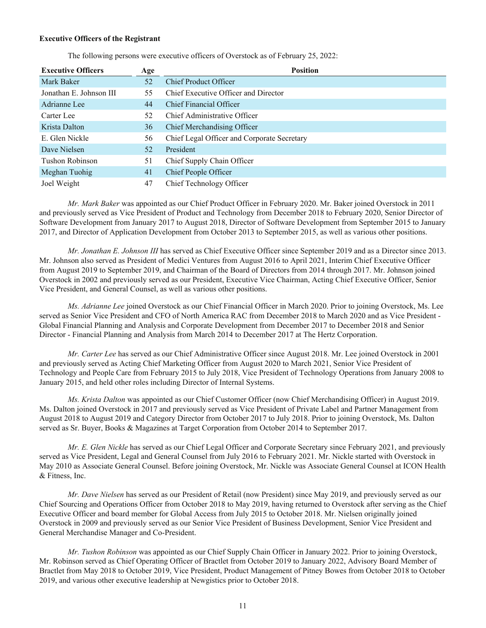## **Executive Officers of the Registrant**

| <b>Executive Officers</b> | Age | <b>Position</b>                             |
|---------------------------|-----|---------------------------------------------|
| Mark Baker                | 52  | <b>Chief Product Officer</b>                |
| Jonathan E. Johnson III   | 55  | Chief Executive Officer and Director        |
| Adrianne Lee              | 44  | Chief Financial Officer                     |
| Carter Lee                | 52  | Chief Administrative Officer                |
| Krista Dalton             | 36  | <b>Chief Merchandising Officer</b>          |
| E. Glen Nickle            | 56  | Chief Legal Officer and Corporate Secretary |
| Dave Nielsen              | 52  | President                                   |
| <b>Tushon Robinson</b>    | 51  | Chief Supply Chain Officer                  |
| Meghan Tuohig             | 41  | Chief People Officer                        |
| Joel Weight               | 47  | Chief Technology Officer                    |

The following persons were executive officers of Overstock as of February 25, 2022:

*Mr. Mark Baker* was appointed as our Chief Product Officer in February 2020. Mr. Baker joined Overstock in 2011 and previously served as Vice President of Product and Technology from December 2018 to February 2020, Senior Director of Software Development from January 2017 to August 2018, Director of Software Development from September 2015 to January 2017, and Director of Application Development from October 2013 to September 2015, as well as various other positions.

*Mr. Jonathan E. Johnson III* has served as Chief Executive Officer since September 2019 and as a Director since 2013. Mr. Johnson also served as President of Medici Ventures from August 2016 to April 2021, Interim Chief Executive Officer from August 2019 to September 2019, and Chairman of the Board of Directors from 2014 through 2017. Mr. Johnson joined Overstock in 2002 and previously served as our President, Executive Vice Chairman, Acting Chief Executive Officer, Senior Vice President, and General Counsel, as well as various other positions.

*Ms. Adrianne Lee* joined Overstock as our Chief Financial Officer in March 2020. Prior to joining Overstock, Ms. Lee served as Senior Vice President and CFO of North America RAC from December 2018 to March 2020 and as Vice President - Global Financial Planning and Analysis and Corporate Development from December 2017 to December 2018 and Senior Director - Financial Planning and Analysis from March 2014 to December 2017 at The Hertz Corporation.

*Mr. Carter Lee* has served as our Chief Administrative Officer since August 2018. Mr. Lee joined Overstock in 2001 and previously served as Acting Chief Marketing Officer from August 2020 to March 2021, Senior Vice President of Technology and People Care from February 2015 to July 2018, Vice President of Technology Operations from January 2008 to January 2015, and held other roles including Director of Internal Systems.

*Ms. Krista Dalton* was appointed as our Chief Customer Officer (now Chief Merchandising Officer) in August 2019. Ms. Dalton joined Overstock in 2017 and previously served as Vice President of Private Label and Partner Management from August 2018 to August 2019 and Category Director from October 2017 to July 2018. Prior to joining Overstock, Ms. Dalton served as Sr. Buyer, Books & Magazines at Target Corporation from October 2014 to September 2017.

*Mr. E. Glen Nickle* has served as our Chief Legal Officer and Corporate Secretary since February 2021, and previously served as Vice President, Legal and General Counsel from July 2016 to February 2021. Mr. Nickle started with Overstock in May 2010 as Associate General Counsel. Before joining Overstock, Mr. Nickle was Associate General Counsel at ICON Health & Fitness, Inc.

*Mr. Dave Nielsen* has served as our President of Retail (now President) since May 2019, and previously served as our Chief Sourcing and Operations Officer from October 2018 to May 2019, having returned to Overstock after serving as the Chief Executive Officer and board member for Global Access from July 2015 to October 2018. Mr. Nielsen originally joined Overstock in 2009 and previously served as our Senior Vice President of Business Development, Senior Vice President and General Merchandise Manager and Co-President.

*Mr. Tushon Robinson* was appointed as our Chief Supply Chain Officer in January 2022. Prior to joining Overstock, Mr. Robinson served as Chief Operating Officer of Bractlet from October 2019 to January 2022, Advisory Board Member of Bractlet from May 2018 to October 2019, Vice President, Product Management of Pitney Bowes from October 2018 to October 2019, and various other executive leadership at Newgistics prior to October 2018.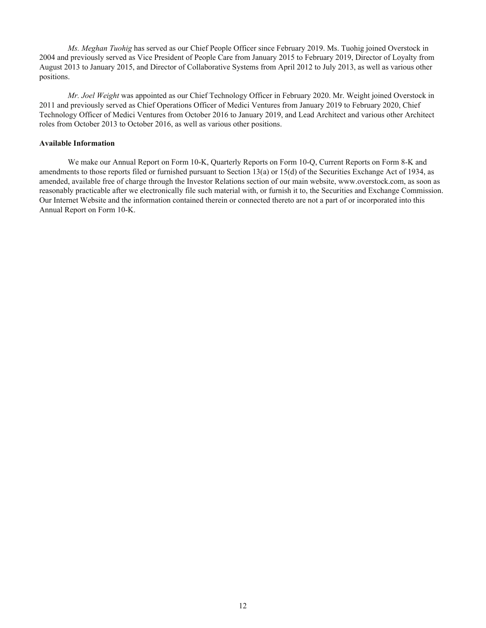*Ms. Meghan Tuohig* has served as our Chief People Officer since February 2019. Ms. Tuohig joined Overstock in 2004 and previously served as Vice President of People Care from January 2015 to February 2019, Director of Loyalty from August 2013 to January 2015, and Director of Collaborative Systems from April 2012 to July 2013, as well as various other positions.

*Mr. Joel Weight* was appointed as our Chief Technology Officer in February 2020. Mr. Weight joined Overstock in 2011 and previously served as Chief Operations Officer of Medici Ventures from January 2019 to February 2020, Chief Technology Officer of Medici Ventures from October 2016 to January 2019, and Lead Architect and various other Architect roles from October 2013 to October 2016, as well as various other positions.

## **Available Information**

We make our Annual Report on Form 10-K, Quarterly Reports on Form 10-Q, Current Reports on Form 8-K and amendments to those reports filed or furnished pursuant to Section 13(a) or 15(d) of the Securities Exchange Act of 1934, as amended, available free of charge through the Investor Relations section of our main website, www.overstock.com, as soon as reasonably practicable after we electronically file such material with, or furnish it to, the Securities and Exchange Commission. Our Internet Website and the information contained therein or connected thereto are not a part of or incorporated into this Annual Report on Form 10-K.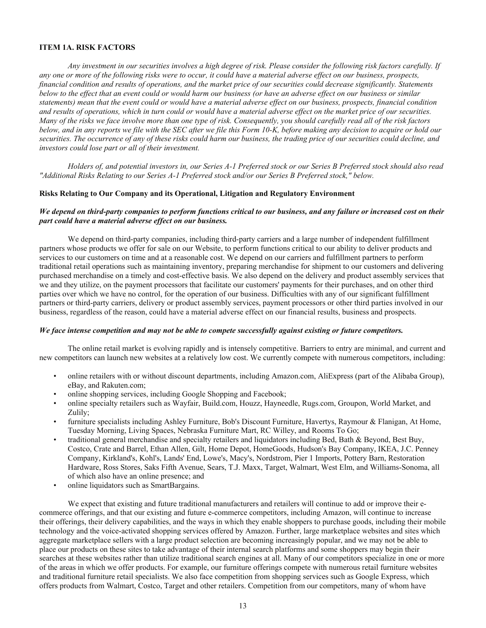## **ITEM 1A. RISK FACTORS**

*Any investment in our securities involves a high degree of risk. Please consider the following risk factors carefully. If any one or more of the following risks were to occur, it could have a material adverse effect on our business, prospects, financial condition and results of operations, and the market price of our securities could decrease significantly. Statements below to the effect that an event could or would harm our business (or have an adverse effect on our business or similar statements) mean that the event could or would have a material adverse effect on our business, prospects, financial condition and results of operations, which in turn could or would have a material adverse effect on the market price of our securities. Many of the risks we face involve more than one type of risk. Consequently, you should carefully read all of the risk factors below, and in any reports we file with the SEC after we file this Form 10-K, before making any decision to acquire or hold our securities. The occurrence of any of these risks could harm our business, the trading price of our securities could decline, and investors could lose part or all of their investment.*

*Holders of, and potential investors in, our Series A-1 Preferred stock or our Series B Preferred stock should also read "Additional Risks Relating to our Series A-1 Preferred stock and/or our Series B Preferred stock," below.*

#### **Risks Relating to Our Company and its Operational, Litigation and Regulatory Environment**

## *We depend on third-party companies to perform functions critical to our business, and any failure or increased cost on their part could have a material adverse effect on our business.*

We depend on third-party companies, including third-party carriers and a large number of independent fulfillment partners whose products we offer for sale on our Website, to perform functions critical to our ability to deliver products and services to our customers on time and at a reasonable cost. We depend on our carriers and fulfillment partners to perform traditional retail operations such as maintaining inventory, preparing merchandise for shipment to our customers and delivering purchased merchandise on a timely and cost-effective basis. We also depend on the delivery and product assembly services that we and they utilize, on the payment processors that facilitate our customers' payments for their purchases, and on other third parties over which we have no control, for the operation of our business. Difficulties with any of our significant fulfillment partners or third-party carriers, delivery or product assembly services, payment processors or other third parties involved in our business, regardless of the reason, could have a material adverse effect on our financial results, business and prospects.

#### *We face intense competition and may not be able to compete successfully against existing or future competitors.*

The online retail market is evolving rapidly and is intensely competitive. Barriers to entry are minimal, and current and new competitors can launch new websites at a relatively low cost. We currently compete with numerous competitors, including:

- online retailers with or without discount departments, including Amazon.com, AliExpress (part of the Alibaba Group), eBay, and Rakuten.com;
- online shopping services, including Google Shopping and Facebook;
- online specialty retailers such as Wayfair, Build.com, Houzz, Hayneedle, Rugs.com, Groupon, World Market, and Zulily;
- furniture specialists including Ashley Furniture, Bob's Discount Furniture, Havertys, Raymour & Flanigan, At Home, Tuesday Morning, Living Spaces, Nebraska Furniture Mart, RC Willey, and Rooms To Go;
- traditional general merchandise and specialty retailers and liquidators including Bed, Bath & Beyond, Best Buy, Costco, Crate and Barrel, Ethan Allen, Gilt, Home Depot, HomeGoods, Hudson's Bay Company, IKEA, J.C. Penney Company, Kirkland's, Kohl's, Lands' End, Lowe's, Macy's, Nordstrom, Pier 1 Imports, Pottery Barn, Restoration Hardware, Ross Stores, Saks Fifth Avenue, Sears, T.J. Maxx, Target, Walmart, West Elm, and Williams-Sonoma, all of which also have an online presence; and
- online liquidators such as SmartBargains.

We expect that existing and future traditional manufacturers and retailers will continue to add or improve their ecommerce offerings, and that our existing and future e-commerce competitors, including Amazon, will continue to increase their offerings, their delivery capabilities, and the ways in which they enable shoppers to purchase goods, including their mobile technology and the voice-activated shopping services offered by Amazon. Further, large marketplace websites and sites which aggregate marketplace sellers with a large product selection are becoming increasingly popular, and we may not be able to place our products on these sites to take advantage of their internal search platforms and some shoppers may begin their searches at these websites rather than utilize traditional search engines at all. Many of our competitors specialize in one or more of the areas in which we offer products. For example, our furniture offerings compete with numerous retail furniture websites and traditional furniture retail specialists. We also face competition from shopping services such as Google Express, which offers products from Walmart, Costco, Target and other retailers. Competition from our competitors, many of whom have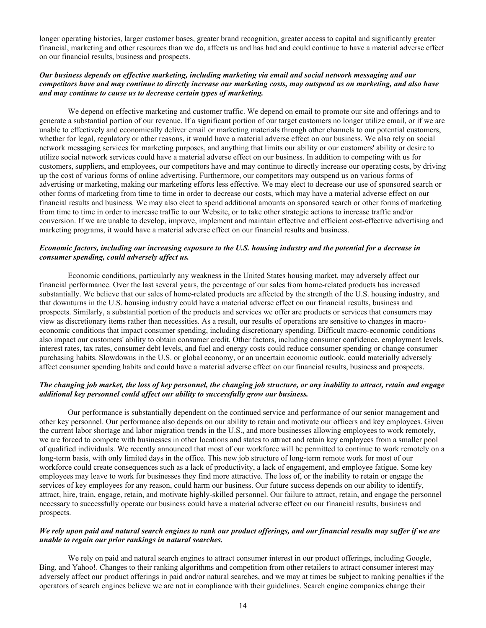longer operating histories, larger customer bases, greater brand recognition, greater access to capital and significantly greater financial, marketing and other resources than we do, affects us and has had and could continue to have a material adverse effect on our financial results, business and prospects.

## *Our business depends on effective marketing, including marketing via email and social network messaging and our competitors have and may continue to directly increase our marketing costs, may outspend us on marketing, and also have and may continue to cause us to decrease certain types of marketing.*

We depend on effective marketing and customer traffic. We depend on email to promote our site and offerings and to generate a substantial portion of our revenue. If a significant portion of our target customers no longer utilize email, or if we are unable to effectively and economically deliver email or marketing materials through other channels to our potential customers, whether for legal, regulatory or other reasons, it would have a material adverse effect on our business. We also rely on social network messaging services for marketing purposes, and anything that limits our ability or our customers' ability or desire to utilize social network services could have a material adverse effect on our business. In addition to competing with us for customers, suppliers, and employees, our competitors have and may continue to directly increase our operating costs, by driving up the cost of various forms of online advertising. Furthermore, our competitors may outspend us on various forms of advertising or marketing, making our marketing efforts less effective. We may elect to decrease our use of sponsored search or other forms of marketing from time to time in order to decrease our costs, which may have a material adverse effect on our financial results and business. We may also elect to spend additional amounts on sponsored search or other forms of marketing from time to time in order to increase traffic to our Website, or to take other strategic actions to increase traffic and/or conversion. If we are unable to develop, improve, implement and maintain effective and efficient cost-effective advertising and marketing programs, it would have a material adverse effect on our financial results and business.

## *Economic factors, including our increasing exposure to the U.S. housing industry and the potential for a decrease in consumer spending, could adversely affect us.*

Economic conditions, particularly any weakness in the United States housing market, may adversely affect our financial performance. Over the last several years, the percentage of our sales from home-related products has increased substantially. We believe that our sales of home-related products are affected by the strength of the U.S. housing industry, and that downturns in the U.S. housing industry could have a material adverse effect on our financial results, business and prospects. Similarly, a substantial portion of the products and services we offer are products or services that consumers may view as discretionary items rather than necessities. As a result, our results of operations are sensitive to changes in macroeconomic conditions that impact consumer spending, including discretionary spending. Difficult macro-economic conditions also impact our customers' ability to obtain consumer credit. Other factors, including consumer confidence, employment levels, interest rates, tax rates, consumer debt levels, and fuel and energy costs could reduce consumer spending or change consumer purchasing habits. Slowdowns in the U.S. or global economy, or an uncertain economic outlook, could materially adversely affect consumer spending habits and could have a material adverse effect on our financial results, business and prospects.

## *The changing job market, the loss of key personnel, the changing job structure, or any inability to attract, retain and engage additional key personnel could affect our ability to successfully grow our business.*

Our performance is substantially dependent on the continued service and performance of our senior management and other key personnel. Our performance also depends on our ability to retain and motivate our officers and key employees. Given the current labor shortage and labor migration trends in the U.S., and more businesses allowing employees to work remotely, we are forced to compete with businesses in other locations and states to attract and retain key employees from a smaller pool of qualified individuals. We recently announced that most of our workforce will be permitted to continue to work remotely on a long-term basis, with only limited days in the office. This new job structure of long-term remote work for most of our workforce could create consequences such as a lack of productivity, a lack of engagement, and employee fatigue. Some key employees may leave to work for businesses they find more attractive. The loss of, or the inability to retain or engage the services of key employees for any reason, could harm our business. Our future success depends on our ability to identify, attract, hire, train, engage, retain, and motivate highly-skilled personnel. Our failure to attract, retain, and engage the personnel necessary to successfully operate our business could have a material adverse effect on our financial results, business and prospects.

## *We rely upon paid and natural search engines to rank our product offerings, and our financial results may suffer if we are unable to regain our prior rankings in natural searches.*

We rely on paid and natural search engines to attract consumer interest in our product offerings, including Google, Bing, and Yahoo!. Changes to their ranking algorithms and competition from other retailers to attract consumer interest may adversely affect our product offerings in paid and/or natural searches, and we may at times be subject to ranking penalties if the operators of search engines believe we are not in compliance with their guidelines. Search engine companies change their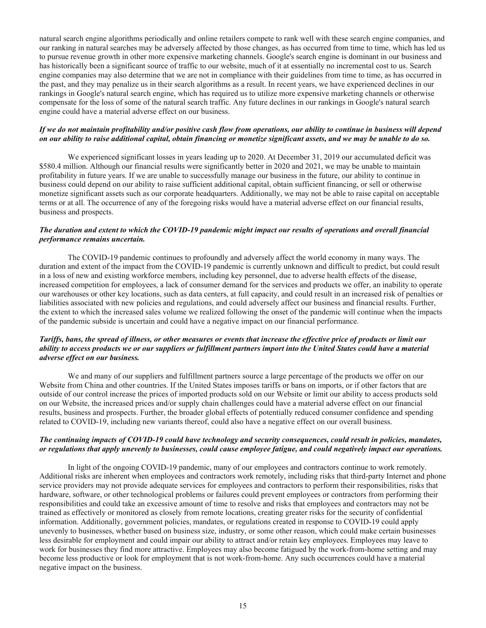natural search engine algorithms periodically and online retailers compete to rank well with these search engine companies, and our ranking in natural searches may be adversely affected by those changes, as has occurred from time to time, which has led us to pursue revenue growth in other more expensive marketing channels. Google's search engine is dominant in our business and has historically been a significant source of traffic to our website, much of it at essentially no incremental cost to us. Search engine companies may also determine that we are not in compliance with their guidelines from time to time, as has occurred in the past, and they may penalize us in their search algorithms as a result. In recent years, we have experienced declines in our rankings in Google's natural search engine, which has required us to utilize more expensive marketing channels or otherwise compensate for the loss of some of the natural search traffic. Any future declines in our rankings in Google's natural search engine could have a material adverse effect on our business.

## *If we do not maintain profitability and/or positive cash flow from operations, our ability to continue in business will depend on our ability to raise additional capital, obtain financing or monetize significant assets, and we may be unable to do so.*

We experienced significant losses in years leading up to 2020. At December 31, 2019 our accumulated deficit was \$580.4 million. Although our financial results were significantly better in 2020 and 2021, we may be unable to maintain profitability in future years. If we are unable to successfully manage our business in the future, our ability to continue in business could depend on our ability to raise sufficient additional capital, obtain sufficient financing, or sell or otherwise monetize significant assets such as our corporate headquarters. Additionally, we may not be able to raise capital on acceptable terms or at all. The occurrence of any of the foregoing risks would have a material adverse effect on our financial results, business and prospects.

## *The duration and extent to which the COVID-19 pandemic might impact our results of operations and overall financial performance remains uncertain.*

The COVID-19 pandemic continues to profoundly and adversely affect the world economy in many ways. The duration and extent of the impact from the COVID-19 pandemic is currently unknown and difficult to predict, but could result in a loss of new and existing workforce members, including key personnel, due to adverse health effects of the disease, increased competition for employees, a lack of consumer demand for the services and products we offer, an inability to operate our warehouses or other key locations, such as data centers, at full capacity, and could result in an increased risk of penalties or liabilities associated with new policies and regulations, and could adversely affect our business and financial results. Further, the extent to which the increased sales volume we realized following the onset of the pandemic will continue when the impacts of the pandemic subside is uncertain and could have a negative impact on our financial performance.

## *Tariffs, bans, the spread of illness, or other measures or events that increase the effective price of products or limit our ability to access products we or our suppliers or fulfillment partners import into the United States could have a material adverse effect on our business.*

We and many of our suppliers and fulfillment partners source a large percentage of the products we offer on our Website from China and other countries. If the United States imposes tariffs or bans on imports, or if other factors that are outside of our control increase the prices of imported products sold on our Website or limit our ability to access products sold on our Website, the increased prices and/or supply chain challenges could have a material adverse effect on our financial results, business and prospects. Further, the broader global effects of potentially reduced consumer confidence and spending related to COVID-19, including new variants thereof, could also have a negative effect on our overall business.

## *The continuing impacts of COVID-19 could have technology and security consequences, could result in policies, mandates, or regulations that apply unevenly to businesses, could cause employee fatigue, and could negatively impact our operations.*

In light of the ongoing COVID-19 pandemic, many of our employees and contractors continue to work remotely. Additional risks are inherent when employees and contractors work remotely, including risks that third-party Internet and phone service providers may not provide adequate services for employees and contractors to perform their responsibilities, risks that hardware, software, or other technological problems or failures could prevent employees or contractors from performing their responsibilities and could take an excessive amount of time to resolve and risks that employees and contractors may not be trained as effectively or monitored as closely from remote locations, creating greater risks for the security of confidential information. Additionally, government policies, mandates, or regulations created in response to COVID-19 could apply unevenly to businesses, whether based on business size, industry, or some other reason, which could make certain businesses less desirable for employment and could impair our ability to attract and/or retain key employees. Employees may leave to work for businesses they find more attractive. Employees may also become fatigued by the work-from-home setting and may become less productive or look for employment that is not work-from-home. Any such occurrences could have a material negative impact on the business.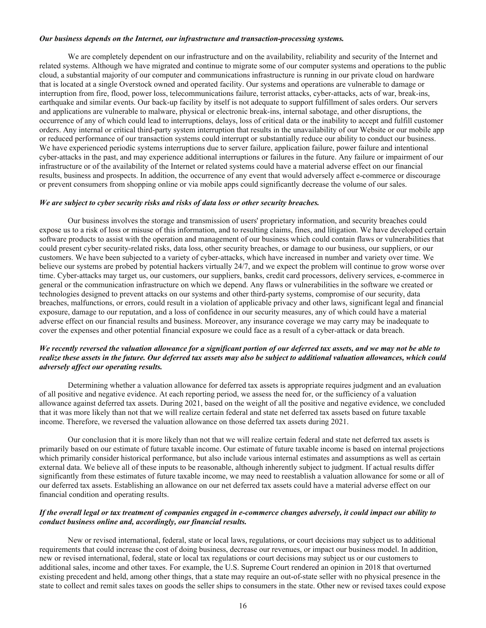## *Our business depends on the Internet, our infrastructure and transaction-processing systems.*

We are completely dependent on our infrastructure and on the availability, reliability and security of the Internet and related systems. Although we have migrated and continue to migrate some of our computer systems and operations to the public cloud, a substantial majority of our computer and communications infrastructure is running in our private cloud on hardware that is located at a single Overstock owned and operated facility. Our systems and operations are vulnerable to damage or interruption from fire, flood, power loss, telecommunications failure, terrorist attacks, cyber-attacks, acts of war, break-ins, earthquake and similar events. Our back-up facility by itself is not adequate to support fulfillment of sales orders. Our servers and applications are vulnerable to malware, physical or electronic break-ins, internal sabotage, and other disruptions, the occurrence of any of which could lead to interruptions, delays, loss of critical data or the inability to accept and fulfill customer orders. Any internal or critical third-party system interruption that results in the unavailability of our Website or our mobile app or reduced performance of our transaction systems could interrupt or substantially reduce our ability to conduct our business. We have experienced periodic systems interruptions due to server failure, application failure, power failure and intentional cyber-attacks in the past, and may experience additional interruptions or failures in the future. Any failure or impairment of our infrastructure or of the availability of the Internet or related systems could have a material adverse effect on our financial results, business and prospects. In addition, the occurrence of any event that would adversely affect e-commerce or discourage or prevent consumers from shopping online or via mobile apps could significantly decrease the volume of our sales.

#### *We are subject to cyber security risks and risks of data loss or other security breaches.*

Our business involves the storage and transmission of users' proprietary information, and security breaches could expose us to a risk of loss or misuse of this information, and to resulting claims, fines, and litigation. We have developed certain software products to assist with the operation and management of our business which could contain flaws or vulnerabilities that could present cyber security-related risks, data loss, other security breaches, or damage to our business, our suppliers, or our customers. We have been subjected to a variety of cyber-attacks, which have increased in number and variety over time. We believe our systems are probed by potential hackers virtually 24/7, and we expect the problem will continue to grow worse over time. Cyber-attacks may target us, our customers, our suppliers, banks, credit card processors, delivery services, e-commerce in general or the communication infrastructure on which we depend. Any flaws or vulnerabilities in the software we created or technologies designed to prevent attacks on our systems and other third-party systems, compromise of our security, data breaches, malfunctions, or errors, could result in a violation of applicable privacy and other laws, significant legal and financial exposure, damage to our reputation, and a loss of confidence in our security measures, any of which could have a material adverse effect on our financial results and business. Moreover, any insurance coverage we may carry may be inadequate to cover the expenses and other potential financial exposure we could face as a result of a cyber-attack or data breach.

## *We recently reversed the valuation allowance for a significant portion of our deferred tax assets, and we may not be able to realize these assets in the future. Our deferred tax assets may also be subject to additional valuation allowances, which could adversely affect our operating results.*

Determining whether a valuation allowance for deferred tax assets is appropriate requires judgment and an evaluation of all positive and negative evidence. At each reporting period, we assess the need for, or the sufficiency of a valuation allowance against deferred tax assets. During 2021, based on the weight of all the positive and negative evidence, we concluded that it was more likely than not that we will realize certain federal and state net deferred tax assets based on future taxable income. Therefore, we reversed the valuation allowance on those deferred tax assets during 2021.

Our conclusion that it is more likely than not that we will realize certain federal and state net deferred tax assets is primarily based on our estimate of future taxable income. Our estimate of future taxable income is based on internal projections which primarily consider historical performance, but also include various internal estimates and assumptions as well as certain external data. We believe all of these inputs to be reasonable, although inherently subject to judgment. If actual results differ significantly from these estimates of future taxable income, we may need to reestablish a valuation allowance for some or all of our deferred tax assets. Establishing an allowance on our net deferred tax assets could have a material adverse effect on our financial condition and operating results.

## *If the overall legal or tax treatment of companies engaged in e-commerce changes adversely, it could impact our ability to conduct business online and, accordingly, our financial results.*

New or revised international, federal, state or local laws, regulations, or court decisions may subject us to additional requirements that could increase the cost of doing business, decrease our revenues, or impact our business model. In addition, new or revised international, federal, state or local tax regulations or court decisions may subject us or our customers to additional sales, income and other taxes. For example, the U.S. Supreme Court rendered an opinion in 2018 that overturned existing precedent and held, among other things, that a state may require an out-of-state seller with no physical presence in the state to collect and remit sales taxes on goods the seller ships to consumers in the state. Other new or revised taxes could expose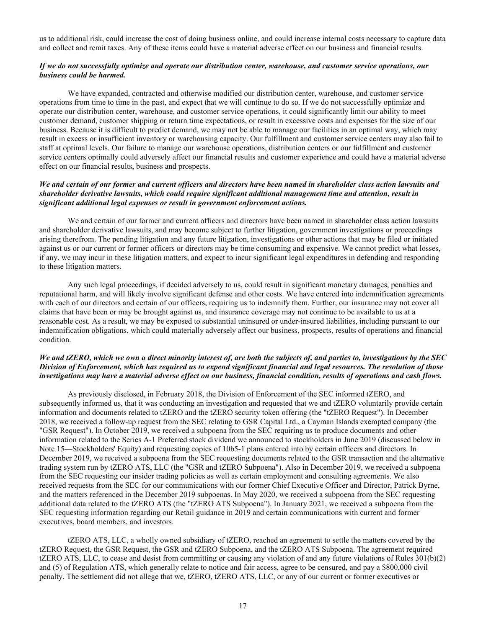us to additional risk, could increase the cost of doing business online, and could increase internal costs necessary to capture data and collect and remit taxes. Any of these items could have a material adverse effect on our business and financial results.

## *If we do not successfully optimize and operate our distribution center, warehouse, and customer service operations, our business could be harmed.*

We have expanded, contracted and otherwise modified our distribution center, warehouse, and customer service operations from time to time in the past, and expect that we will continue to do so. If we do not successfully optimize and operate our distribution center, warehouse, and customer service operations, it could significantly limit our ability to meet customer demand, customer shipping or return time expectations, or result in excessive costs and expenses for the size of our business. Because it is difficult to predict demand, we may not be able to manage our facilities in an optimal way, which may result in excess or insufficient inventory or warehousing capacity. Our fulfillment and customer service centers may also fail to staff at optimal levels. Our failure to manage our warehouse operations, distribution centers or our fulfillment and customer service centers optimally could adversely affect our financial results and customer experience and could have a material adverse effect on our financial results, business and prospects.

## *We and certain of our former and current officers and directors have been named in shareholder class action lawsuits and shareholder derivative lawsuits, which could require significant additional management time and attention, result in significant additional legal expenses or result in government enforcement actions.*

We and certain of our former and current officers and directors have been named in shareholder class action lawsuits and shareholder derivative lawsuits, and may become subject to further litigation, government investigations or proceedings arising therefrom. The pending litigation and any future litigation, investigations or other actions that may be filed or initiated against us or our current or former officers or directors may be time consuming and expensive. We cannot predict what losses, if any, we may incur in these litigation matters, and expect to incur significant legal expenditures in defending and responding to these litigation matters.

Any such legal proceedings, if decided adversely to us, could result in significant monetary damages, penalties and reputational harm, and will likely involve significant defense and other costs. We have entered into indemnification agreements with each of our directors and certain of our officers, requiring us to indemnify them. Further, our insurance may not cover all claims that have been or may be brought against us, and insurance coverage may not continue to be available to us at a reasonable cost. As a result, we may be exposed to substantial uninsured or under-insured liabilities, including pursuant to our indemnification obligations, which could materially adversely affect our business, prospects, results of operations and financial condition.

## *We and tZERO, which we own a direct minority interest of, are both the subjects of, and parties to, investigations by the SEC Division of Enforcement, which has required us to expend significant financial and legal resources. The resolution of those investigations may have a material adverse effect on our business, financial condition, results of operations and cash flows.*

As previously disclosed, in February 2018, the Division of Enforcement of the SEC informed tZERO, and subsequently informed us, that it was conducting an investigation and requested that we and tZERO voluntarily provide certain information and documents related to tZERO and the tZERO security token offering (the "tZERO Request"). In December 2018, we received a follow-up request from the SEC relating to GSR Capital Ltd., a Cayman Islands exempted company (the "GSR Request"). In October 2019, we received a subpoena from the SEC requiring us to produce documents and other information related to the Series A-1 Preferred stock dividend we announced to stockholders in June 2019 (discussed below in Note 15—Stockholders' Equity) and requesting copies of 10b5-1 plans entered into by certain officers and directors. In December 2019, we received a subpoena from the SEC requesting documents related to the GSR transaction and the alternative trading system run by tZERO ATS, LLC (the "GSR and tZERO Subpoena"). Also in December 2019, we received a subpoena from the SEC requesting our insider trading policies as well as certain employment and consulting agreements. We also received requests from the SEC for our communications with our former Chief Executive Officer and Director, Patrick Byrne, and the matters referenced in the December 2019 subpoenas. In May 2020, we received a subpoena from the SEC requesting additional data related to the tZERO ATS (the "tZERO ATS Subpoena"). In January 2021, we received a subpoena from the SEC requesting information regarding our Retail guidance in 2019 and certain communications with current and former executives, board members, and investors.

tZERO ATS, LLC, a wholly owned subsidiary of tZERO, reached an agreement to settle the matters covered by the tZERO Request, the GSR Request, the GSR and tZERO Subpoena, and the tZERO ATS Subpoena. The agreement required tZERO ATS, LLC, to cease and desist from committing or causing any violation of and any future violations of Rules 301(b)(2) and (5) of Regulation ATS, which generally relate to notice and fair access, agree to be censured, and pay a \$800,000 civil penalty. The settlement did not allege that we, tZERO, tZERO ATS, LLC, or any of our current or former executives or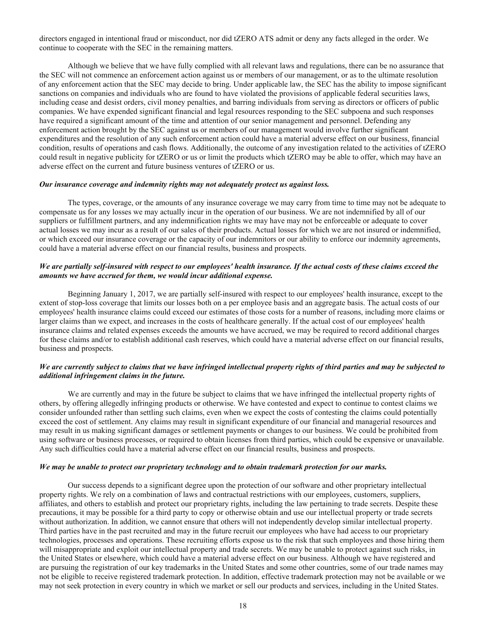directors engaged in intentional fraud or misconduct, nor did tZERO ATS admit or deny any facts alleged in the order. We continue to cooperate with the SEC in the remaining matters.

Although we believe that we have fully complied with all relevant laws and regulations, there can be no assurance that the SEC will not commence an enforcement action against us or members of our management, or as to the ultimate resolution of any enforcement action that the SEC may decide to bring. Under applicable law, the SEC has the ability to impose significant sanctions on companies and individuals who are found to have violated the provisions of applicable federal securities laws, including cease and desist orders, civil money penalties, and barring individuals from serving as directors or officers of public companies. We have expended significant financial and legal resources responding to the SEC subpoena and such responses have required a significant amount of the time and attention of our senior management and personnel. Defending any enforcement action brought by the SEC against us or members of our management would involve further significant expenditures and the resolution of any such enforcement action could have a material adverse effect on our business, financial condition, results of operations and cash flows. Additionally, the outcome of any investigation related to the activities of tZERO could result in negative publicity for tZERO or us or limit the products which tZERO may be able to offer, which may have an adverse effect on the current and future business ventures of tZERO or us.

#### *Our insurance coverage and indemnity rights may not adequately protect us against loss.*

The types, coverage, or the amounts of any insurance coverage we may carry from time to time may not be adequate to compensate us for any losses we may actually incur in the operation of our business. We are not indemnified by all of our suppliers or fulfillment partners, and any indemnification rights we may have may not be enforceable or adequate to cover actual losses we may incur as a result of our sales of their products. Actual losses for which we are not insured or indemnified, or which exceed our insurance coverage or the capacity of our indemnitors or our ability to enforce our indemnity agreements, could have a material adverse effect on our financial results, business and prospects.

## *We are partially self-insured with respect to our employees' health insurance. If the actual costs of these claims exceed the amounts we have accrued for them, we would incur additional expense.*

Beginning January 1, 2017, we are partially self-insured with respect to our employees' health insurance, except to the extent of stop-loss coverage that limits our losses both on a per employee basis and an aggregate basis. The actual costs of our employees' health insurance claims could exceed our estimates of those costs for a number of reasons, including more claims or larger claims than we expect, and increases in the costs of healthcare generally. If the actual cost of our employees' health insurance claims and related expenses exceeds the amounts we have accrued, we may be required to record additional charges for these claims and/or to establish additional cash reserves, which could have a material adverse effect on our financial results, business and prospects.

## *We are currently subject to claims that we have infringed intellectual property rights of third parties and may be subjected to additional infringement claims in the future.*

We are currently and may in the future be subject to claims that we have infringed the intellectual property rights of others, by offering allegedly infringing products or otherwise. We have contested and expect to continue to contest claims we consider unfounded rather than settling such claims, even when we expect the costs of contesting the claims could potentially exceed the cost of settlement. Any claims may result in significant expenditure of our financial and managerial resources and may result in us making significant damages or settlement payments or changes to our business. We could be prohibited from using software or business processes, or required to obtain licenses from third parties, which could be expensive or unavailable. Any such difficulties could have a material adverse effect on our financial results, business and prospects.

## *We may be unable to protect our proprietary technology and to obtain trademark protection for our marks.*

Our success depends to a significant degree upon the protection of our software and other proprietary intellectual property rights. We rely on a combination of laws and contractual restrictions with our employees, customers, suppliers, affiliates, and others to establish and protect our proprietary rights, including the law pertaining to trade secrets. Despite these precautions, it may be possible for a third party to copy or otherwise obtain and use our intellectual property or trade secrets without authorization. In addition, we cannot ensure that others will not independently develop similar intellectual property. Third parties have in the past recruited and may in the future recruit our employees who have had access to our proprietary technologies, processes and operations. These recruiting efforts expose us to the risk that such employees and those hiring them will misappropriate and exploit our intellectual property and trade secrets. We may be unable to protect against such risks, in the United States or elsewhere, which could have a material adverse effect on our business. Although we have registered and are pursuing the registration of our key trademarks in the United States and some other countries, some of our trade names may not be eligible to receive registered trademark protection. In addition, effective trademark protection may not be available or we may not seek protection in every country in which we market or sell our products and services, including in the United States.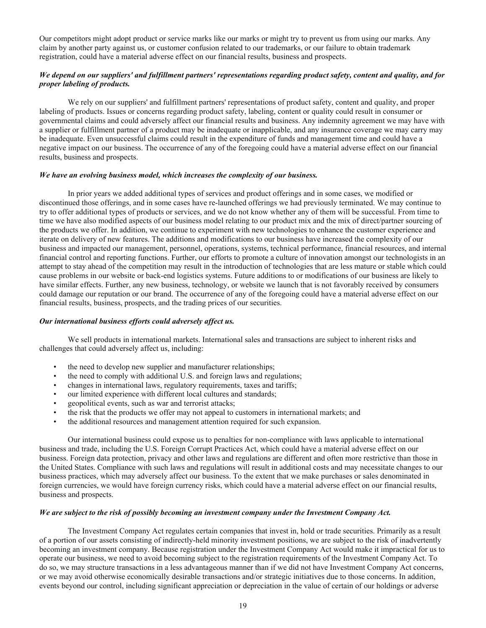Our competitors might adopt product or service marks like our marks or might try to prevent us from using our marks. Any claim by another party against us, or customer confusion related to our trademarks, or our failure to obtain trademark registration, could have a material adverse effect on our financial results, business and prospects.

## *We depend on our suppliers' and fulfillment partners' representations regarding product safety, content and quality, and for proper labeling of products.*

We rely on our suppliers' and fulfillment partners' representations of product safety, content and quality, and proper labeling of products. Issues or concerns regarding product safety, labeling, content or quality could result in consumer or governmental claims and could adversely affect our financial results and business. Any indemnity agreement we may have with a supplier or fulfillment partner of a product may be inadequate or inapplicable, and any insurance coverage we may carry may be inadequate. Even unsuccessful claims could result in the expenditure of funds and management time and could have a negative impact on our business. The occurrence of any of the foregoing could have a material adverse effect on our financial results, business and prospects.

#### *We have an evolving business model, which increases the complexity of our business.*

In prior years we added additional types of services and product offerings and in some cases, we modified or discontinued those offerings, and in some cases have re-launched offerings we had previously terminated. We may continue to try to offer additional types of products or services, and we do not know whether any of them will be successful. From time to time we have also modified aspects of our business model relating to our product mix and the mix of direct/partner sourcing of the products we offer. In addition, we continue to experiment with new technologies to enhance the customer experience and iterate on delivery of new features. The additions and modifications to our business have increased the complexity of our business and impacted our management, personnel, operations, systems, technical performance, financial resources, and internal financial control and reporting functions. Further, our efforts to promote a culture of innovation amongst our technologists in an attempt to stay ahead of the competition may result in the introduction of technologies that are less mature or stable which could cause problems in our website or back-end logistics systems. Future additions to or modifications of our business are likely to have similar effects. Further, any new business, technology, or website we launch that is not favorably received by consumers could damage our reputation or our brand. The occurrence of any of the foregoing could have a material adverse effect on our financial results, business, prospects, and the trading prices of our securities.

## *Our international business efforts could adversely affect us.*

We sell products in international markets. International sales and transactions are subject to inherent risks and challenges that could adversely affect us, including:

- the need to develop new supplier and manufacturer relationships;
- the need to comply with additional U.S. and foreign laws and regulations;
- changes in international laws, regulatory requirements, taxes and tariffs;
- our limited experience with different local cultures and standards;
- geopolitical events, such as war and terrorist attacks;
- the risk that the products we offer may not appeal to customers in international markets; and
- the additional resources and management attention required for such expansion.

Our international business could expose us to penalties for non-compliance with laws applicable to international business and trade, including the U.S. Foreign Corrupt Practices Act, which could have a material adverse effect on our business. Foreign data protection, privacy and other laws and regulations are different and often more restrictive than those in the United States. Compliance with such laws and regulations will result in additional costs and may necessitate changes to our business practices, which may adversely affect our business. To the extent that we make purchases or sales denominated in foreign currencies, we would have foreign currency risks, which could have a material adverse effect on our financial results, business and prospects.

#### *We are subject to the risk of possibly becoming an investment company under the Investment Company Act.*

The Investment Company Act regulates certain companies that invest in, hold or trade securities. Primarily as a result of a portion of our assets consisting of indirectly-held minority investment positions, we are subject to the risk of inadvertently becoming an investment company. Because registration under the Investment Company Act would make it impractical for us to operate our business, we need to avoid becoming subject to the registration requirements of the Investment Company Act. To do so, we may structure transactions in a less advantageous manner than if we did not have Investment Company Act concerns, or we may avoid otherwise economically desirable transactions and/or strategic initiatives due to those concerns. In addition, events beyond our control, including significant appreciation or depreciation in the value of certain of our holdings or adverse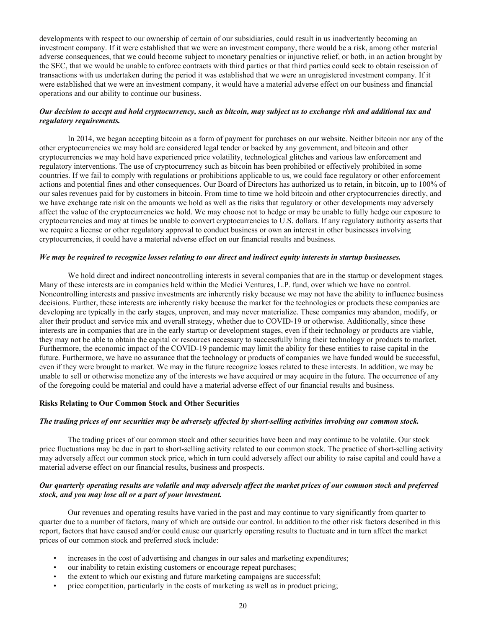developments with respect to our ownership of certain of our subsidiaries, could result in us inadvertently becoming an investment company. If it were established that we were an investment company, there would be a risk, among other material adverse consequences, that we could become subject to monetary penalties or injunctive relief, or both, in an action brought by the SEC, that we would be unable to enforce contracts with third parties or that third parties could seek to obtain rescission of transactions with us undertaken during the period it was established that we were an unregistered investment company. If it were established that we were an investment company, it would have a material adverse effect on our business and financial operations and our ability to continue our business.

## *Our decision to accept and hold cryptocurrency, such as bitcoin, may subject us to exchange risk and additional tax and regulatory requirements.*

In 2014, we began accepting bitcoin as a form of payment for purchases on our website. Neither bitcoin nor any of the other cryptocurrencies we may hold are considered legal tender or backed by any government, and bitcoin and other cryptocurrencies we may hold have experienced price volatility, technological glitches and various law enforcement and regulatory interventions. The use of cryptocurrency such as bitcoin has been prohibited or effectively prohibited in some countries. If we fail to comply with regulations or prohibitions applicable to us, we could face regulatory or other enforcement actions and potential fines and other consequences. Our Board of Directors has authorized us to retain, in bitcoin, up to 100% of our sales revenues paid for by customers in bitcoin. From time to time we hold bitcoin and other cryptocurrencies directly, and we have exchange rate risk on the amounts we hold as well as the risks that regulatory or other developments may adversely affect the value of the cryptocurrencies we hold. We may choose not to hedge or may be unable to fully hedge our exposure to cryptocurrencies and may at times be unable to convert cryptocurrencies to U.S. dollars. If any regulatory authority asserts that we require a license or other regulatory approval to conduct business or own an interest in other businesses involving cryptocurrencies, it could have a material adverse effect on our financial results and business.

#### *We may be required to recognize losses relating to our direct and indirect equity interests in startup businesses.*

We hold direct and indirect noncontrolling interests in several companies that are in the startup or development stages. Many of these interests are in companies held within the Medici Ventures, L.P. fund, over which we have no control. Noncontrolling interests and passive investments are inherently risky because we may not have the ability to influence business decisions. Further, these interests are inherently risky because the market for the technologies or products these companies are developing are typically in the early stages, unproven, and may never materialize. These companies may abandon, modify, or alter their product and service mix and overall strategy, whether due to COVID-19 or otherwise. Additionally, since these interests are in companies that are in the early startup or development stages, even if their technology or products are viable, they may not be able to obtain the capital or resources necessary to successfully bring their technology or products to market. Furthermore, the economic impact of the COVID-19 pandemic may limit the ability for these entities to raise capital in the future. Furthermore, we have no assurance that the technology or products of companies we have funded would be successful, even if they were brought to market. We may in the future recognize losses related to these interests. In addition, we may be unable to sell or otherwise monetize any of the interests we have acquired or may acquire in the future. The occurrence of any of the foregoing could be material and could have a material adverse effect of our financial results and business.

#### **Risks Relating to Our Common Stock and Other Securities**

#### *The trading prices of our securities may be adversely affected by short-selling activities involving our common stock.*

The trading prices of our common stock and other securities have been and may continue to be volatile. Our stock price fluctuations may be due in part to short-selling activity related to our common stock. The practice of short-selling activity may adversely affect our common stock price, which in turn could adversely affect our ability to raise capital and could have a material adverse effect on our financial results, business and prospects.

## *Our quarterly operating results are volatile and may adversely affect the market prices of our common stock and preferred stock, and you may lose all or a part of your investment.*

Our revenues and operating results have varied in the past and may continue to vary significantly from quarter to quarter due to a number of factors, many of which are outside our control. In addition to the other risk factors described in this report, factors that have caused and/or could cause our quarterly operating results to fluctuate and in turn affect the market prices of our common stock and preferred stock include:

- increases in the cost of advertising and changes in our sales and marketing expenditures;
- our inability to retain existing customers or encourage repeat purchases;
- the extent to which our existing and future marketing campaigns are successful;
- price competition, particularly in the costs of marketing as well as in product pricing;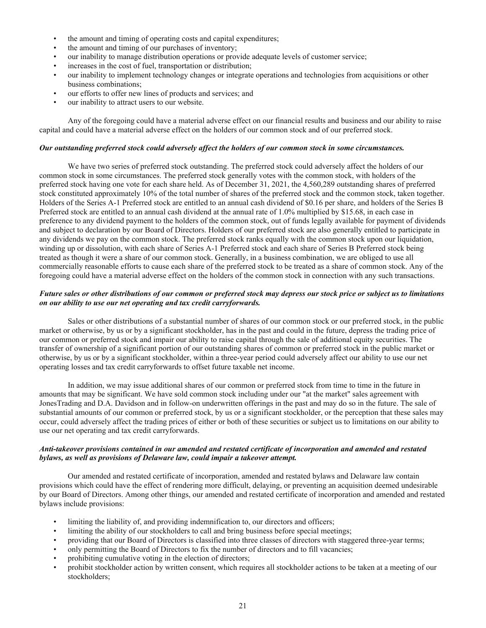- the amount and timing of operating costs and capital expenditures;
- the amount and timing of our purchases of inventory;
- our inability to manage distribution operations or provide adequate levels of customer service;
- increases in the cost of fuel, transportation or distribution;
- our inability to implement technology changes or integrate operations and technologies from acquisitions or other business combinations;
- our efforts to offer new lines of products and services; and
- our inability to attract users to our website.

Any of the foregoing could have a material adverse effect on our financial results and business and our ability to raise capital and could have a material adverse effect on the holders of our common stock and of our preferred stock.

## *Our outstanding preferred stock could adversely affect the holders of our common stock in some circumstances.*

We have two series of preferred stock outstanding. The preferred stock could adversely affect the holders of our common stock in some circumstances. The preferred stock generally votes with the common stock, with holders of the preferred stock having one vote for each share held. As of December 31, 2021, the 4,560,289 outstanding shares of preferred stock constituted approximately 10% of the total number of shares of the preferred stock and the common stock, taken together. Holders of the Series A-1 Preferred stock are entitled to an annual cash dividend of \$0.16 per share, and holders of the Series B Preferred stock are entitled to an annual cash dividend at the annual rate of 1.0% multiplied by \$15.68, in each case in preference to any dividend payment to the holders of the common stock, out of funds legally available for payment of dividends and subject to declaration by our Board of Directors. Holders of our preferred stock are also generally entitled to participate in any dividends we pay on the common stock. The preferred stock ranks equally with the common stock upon our liquidation, winding up or dissolution, with each share of Series A-1 Preferred stock and each share of Series B Preferred stock being treated as though it were a share of our common stock. Generally, in a business combination, we are obliged to use all commercially reasonable efforts to cause each share of the preferred stock to be treated as a share of common stock. Any of the foregoing could have a material adverse effect on the holders of the common stock in connection with any such transactions.

## *Future sales or other distributions of our common or preferred stock may depress our stock price or subject us to limitations on our ability to use our net operating and tax credit carryforwards.*

Sales or other distributions of a substantial number of shares of our common stock or our preferred stock, in the public market or otherwise, by us or by a significant stockholder, has in the past and could in the future, depress the trading price of our common or preferred stock and impair our ability to raise capital through the sale of additional equity securities. The transfer of ownership of a significant portion of our outstanding shares of common or preferred stock in the public market or otherwise, by us or by a significant stockholder, within a three-year period could adversely affect our ability to use our net operating losses and tax credit carryforwards to offset future taxable net income.

In addition, we may issue additional shares of our common or preferred stock from time to time in the future in amounts that may be significant. We have sold common stock including under our "at the market" sales agreement with JonesTrading and D.A. Davidson and in follow-on underwritten offerings in the past and may do so in the future. The sale of substantial amounts of our common or preferred stock, by us or a significant stockholder, or the perception that these sales may occur, could adversely affect the trading prices of either or both of these securities or subject us to limitations on our ability to use our net operating and tax credit carryforwards.

## *Anti-takeover provisions contained in our amended and restated certificate of incorporation and amended and restated bylaws, as well as provisions of Delaware law, could impair a takeover attempt.*

Our amended and restated certificate of incorporation, amended and restated bylaws and Delaware law contain provisions which could have the effect of rendering more difficult, delaying, or preventing an acquisition deemed undesirable by our Board of Directors. Among other things, our amended and restated certificate of incorporation and amended and restated bylaws include provisions:

- limiting the liability of, and providing indemnification to, our directors and officers;
- limiting the ability of our stockholders to call and bring business before special meetings;
- providing that our Board of Directors is classified into three classes of directors with staggered three-year terms;
- only permitting the Board of Directors to fix the number of directors and to fill vacancies;
- prohibiting cumulative voting in the election of directors;
- prohibit stockholder action by written consent, which requires all stockholder actions to be taken at a meeting of our stockholders;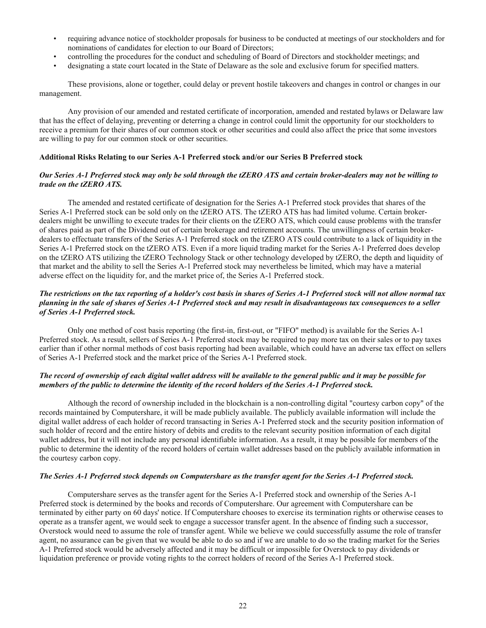- requiring advance notice of stockholder proposals for business to be conducted at meetings of our stockholders and for nominations of candidates for election to our Board of Directors;
- controlling the procedures for the conduct and scheduling of Board of Directors and stockholder meetings; and
- designating a state court located in the State of Delaware as the sole and exclusive forum for specified matters.

These provisions, alone or together, could delay or prevent hostile takeovers and changes in control or changes in our management.

Any provision of our amended and restated certificate of incorporation, amended and restated bylaws or Delaware law that has the effect of delaying, preventing or deterring a change in control could limit the opportunity for our stockholders to receive a premium for their shares of our common stock or other securities and could also affect the price that some investors are willing to pay for our common stock or other securities.

## **Additional Risks Relating to our Series A-1 Preferred stock and/or our Series B Preferred stock**

## *Our Series A-1 Preferred stock may only be sold through the tZERO ATS and certain broker-dealers may not be willing to trade on the tZERO ATS.*

The amended and restated certificate of designation for the Series A-1 Preferred stock provides that shares of the Series A-1 Preferred stock can be sold only on the tZERO ATS. The tZERO ATS has had limited volume. Certain brokerdealers might be unwilling to execute trades for their clients on the tZERO ATS, which could cause problems with the transfer of shares paid as part of the Dividend out of certain brokerage and retirement accounts. The unwillingness of certain brokerdealers to effectuate transfers of the Series A-1 Preferred stock on the tZERO ATS could contribute to a lack of liquidity in the Series A-1 Preferred stock on the tZERO ATS. Even if a more liquid trading market for the Series A-1 Preferred does develop on the tZERO ATS utilizing the tZERO Technology Stack or other technology developed by tZERO, the depth and liquidity of that market and the ability to sell the Series A-1 Preferred stock may nevertheless be limited, which may have a material adverse effect on the liquidity for, and the market price of, the Series A-1 Preferred stock.

## *The restrictions on the tax reporting of a holder's cost basis in shares of Series A-1 Preferred stock will not allow normal tax planning in the sale of shares of Series A-1 Preferred stock and may result in disadvantageous tax consequences to a seller of Series A-1 Preferred stock.*

Only one method of cost basis reporting (the first-in, first-out, or "FIFO" method) is available for the Series A-1 Preferred stock. As a result, sellers of Series A-1 Preferred stock may be required to pay more tax on their sales or to pay taxes earlier than if other normal methods of cost basis reporting had been available, which could have an adverse tax effect on sellers of Series A-1 Preferred stock and the market price of the Series A-1 Preferred stock.

## *The record of ownership of each digital wallet address will be available to the general public and it may be possible for members of the public to determine the identity of the record holders of the Series A-1 Preferred stock.*

Although the record of ownership included in the blockchain is a non-controlling digital "courtesy carbon copy" of the records maintained by Computershare, it will be made publicly available. The publicly available information will include the digital wallet address of each holder of record transacting in Series A-1 Preferred stock and the security position information of such holder of record and the entire history of debits and credits to the relevant security position information of each digital wallet address, but it will not include any personal identifiable information. As a result, it may be possible for members of the public to determine the identity of the record holders of certain wallet addresses based on the publicly available information in the courtesy carbon copy.

## *The Series A-1 Preferred stock depends on Computershare as the transfer agent for the Series A-1 Preferred stock.*

Computershare serves as the transfer agent for the Series A-1 Preferred stock and ownership of the Series A-1 Preferred stock is determined by the books and records of Computershare. Our agreement with Computershare can be terminated by either party on 60 days' notice. If Computershare chooses to exercise its termination rights or otherwise ceases to operate as a transfer agent, we would seek to engage a successor transfer agent. In the absence of finding such a successor, Overstock would need to assume the role of transfer agent. While we believe we could successfully assume the role of transfer agent, no assurance can be given that we would be able to do so and if we are unable to do so the trading market for the Series A-1 Preferred stock would be adversely affected and it may be difficult or impossible for Overstock to pay dividends or liquidation preference or provide voting rights to the correct holders of record of the Series A-1 Preferred stock.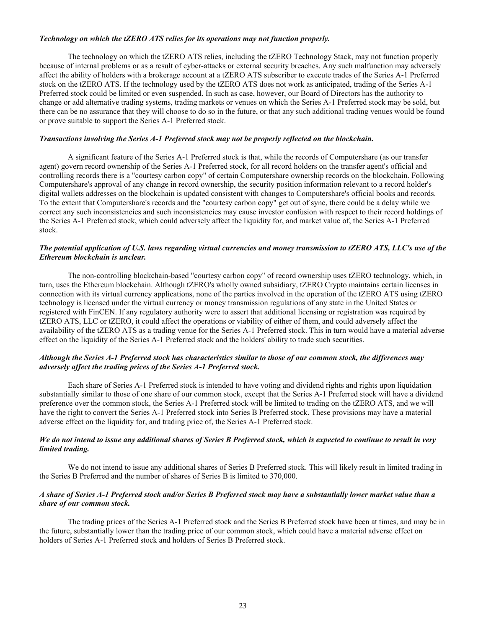## *Technology on which the tZERO ATS relies for its operations may not function properly.*

The technology on which the tZERO ATS relies, including the tZERO Technology Stack, may not function properly because of internal problems or as a result of cyber-attacks or external security breaches. Any such malfunction may adversely affect the ability of holders with a brokerage account at a tZERO ATS subscriber to execute trades of the Series A-1 Preferred stock on the tZERO ATS. If the technology used by the tZERO ATS does not work as anticipated, trading of the Series A-1 Preferred stock could be limited or even suspended. In such as case, however, our Board of Directors has the authority to change or add alternative trading systems, trading markets or venues on which the Series A-1 Preferred stock may be sold, but there can be no assurance that they will choose to do so in the future, or that any such additional trading venues would be found or prove suitable to support the Series A-1 Preferred stock.

## *Transactions involving the Series A-1 Preferred stock may not be properly reflected on the blockchain.*

A significant feature of the Series A-1 Preferred stock is that, while the records of Computershare (as our transfer agent) govern record ownership of the Series A-1 Preferred stock, for all record holders on the transfer agent's official and controlling records there is a "courtesy carbon copy" of certain Computershare ownership records on the blockchain. Following Computershare's approval of any change in record ownership, the security position information relevant to a record holder's digital wallets addresses on the blockchain is updated consistent with changes to Computershare's official books and records. To the extent that Computershare's records and the "courtesy carbon copy" get out of sync, there could be a delay while we correct any such inconsistencies and such inconsistencies may cause investor confusion with respect to their record holdings of the Series A-1 Preferred stock, which could adversely affect the liquidity for, and market value of, the Series A-1 Preferred stock.

## *The potential application of U.S. laws regarding virtual currencies and money transmission to tZERO ATS, LLC's use of the Ethereum blockchain is unclear.*

The non-controlling blockchain-based "courtesy carbon copy" of record ownership uses tZERO technology, which, in turn, uses the Ethereum blockchain. Although tZERO's wholly owned subsidiary, tZERO Crypto maintains certain licenses in connection with its virtual currency applications, none of the parties involved in the operation of the tZERO ATS using tZERO technology is licensed under the virtual currency or money transmission regulations of any state in the United States or registered with FinCEN. If any regulatory authority were to assert that additional licensing or registration was required by tZERO ATS, LLC or tZERO, it could affect the operations or viability of either of them, and could adversely affect the availability of the tZERO ATS as a trading venue for the Series A-1 Preferred stock. This in turn would have a material adverse effect on the liquidity of the Series A-1 Preferred stock and the holders' ability to trade such securities.

## *Although the Series A-1 Preferred stock has characteristics similar to those of our common stock, the differences may adversely affect the trading prices of the Series A-1 Preferred stock.*

Each share of Series A-1 Preferred stock is intended to have voting and dividend rights and rights upon liquidation substantially similar to those of one share of our common stock, except that the Series A-1 Preferred stock will have a dividend preference over the common stock, the Series A-1 Preferred stock will be limited to trading on the tZERO ATS, and we will have the right to convert the Series A-1 Preferred stock into Series B Preferred stock. These provisions may have a material adverse effect on the liquidity for, and trading price of, the Series A-1 Preferred stock.

## *We do not intend to issue any additional shares of Series B Preferred stock, which is expected to continue to result in very limited trading.*

We do not intend to issue any additional shares of Series B Preferred stock. This will likely result in limited trading in the Series B Preferred and the number of shares of Series B is limited to 370,000.

## *A share of Series A-1 Preferred stock and/or Series B Preferred stock may have a substantially lower market value than a share of our common stock.*

The trading prices of the Series A-1 Preferred stock and the Series B Preferred stock have been at times, and may be in the future, substantially lower than the trading price of our common stock, which could have a material adverse effect on holders of Series A-1 Preferred stock and holders of Series B Preferred stock.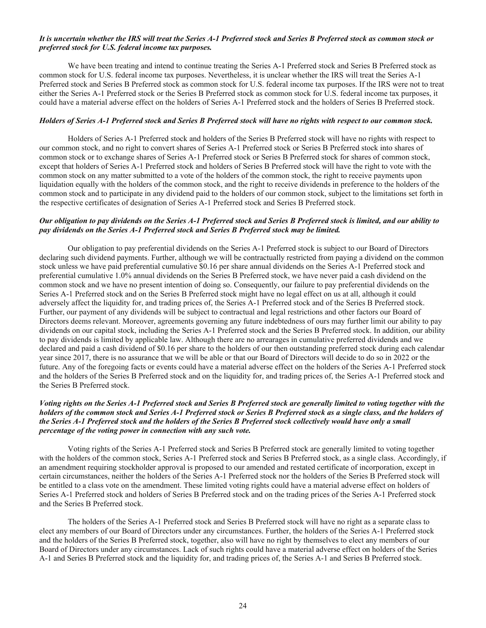## *It is uncertain whether the IRS will treat the Series A-1 Preferred stock and Series B Preferred stock as common stock or preferred stock for U.S. federal income tax purposes.*

We have been treating and intend to continue treating the Series A-1 Preferred stock and Series B Preferred stock as common stock for U.S. federal income tax purposes. Nevertheless, it is unclear whether the IRS will treat the Series A-1 Preferred stock and Series B Preferred stock as common stock for U.S. federal income tax purposes. If the IRS were not to treat either the Series A-1 Preferred stock or the Series B Preferred stock as common stock for U.S. federal income tax purposes, it could have a material adverse effect on the holders of Series A-1 Preferred stock and the holders of Series B Preferred stock.

#### *Holders of Series A-1 Preferred stock and Series B Preferred stock will have no rights with respect to our common stock.*

Holders of Series A-1 Preferred stock and holders of the Series B Preferred stock will have no rights with respect to our common stock, and no right to convert shares of Series A-1 Preferred stock or Series B Preferred stock into shares of common stock or to exchange shares of Series A-1 Preferred stock or Series B Preferred stock for shares of common stock, except that holders of Series A-1 Preferred stock and holders of Series B Preferred stock will have the right to vote with the common stock on any matter submitted to a vote of the holders of the common stock, the right to receive payments upon liquidation equally with the holders of the common stock, and the right to receive dividends in preference to the holders of the common stock and to participate in any dividend paid to the holders of our common stock, subject to the limitations set forth in the respective certificates of designation of Series A-1 Preferred stock and Series B Preferred stock.

### *Our obligation to pay dividends on the Series A-1 Preferred stock and Series B Preferred stock is limited, and our ability to pay dividends on the Series A-1 Preferred stock and Series B Preferred stock may be limited.*

Our obligation to pay preferential dividends on the Series A-1 Preferred stock is subject to our Board of Directors declaring such dividend payments. Further, although we will be contractually restricted from paying a dividend on the common stock unless we have paid preferential cumulative \$0.16 per share annual dividends on the Series A-1 Preferred stock and preferential cumulative 1.0% annual dividends on the Series B Preferred stock, we have never paid a cash dividend on the common stock and we have no present intention of doing so. Consequently, our failure to pay preferential dividends on the Series A-1 Preferred stock and on the Series B Preferred stock might have no legal effect on us at all, although it could adversely affect the liquidity for, and trading prices of, the Series A-1 Preferred stock and of the Series B Preferred stock. Further, our payment of any dividends will be subject to contractual and legal restrictions and other factors our Board of Directors deems relevant. Moreover, agreements governing any future indebtedness of ours may further limit our ability to pay dividends on our capital stock, including the Series A-1 Preferred stock and the Series B Preferred stock. In addition, our ability to pay dividends is limited by applicable law. Although there are no arrearages in cumulative preferred dividends and we declared and paid a cash dividend of \$0.16 per share to the holders of our then outstanding preferred stock during each calendar year since 2017, there is no assurance that we will be able or that our Board of Directors will decide to do so in 2022 or the future. Any of the foregoing facts or events could have a material adverse effect on the holders of the Series A-1 Preferred stock and the holders of the Series B Preferred stock and on the liquidity for, and trading prices of, the Series A-1 Preferred stock and the Series B Preferred stock.

## *Voting rights on the Series A-1 Preferred stock and Series B Preferred stock are generally limited to voting together with the holders of the common stock and Series A-1 Preferred stock or Series B Preferred stock as a single class, and the holders of the Series A-1 Preferred stock and the holders of the Series B Preferred stock collectively would have only a small percentage of the voting power in connection with any such vote.*

Voting rights of the Series A-1 Preferred stock and Series B Preferred stock are generally limited to voting together with the holders of the common stock, Series A-1 Preferred stock and Series B Preferred stock, as a single class. Accordingly, if an amendment requiring stockholder approval is proposed to our amended and restated certificate of incorporation, except in certain circumstances, neither the holders of the Series A-1 Preferred stock nor the holders of the Series B Preferred stock will be entitled to a class vote on the amendment. These limited voting rights could have a material adverse effect on holders of Series A-1 Preferred stock and holders of Series B Preferred stock and on the trading prices of the Series A-1 Preferred stock and the Series B Preferred stock.

The holders of the Series A-1 Preferred stock and Series B Preferred stock will have no right as a separate class to elect any members of our Board of Directors under any circumstances. Further, the holders of the Series A-1 Preferred stock and the holders of the Series B Preferred stock, together, also will have no right by themselves to elect any members of our Board of Directors under any circumstances. Lack of such rights could have a material adverse effect on holders of the Series A-1 and Series B Preferred stock and the liquidity for, and trading prices of, the Series A-1 and Series B Preferred stock.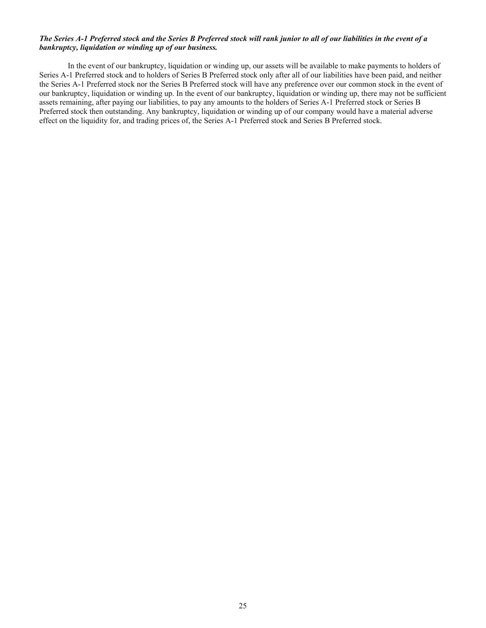## *The Series A-1 Preferred stock and the Series B Preferred stock will rank junior to all of our liabilities in the event of a bankruptcy, liquidation or winding up of our business.*

In the event of our bankruptcy, liquidation or winding up, our assets will be available to make payments to holders of Series A-1 Preferred stock and to holders of Series B Preferred stock only after all of our liabilities have been paid, and neither the Series A-1 Preferred stock nor the Series B Preferred stock will have any preference over our common stock in the event of our bankruptcy, liquidation or winding up. In the event of our bankruptcy, liquidation or winding up, there may not be sufficient assets remaining, after paying our liabilities, to pay any amounts to the holders of Series A-1 Preferred stock or Series B Preferred stock then outstanding. Any bankruptcy, liquidation or winding up of our company would have a material adverse effect on the liquidity for, and trading prices of, the Series A-1 Preferred stock and Series B Preferred stock.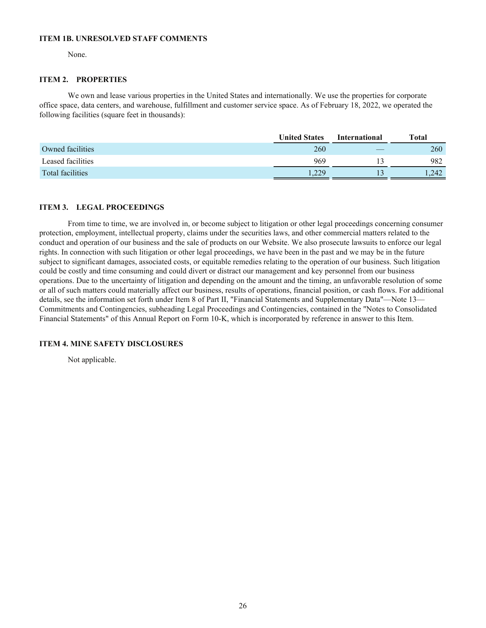## **ITEM 1B. UNRESOLVED STAFF COMMENTS**

None.

## **ITEM 2. PROPERTIES**

We own and lease various properties in the United States and internationally. We use the properties for corporate office space, data centers, and warehouse, fulfillment and customer service space. As of February 18, 2022, we operated the following facilities (square feet in thousands):

|                   | <b>United States</b> | <b>International</b> | Total |
|-------------------|----------------------|----------------------|-------|
| Owned facilities  | 260                  |                      | 260   |
| Leased facilities | 969                  |                      | 982   |
| Total facilities  | 220                  |                      | .242  |

#### **ITEM 3. LEGAL PROCEEDINGS**

From time to time, we are involved in, or become subject to litigation or other legal proceedings concerning consumer protection, employment, intellectual property, claims under the securities laws, and other commercial matters related to the conduct and operation of our business and the sale of products on our Website. We also prosecute lawsuits to enforce our legal rights. In connection with such litigation or other legal proceedings, we have been in the past and we may be in the future subject to significant damages, associated costs, or equitable remedies relating to the operation of our business. Such litigation could be costly and time consuming and could divert or distract our management and key personnel from our business operations. Due to the uncertainty of litigation and depending on the amount and the timing, an unfavorable resolution of some or all of such matters could materially affect our business, results of operations, financial position, or cash flows. For additional details, see the information set forth under Item 8 of Part II, "Financial Statements and Supplementary Data"—Note 13— Commitments and Contingencies, subheading Legal Proceedings and Contingencies, contained in the "Notes to Consolidated Financial Statements" of this Annual Report on Form 10-K, which is incorporated by reference in answer to this Item.

## **ITEM 4. MINE SAFETY DISCLOSURES**

Not applicable.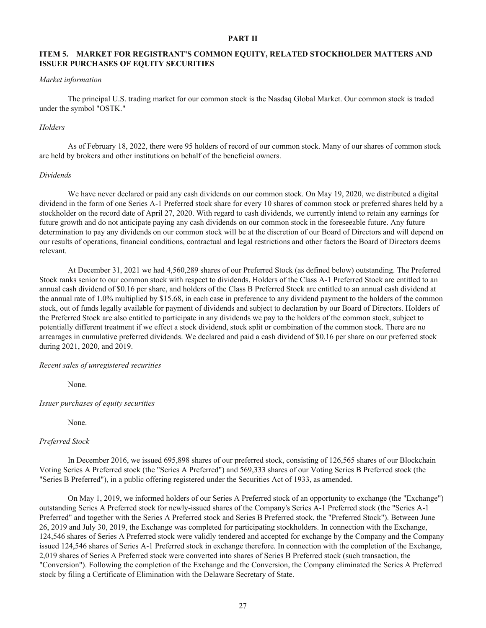## **ITEM 5. MARKET FOR REGISTRANT'S COMMON EQUITY, RELATED STOCKHOLDER MATTERS AND ISSUER PURCHASES OF EQUITY SECURITIES**

#### *Market information*

The principal U.S. trading market for our common stock is the Nasdaq Global Market. Our common stock is traded under the symbol "OSTK."

#### *Holders*

As of February 18, 2022, there were 95 holders of record of our common stock. Many of our shares of common stock are held by brokers and other institutions on behalf of the beneficial owners.

## *Dividends*

We have never declared or paid any cash dividends on our common stock. On May 19, 2020, we distributed a digital dividend in the form of one Series A-1 Preferred stock share for every 10 shares of common stock or preferred shares held by a stockholder on the record date of April 27, 2020. With regard to cash dividends, we currently intend to retain any earnings for future growth and do not anticipate paying any cash dividends on our common stock in the foreseeable future. Any future determination to pay any dividends on our common stock will be at the discretion of our Board of Directors and will depend on our results of operations, financial conditions, contractual and legal restrictions and other factors the Board of Directors deems relevant.

At December 31, 2021 we had 4,560,289 shares of our Preferred Stock (as defined below) outstanding. The Preferred Stock ranks senior to our common stock with respect to dividends. Holders of the Class A-1 Preferred Stock are entitled to an annual cash dividend of \$0.16 per share, and holders of the Class B Preferred Stock are entitled to an annual cash dividend at the annual rate of 1.0% multiplied by \$15.68, in each case in preference to any dividend payment to the holders of the common stock, out of funds legally available for payment of dividends and subject to declaration by our Board of Directors. Holders of the Preferred Stock are also entitled to participate in any dividends we pay to the holders of the common stock, subject to potentially different treatment if we effect a stock dividend, stock split or combination of the common stock. There are no arrearages in cumulative preferred dividends. We declared and paid a cash dividend of \$0.16 per share on our preferred stock during 2021, 2020, and 2019.

## *Recent sales of unregistered securities*

None.

*Issuer purchases of equity securities*

None.

#### *Preferred Stock*

In December 2016, we issued 695,898 shares of our preferred stock, consisting of 126,565 shares of our Blockchain Voting Series A Preferred stock (the "Series A Preferred") and 569,333 shares of our Voting Series B Preferred stock (the "Series B Preferred"), in a public offering registered under the Securities Act of 1933, as amended.

On May 1, 2019, we informed holders of our Series A Preferred stock of an opportunity to exchange (the "Exchange") outstanding Series A Preferred stock for newly-issued shares of the Company's Series A-1 Preferred stock (the "Series A-1 Preferred" and together with the Series A Preferred stock and Series B Preferred stock, the "Preferred Stock"). Between June 26, 2019 and July 30, 2019, the Exchange was completed for participating stockholders. In connection with the Exchange, 124,546 shares of Series A Preferred stock were validly tendered and accepted for exchange by the Company and the Company issued 124,546 shares of Series A-1 Preferred stock in exchange therefore. In connection with the completion of the Exchange, 2,019 shares of Series A Preferred stock were converted into shares of Series B Preferred stock (such transaction, the "Conversion"). Following the completion of the Exchange and the Conversion, the Company eliminated the Series A Preferred stock by filing a Certificate of Elimination with the Delaware Secretary of State.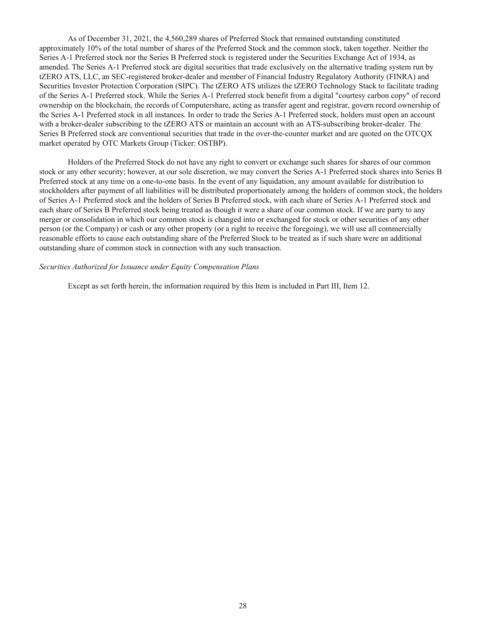As of December 31, 2021, the 4,560,289 shares of Preferred Stock that remained outstanding constituted approximately 10% of the total number of shares of the Preferred Stock and the common stock, taken together. Neither the Series A-1 Preferred stock nor the Series B Preferred stock is registered under the Securities Exchange Act of 1934, as amended. The Series A-1 Preferred stock are digital securities that trade exclusively on the alternative trading system run by tZERO ATS, LLC, an SEC-registered broker-dealer and member of Financial Industry Regulatory Authority (FINRA) and Securities Investor Protection Corporation (SIPC). The tZERO ATS utilizes the tZERO Technology Stack to facilitate trading of the Series A-1 Preferred stock. While the Series A-1 Preferred stock benefit from a digital "courtesy carbon copy" of record ownership on the blockchain, the records of Computershare, acting as transfer agent and registrar, govern record ownership of the Series A-1 Preferred stock in all instances. In order to trade the Series A-1 Preferred stock, holders must open an account with a broker-dealer subscribing to the tZERO ATS or maintain an account with an ATS-subscribing broker-dealer. The Series B Preferred stock are conventional securities that trade in the over-the-counter market and are quoted on the OTCQX market operated by OTC Markets Group (Ticker: OSTBP).

Holders of the Preferred Stock do not have any right to convert or exchange such shares for shares of our common stock or any other security; however, at our sole discretion, we may convert the Series A-1 Preferred stock shares into Series B Preferred stock at any time on a one-to-one basis. In the event of any liquidation, any amount available for distribution to stockholders after payment of all liabilities will be distributed proportionately among the holders of common stock, the holders of Series A-1 Preferred stock and the holders of Series B Preferred stock, with each share of Series A-1 Preferred stock and each share of Series B Preferred stock being treated as though it were a share of our common stock. If we are party to any merger or consolidation in which our common stock is changed into or exchanged for stock or other securities of any other person (or the Company) or cash or any other property (or a right to receive the foregoing), we will use all commercially reasonable efforts to cause each outstanding share of the Preferred Stock to be treated as if such share were an additional outstanding share of common stock in connection with any such transaction.

## *Securities Authorized for Issuance under Equity Compensation Plans*

Except as set forth herein, the information required by this Item is included in Part III, Item 12.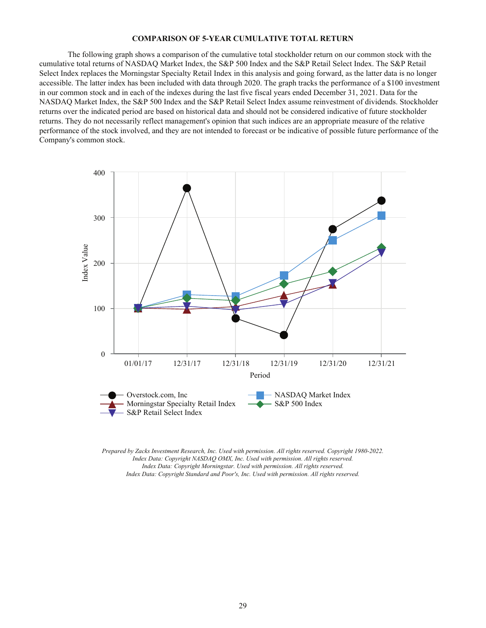## **COMPARISON OF 5-YEAR CUMULATIVE TOTAL RETURN**

The following graph shows a comparison of the cumulative total stockholder return on our common stock with the cumulative total returns of NASDAQ Market Index, the S&P 500 Index and the S&P Retail Select Index. The S&P Retail Select Index replaces the Morningstar Specialty Retail Index in this analysis and going forward, as the latter data is no longer accessible. The latter index has been included with data through 2020. The graph tracks the performance of a \$100 investment in our common stock and in each of the indexes during the last five fiscal years ended December 31, 2021. Data for the NASDAQ Market Index, the S&P 500 Index and the S&P Retail Select Index assume reinvestment of dividends. Stockholder returns over the indicated period are based on historical data and should not be considered indicative of future stockholder returns. They do not necessarily reflect management's opinion that such indices are an appropriate measure of the relative performance of the stock involved, and they are not intended to forecast or be indicative of possible future performance of the Company's common stock.



*Prepared by Zacks Investment Research, Inc. Used with permission. All rights reserved. Copyright 1980-2022. Index Data: Copyright NASDAQ OMX, Inc. Used with permission. All rights reserved. Index Data: Copyright Morningstar. Used with permission. All rights reserved. Index Data: Copyright Standard and Poor's, Inc. Used with permission. All rights reserved.*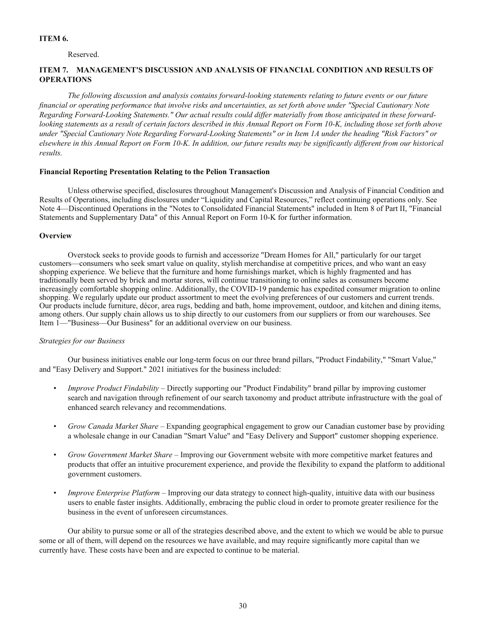## **ITEM 6.**

Reserved.

## **ITEM 7. MANAGEMENT'S DISCUSSION AND ANALYSIS OF FINANCIAL CONDITION AND RESULTS OF OPERATIONS**

*The following discussion and analysis contains forward-looking statements relating to future events or our future financial or operating performance that involve risks and uncertainties, as set forth above under "Special Cautionary Note Regarding Forward-Looking Statements." Our actual results could differ materially from those anticipated in these forwardlooking statements as a result of certain factors described in this Annual Report on Form 10-K, including those set forth above under "Special Cautionary Note Regarding Forward-Looking Statements" or in Item 1A under the heading "Risk Factors" or elsewhere in this Annual Report on Form 10-K. In addition, our future results may be significantly different from our historical results.* 

## **Financial Reporting Presentation Relating to the Pelion Transaction**

Unless otherwise specified, disclosures throughout Management's Discussion and Analysis of Financial Condition and Results of Operations, including disclosures under "Liquidity and Capital Resources," reflect continuing operations only. See Note 4—Discontinued Operations in the "Notes to Consolidated Financial Statements" included in Item 8 of Part II, "Financial Statements and Supplementary Data" of this Annual Report on Form 10-K for further information.

## **Overview**

Overstock seeks to provide goods to furnish and accessorize "Dream Homes for All," particularly for our target customers—consumers who seek smart value on quality, stylish merchandise at competitive prices, and who want an easy shopping experience. We believe that the furniture and home furnishings market, which is highly fragmented and has traditionally been served by brick and mortar stores, will continue transitioning to online sales as consumers become increasingly comfortable shopping online. Additionally, the COVID-19 pandemic has expedited consumer migration to online shopping. We regularly update our product assortment to meet the evolving preferences of our customers and current trends. Our products include furniture, décor, area rugs, bedding and bath, home improvement, outdoor, and kitchen and dining items, among others. Our supply chain allows us to ship directly to our customers from our suppliers or from our warehouses. See Item 1—"Business—Our Business" for an additional overview on our business.

## *Strategies for our Business*

Our business initiatives enable our long-term focus on our three brand pillars, "Product Findability," "Smart Value," and "Easy Delivery and Support." 2021 initiatives for the business included:

- *Improve Product Findability* Directly supporting our "Product Findability" brand pillar by improving customer search and navigation through refinement of our search taxonomy and product attribute infrastructure with the goal of enhanced search relevancy and recommendations.
- *Grow Canada Market Share* Expanding geographical engagement to grow our Canadian customer base by providing a wholesale change in our Canadian "Smart Value" and "Easy Delivery and Support" customer shopping experience.
- *Grow Government Market Share* Improving our Government website with more competitive market features and products that offer an intuitive procurement experience, and provide the flexibility to expand the platform to additional government customers.
- *Improve Enterprise Platform* Improving our data strategy to connect high-quality, intuitive data with our business users to enable faster insights. Additionally, embracing the public cloud in order to promote greater resilience for the business in the event of unforeseen circumstances.

Our ability to pursue some or all of the strategies described above, and the extent to which we would be able to pursue some or all of them, will depend on the resources we have available, and may require significantly more capital than we currently have. These costs have been and are expected to continue to be material.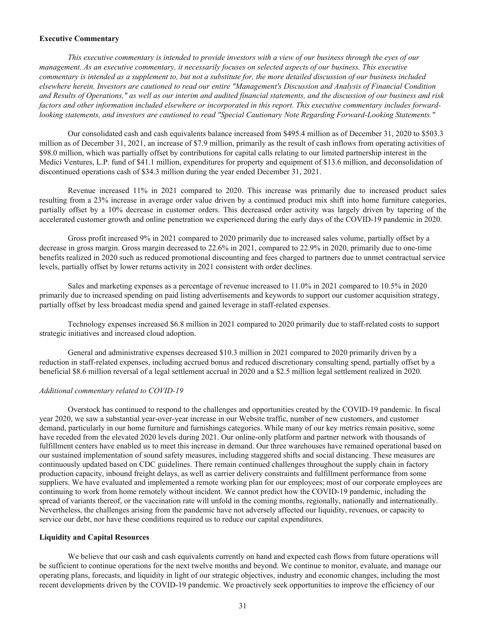## **Executive Commentary**

*This executive commentary is intended to provide investors with a view of our business through the eyes of our management. As an executive commentary, it necessarily focuses on selected aspects of our business. This executive commentary is intended as a supplement to, but not a substitute for, the more detailed discussion of our business included elsewhere herein. Investors are cautioned to read our entire "Management's Discussion and Analysis of Financial Condition and Results of Operations," as well as our interim and audited financial statements, and the discussion of our business and risk factors and other information included elsewhere or incorporated in this report. This executive commentary includes forwardlooking statements, and investors are cautioned to read "Special Cautionary Note Regarding Forward-Looking Statements."*

Our consolidated cash and cash equivalents balance increased from \$495.4 million as of December 31, 2020 to \$503.3 million as of December 31, 2021, an increase of \$7.9 million, primarily as the result of cash inflows from operating activities of \$98.0 million, which was partially offset by contributions for capital calls relating to our limited partnership interest in the Medici Ventures, L.P. fund of \$41.1 million, expenditures for property and equipment of \$13.6 million, and deconsolidation of discontinued operations cash of \$34.3 million during the year ended December 31, 2021.

Revenue increased 11% in 2021 compared to 2020. This increase was primarily due to increased product sales resulting from a 23% increase in average order value driven by a continued product mix shift into home furniture categories, partially offset by a 10% decrease in customer orders. This decreased order activity was largely driven by tapering of the accelerated customer growth and online penetration we experienced during the early days of the COVID-19 pandemic in 2020.

Gross profit increased 9% in 2021 compared to 2020 primarily due to increased sales volume, partially offset by a decrease in gross margin. Gross margin decreased to 22.6% in 2021, compared to 22.9% in 2020, primarily due to one-time benefits realized in 2020 such as reduced promotional discounting and fees charged to partners due to unmet contractual service levels, partially offset by lower returns activity in 2021 consistent with order declines.

Sales and marketing expenses as a percentage of revenue increased to 11.0% in 2021 compared to 10.5% in 2020 primarily due to increased spending on paid listing advertisements and keywords to support our customer acquisition strategy, partially offset by less broadcast media spend and gained leverage in staff-related expenses.

Technology expenses increased \$6.8 million in 2021 compared to 2020 primarily due to staff-related costs to support strategic initiatives and increased cloud adoption.

General and administrative expenses decreased \$10.3 million in 2021 compared to 2020 primarily driven by a reduction in staff-related expenses, including accrued bonus and reduced discretionary consulting spend, partially offset by a beneficial \$8.6 million reversal of a legal settlement accrual in 2020 and a \$2.5 million legal settlement realized in 2020.

#### *Additional commentary related to COVID-19*

Overstock has continued to respond to the challenges and opportunities created by the COVID-19 pandemic. In fiscal year 2020, we saw a substantial year-over-year increase in our Website traffic, number of new customers, and customer demand, particularly in our home furniture and furnishings categories. While many of our key metrics remain positive, some have receded from the elevated 2020 levels during 2021. Our online-only platform and partner network with thousands of fulfillment centers have enabled us to meet this increase in demand. Our three warehouses have remained operational based on our sustained implementation of sound safety measures, including staggered shifts and social distancing. These measures are continuously updated based on CDC guidelines. There remain continued challenges throughout the supply chain in factory production capacity, inbound freight delays, as well as carrier delivery constraints and fulfillment performance from some suppliers. We have evaluated and implemented a remote working plan for our employees; most of our corporate employees are continuing to work from home remotely without incident. We cannot predict how the COVID-19 pandemic, including the spread of variants thereof, or the vaccination rate will unfold in the coming months, regionally, nationally and internationally. Nevertheless, the challenges arising from the pandemic have not adversely affected our liquidity, revenues, or capacity to service our debt, nor have these conditions required us to reduce our capital expenditures.

#### **Liquidity and Capital Resources**

We believe that our cash and cash equivalents currently on hand and expected cash flows from future operations will be sufficient to continue operations for the next twelve months and beyond. We continue to monitor, evaluate, and manage our operating plans, forecasts, and liquidity in light of our strategic objectives, industry and economic changes, including the most recent developments driven by the COVID-19 pandemic. We proactively seek opportunities to improve the efficiency of our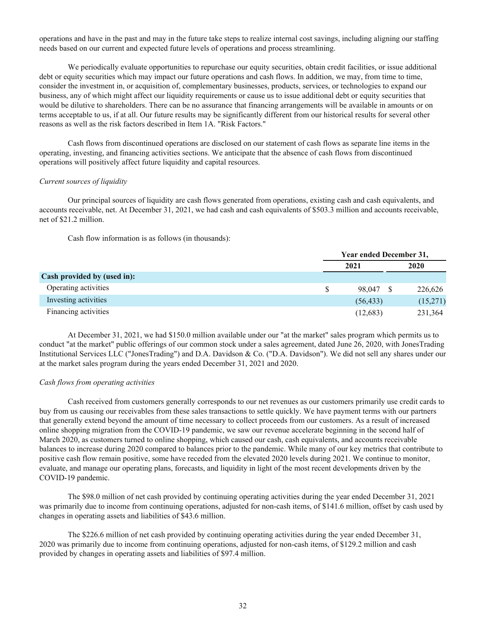operations and have in the past and may in the future take steps to realize internal cost savings, including aligning our staffing needs based on our current and expected future levels of operations and process streamlining.

We periodically evaluate opportunities to repurchase our equity securities, obtain credit facilities, or issue additional debt or equity securities which may impact our future operations and cash flows. In addition, we may, from time to time, consider the investment in, or acquisition of, complementary businesses, products, services, or technologies to expand our business, any of which might affect our liquidity requirements or cause us to issue additional debt or equity securities that would be dilutive to shareholders. There can be no assurance that financing arrangements will be available in amounts or on terms acceptable to us, if at all. Our future results may be significantly different from our historical results for several other reasons as well as the risk factors described in Item 1A. "Risk Factors."

Cash flows from discontinued operations are disclosed on our statement of cash flows as separate line items in the operating, investing, and financing activities sections. We anticipate that the absence of cash flows from discontinued operations will positively affect future liquidity and capital resources.

### *Current sources of liquidity*

Our principal sources of liquidity are cash flows generated from operations, existing cash and cash equivalents, and accounts receivable, net. At December 31, 2021, we had cash and cash equivalents of \$503.3 million and accounts receivable, net of \$21.2 million.

Cash flow information is as follows (in thousands):

|                             | Year ended December 31, |      |          |  |
|-----------------------------|-------------------------|------|----------|--|
|                             | 2021                    | 2020 |          |  |
| Cash provided by (used in): |                         |      |          |  |
| Operating activities        | 98.047                  |      | 226,626  |  |
| Investing activities        | (56, 433)               |      | (15,271) |  |
| Financing activities        | (12, 683)               |      | 231,364  |  |

At December 31, 2021, we had \$150.0 million available under our "at the market" sales program which permits us to conduct "at the market" public offerings of our common stock under a sales agreement, dated June 26, 2020, with JonesTrading Institutional Services LLC ("JonesTrading") and D.A. Davidson & Co. ("D.A. Davidson"). We did not sell any shares under our at the market sales program during the years ended December 31, 2021 and 2020.

#### *Cash flows from operating activities*

Cash received from customers generally corresponds to our net revenues as our customers primarily use credit cards to buy from us causing our receivables from these sales transactions to settle quickly. We have payment terms with our partners that generally extend beyond the amount of time necessary to collect proceeds from our customers. As a result of increased online shopping migration from the COVID-19 pandemic, we saw our revenue accelerate beginning in the second half of March 2020, as customers turned to online shopping, which caused our cash, cash equivalents, and accounts receivable balances to increase during 2020 compared to balances prior to the pandemic. While many of our key metrics that contribute to positive cash flow remain positive, some have receded from the elevated 2020 levels during 2021. We continue to monitor, evaluate, and manage our operating plans, forecasts, and liquidity in light of the most recent developments driven by the COVID-19 pandemic.

The \$98.0 million of net cash provided by continuing operating activities during the year ended December 31, 2021 was primarily due to income from continuing operations, adjusted for non-cash items, of \$141.6 million, offset by cash used by changes in operating assets and liabilities of \$43.6 million.

The \$226.6 million of net cash provided by continuing operating activities during the year ended December 31, 2020 was primarily due to income from continuing operations, adjusted for non-cash items, of \$129.2 million and cash provided by changes in operating assets and liabilities of \$97.4 million.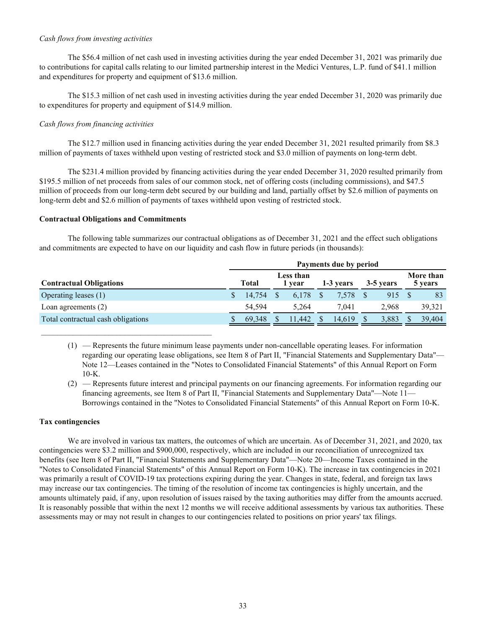## *Cash flows from investing activities*

The \$56.4 million of net cash used in investing activities during the year ended December 31, 2021 was primarily due to contributions for capital calls relating to our limited partnership interest in the Medici Ventures, L.P. fund of \$41.1 million and expenditures for property and equipment of \$13.6 million.

The \$15.3 million of net cash used in investing activities during the year ended December 31, 2020 was primarily due to expenditures for property and equipment of \$14.9 million.

## *Cash flows from financing activities*

The \$12.7 million used in financing activities during the year ended December 31, 2021 resulted primarily from \$8.3 million of payments of taxes withheld upon vesting of restricted stock and \$3.0 million of payments on long-term debt.

The \$231.4 million provided by financing activities during the year ended December 31, 2020 resulted primarily from \$195.5 million of net proceeds from sales of our common stock, net of offering costs (including commissions), and \$47.5 million of proceeds from our long-term debt secured by our building and land, partially offset by \$2.6 million of payments on long-term debt and \$2.6 million of payments of taxes withheld upon vesting of restricted stock.

## **Contractual Obligations and Commitments**

The following table summarizes our contractual obligations as of December 31, 2021 and the effect such obligations and commitments are expected to have on our liquidity and cash flow in future periods (in thousands):

|                                    | Payments due by period |                                                               |  |       |  |        |                      |       |  |        |
|------------------------------------|------------------------|---------------------------------------------------------------|--|-------|--|--------|----------------------|-------|--|--------|
| <b>Contractual Obligations</b>     |                        | Less than<br><b>Total</b><br>3-5 years<br>1-3 years<br>l vear |  |       |  |        | More than<br>5 years |       |  |        |
| Operating leases (1)               |                        | 14.754                                                        |  | 6.178 |  | 7.578  |                      | 915   |  | 83     |
| Loan agreements (2)                |                        | 54,594                                                        |  | 5.264 |  | 7.041  |                      | 2.968 |  | 39,321 |
| Total contractual cash obligations |                        | 69.348                                                        |  | .442  |  | 14.619 |                      | 3,883 |  | 39.404 |

(1) — Represents the future minimum lease payments under non-cancellable operating leases. For information regarding our operating lease obligations, see Item 8 of Part II, "Financial Statements and Supplementary Data"— Note 12—Leases contained in the "Notes to Consolidated Financial Statements" of this Annual Report on Form 10-K.

(2) — Represents future interest and principal payments on our financing agreements. For information regarding our financing agreements, see Item 8 of Part II, "Financial Statements and Supplementary Data"—Note 11— Borrowings contained in the "Notes to Consolidated Financial Statements" of this Annual Report on Form 10-K.

## **Tax contingencies**

We are involved in various tax matters, the outcomes of which are uncertain. As of December 31, 2021, and 2020, tax contingencies were \$3.2 million and \$900,000, respectively, which are included in our reconciliation of unrecognized tax benefits (see Item 8 of Part II, "Financial Statements and Supplementary Data"—Note 20—Income Taxes contained in the "Notes to Consolidated Financial Statements" of this Annual Report on Form 10-K). The increase in tax contingencies in 2021 was primarily a result of COVID-19 tax protections expiring during the year. Changes in state, federal, and foreign tax laws may increase our tax contingencies. The timing of the resolution of income tax contingencies is highly uncertain, and the amounts ultimately paid, if any, upon resolution of issues raised by the taxing authorities may differ from the amounts accrued. It is reasonably possible that within the next 12 months we will receive additional assessments by various tax authorities. These assessments may or may not result in changes to our contingencies related to positions on prior years' tax filings.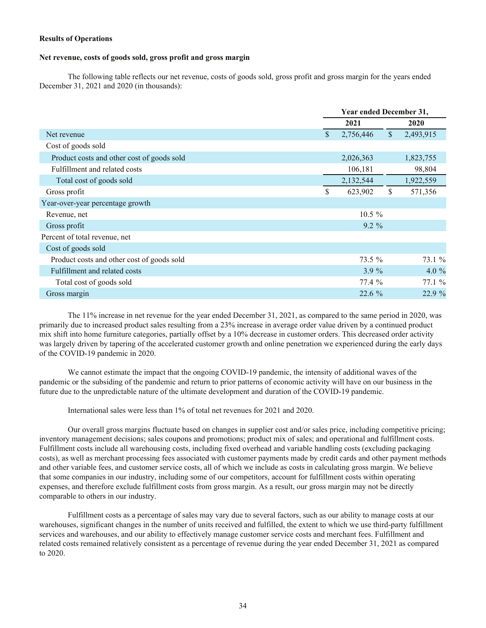## **Results of Operations**

## **Net revenue, costs of goods sold, gross profit and gross margin**

The following table reflects our net revenue, costs of goods sold, gross profit and gross margin for the years ended December 31, 2021 and 2020 (in thousands):

|                                            |              | Year ended December 31, |              |           |  |  |
|--------------------------------------------|--------------|-------------------------|--------------|-----------|--|--|
|                                            |              | 2021                    |              | 2020      |  |  |
| Net revenue                                | $\mathbb{S}$ | 2,756,446               | $\mathbb{S}$ | 2,493,915 |  |  |
| Cost of goods sold                         |              |                         |              |           |  |  |
| Product costs and other cost of goods sold |              | 2,026,363               |              | 1,823,755 |  |  |
| Fulfillment and related costs              |              | 106,181                 |              | 98,804    |  |  |
| Total cost of goods sold                   |              | 2,132,544               |              | 1,922,559 |  |  |
| Gross profit                               | \$           | 623,902                 | \$           | 571,356   |  |  |
| Year-over-year percentage growth           |              |                         |              |           |  |  |
| Revenue, net                               |              | $10.5 \%$               |              |           |  |  |
| Gross profit                               |              | $9.2\%$                 |              |           |  |  |
| Percent of total revenue, net              |              |                         |              |           |  |  |
| Cost of goods sold                         |              |                         |              |           |  |  |
| Product costs and other cost of goods sold |              | 73.5 %                  |              | 73.1 %    |  |  |
| Fulfillment and related costs              |              | $3.9\%$                 |              | 4.0 $\%$  |  |  |
| Total cost of goods sold                   |              | 77.4 %                  |              | 77.1 %    |  |  |
| Gross margin                               |              | $22.6\%$                |              | 22.9 %    |  |  |

The 11% increase in net revenue for the year ended December 31, 2021, as compared to the same period in 2020, was primarily due to increased product sales resulting from a 23% increase in average order value driven by a continued product mix shift into home furniture categories, partially offset by a 10% decrease in customer orders. This decreased order activity was largely driven by tapering of the accelerated customer growth and online penetration we experienced during the early days of the COVID-19 pandemic in 2020.

We cannot estimate the impact that the ongoing COVID-19 pandemic, the intensity of additional waves of the pandemic or the subsiding of the pandemic and return to prior patterns of economic activity will have on our business in the future due to the unpredictable nature of the ultimate development and duration of the COVID-19 pandemic.

International sales were less than 1% of total net revenues for 2021 and 2020.

Our overall gross margins fluctuate based on changes in supplier cost and/or sales price, including competitive pricing; inventory management decisions; sales coupons and promotions; product mix of sales; and operational and fulfillment costs. Fulfillment costs include all warehousing costs, including fixed overhead and variable handling costs (excluding packaging costs), as well as merchant processing fees associated with customer payments made by credit cards and other payment methods and other variable fees, and customer service costs, all of which we include as costs in calculating gross margin. We believe that some companies in our industry, including some of our competitors, account for fulfillment costs within operating expenses, and therefore exclude fulfillment costs from gross margin. As a result, our gross margin may not be directly comparable to others in our industry.

Fulfillment costs as a percentage of sales may vary due to several factors, such as our ability to manage costs at our warehouses, significant changes in the number of units received and fulfilled, the extent to which we use third-party fulfillment services and warehouses, and our ability to effectively manage customer service costs and merchant fees. Fulfillment and related costs remained relatively consistent as a percentage of revenue during the year ended December 31, 2021 as compared to 2020.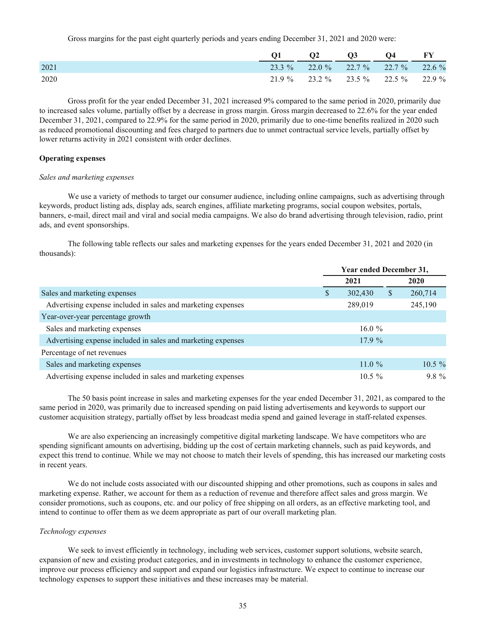Gross margins for the past eight quarterly periods and years ending December 31, 2021 and 2020 were:

|      | $\mathbf{O2}$ | $\overline{\textbf{O3}}$ | <b>O4</b>                                    | $\mathbf{F}\mathbf{Y}$ |
|------|---------------|--------------------------|----------------------------------------------|------------------------|
| 2021 |               |                          | $23.3\%$ 22.0 % 22.7 % 22.7 % 22.6 %         |                        |
| 2020 |               |                          | $21.9\%$ $23.2\%$ $23.5\%$ $22.5\%$ $22.9\%$ |                        |

Gross profit for the year ended December 31, 2021 increased 9% compared to the same period in 2020, primarily due to increased sales volume, partially offset by a decrease in gross margin. Gross margin decreased to 22.6% for the year ended December 31, 2021, compared to 22.9% for the same period in 2020, primarily due to one-time benefits realized in 2020 such as reduced promotional discounting and fees charged to partners due to unmet contractual service levels, partially offset by lower returns activity in 2021 consistent with order declines.

## **Operating expenses**

#### *Sales and marketing expenses*

We use a variety of methods to target our consumer audience, including online campaigns, such as advertising through keywords, product listing ads, display ads, search engines, affiliate marketing programs, social coupon websites, portals, banners, e-mail, direct mail and viral and social media campaigns. We also do brand advertising through television, radio, print ads, and event sponsorships.

The following table reflects our sales and marketing expenses for the years ended December 31, 2021 and 2020 (in thousands):

|                                                              | Year ended December 31, |           |    |             |
|--------------------------------------------------------------|-------------------------|-----------|----|-------------|
|                                                              |                         | 2021      |    | <b>2020</b> |
| Sales and marketing expenses                                 | S                       | 302,430   | \$ | 260,714     |
| Advertising expense included in sales and marketing expenses |                         | 289,019   |    | 245,190     |
| Year-over-year percentage growth                             |                         |           |    |             |
| Sales and marketing expenses                                 |                         | 16.0 $%$  |    |             |
| Advertising expense included in sales and marketing expenses |                         | $17.9\%$  |    |             |
| Percentage of net revenues                                   |                         |           |    |             |
| Sales and marketing expenses                                 |                         | 11.0 $\%$ |    | $10.5 \%$   |
| Advertising expense included in sales and marketing expenses |                         | $10.5 \%$ |    | $9.8 \%$    |

The 50 basis point increase in sales and marketing expenses for the year ended December 31, 2021, as compared to the same period in 2020, was primarily due to increased spending on paid listing advertisements and keywords to support our customer acquisition strategy, partially offset by less broadcast media spend and gained leverage in staff-related expenses.

We are also experiencing an increasingly competitive digital marketing landscape. We have competitors who are spending significant amounts on advertising, bidding up the cost of certain marketing channels, such as paid keywords, and expect this trend to continue. While we may not choose to match their levels of spending, this has increased our marketing costs in recent years.

We do not include costs associated with our discounted shipping and other promotions, such as coupons in sales and marketing expense. Rather, we account for them as a reduction of revenue and therefore affect sales and gross margin. We consider promotions, such as coupons, etc. and our policy of free shipping on all orders, as an effective marketing tool, and intend to continue to offer them as we deem appropriate as part of our overall marketing plan.

#### *Technology expenses*

We seek to invest efficiently in technology, including web services, customer support solutions, website search, expansion of new and existing product categories, and in investments in technology to enhance the customer experience, improve our process efficiency and support and expand our logistics infrastructure. We expect to continue to increase our technology expenses to support these initiatives and these increases may be material.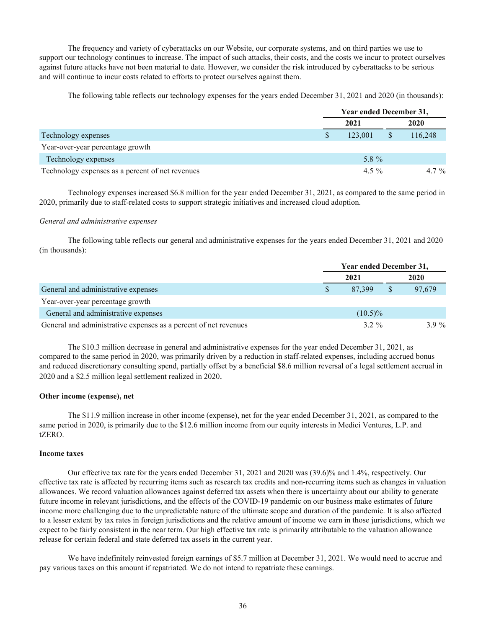The frequency and variety of cyberattacks on our Website, our corporate systems, and on third parties we use to support our technology continues to increase. The impact of such attacks, their costs, and the costs we incur to protect ourselves against future attacks have not been material to date. However, we consider the risk introduced by cyberattacks to be serious and will continue to incur costs related to efforts to protect ourselves against them.

The following table reflects our technology expenses for the years ended December 31, 2021 and 2020 (in thousands):

|                                                  | Year ended December 31, |              |         |  |
|--------------------------------------------------|-------------------------|--------------|---------|--|
|                                                  | 2021                    |              | 2020    |  |
| Technology expenses                              | 123,001                 | <sup>S</sup> | 116,248 |  |
| Year-over-year percentage growth                 |                         |              |         |  |
| Technology expenses                              | 5.8 $\%$                |              |         |  |
| Technology expenses as a percent of net revenues | $4.5\%$                 |              |         |  |

Technology expenses increased \$6.8 million for the year ended December 31, 2021, as compared to the same period in 2020, primarily due to staff-related costs to support strategic initiatives and increased cloud adoption.

#### *General and administrative expenses*

The following table reflects our general and administrative expenses for the years ended December 31, 2021 and 2020 (in thousands):

|                                                                  | Year ended December 31, |  |         |  |
|------------------------------------------------------------------|-------------------------|--|---------|--|
|                                                                  | 2021                    |  | 2020    |  |
| General and administrative expenses                              | 87.399                  |  | 97.679  |  |
| Year-over-year percentage growth                                 |                         |  |         |  |
| General and administrative expenses                              | $(10.5)\%$              |  |         |  |
| General and administrative expenses as a percent of net revenues | $32\%$                  |  | $3.9\%$ |  |

The \$10.3 million decrease in general and administrative expenses for the year ended December 31, 2021, as compared to the same period in 2020, was primarily driven by a reduction in staff-related expenses, including accrued bonus and reduced discretionary consulting spend, partially offset by a beneficial \$8.6 million reversal of a legal settlement accrual in 2020 and a \$2.5 million legal settlement realized in 2020.

#### **Other income (expense), net**

The \$11.9 million increase in other income (expense), net for the year ended December 31, 2021, as compared to the same period in 2020, is primarily due to the \$12.6 million income from our equity interests in Medici Ventures, L.P. and tZERO.

## **Income taxes**

Our effective tax rate for the years ended December 31, 2021 and 2020 was (39.6)% and 1.4%, respectively. Our effective tax rate is affected by recurring items such as research tax credits and non-recurring items such as changes in valuation allowances. We record valuation allowances against deferred tax assets when there is uncertainty about our ability to generate future income in relevant jurisdictions, and the effects of the COVID-19 pandemic on our business make estimates of future income more challenging due to the unpredictable nature of the ultimate scope and duration of the pandemic. It is also affected to a lesser extent by tax rates in foreign jurisdictions and the relative amount of income we earn in those jurisdictions, which we expect to be fairly consistent in the near term. Our high effective tax rate is primarily attributable to the valuation allowance release for certain federal and state deferred tax assets in the current year.

We have indefinitely reinvested foreign earnings of \$5.7 million at December 31, 2021. We would need to accrue and pay various taxes on this amount if repatriated. We do not intend to repatriate these earnings.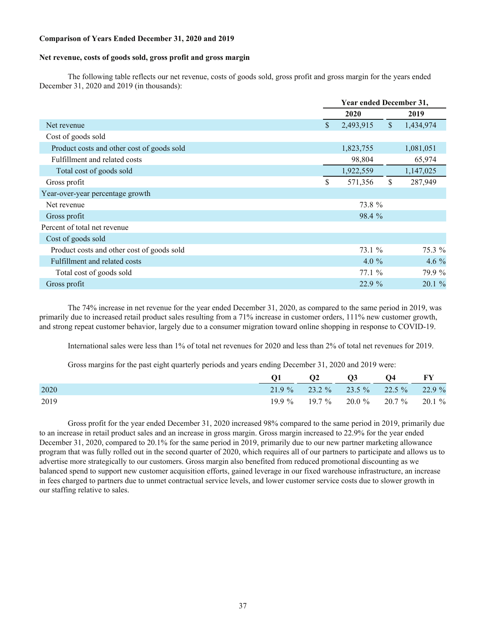## **Comparison of Years Ended December 31, 2020 and 2019**

## **Net revenue, costs of goods sold, gross profit and gross margin**

The following table reflects our net revenue, costs of goods sold, gross profit and gross margin for the years ended December 31, 2020 and 2019 (in thousands):

|                                            | Year ended December 31, |               |           |  |  |
|--------------------------------------------|-------------------------|---------------|-----------|--|--|
|                                            | 2020                    |               | 2019      |  |  |
| Net revenue                                | \$<br>2,493,915         | $\mathcal{S}$ | 1,434,974 |  |  |
| Cost of goods sold                         |                         |               |           |  |  |
| Product costs and other cost of goods sold | 1,823,755               |               | 1,081,051 |  |  |
| Fulfillment and related costs              | 98,804                  |               | 65,974    |  |  |
| Total cost of goods sold                   | 1,922,559               |               | 1,147,025 |  |  |
| Gross profit                               | \$<br>571,356           | \$            | 287,949   |  |  |
| Year-over-year percentage growth           |                         |               |           |  |  |
| Net revenue                                | 73.8 %                  |               |           |  |  |
| Gross profit                               | 98.4 %                  |               |           |  |  |
| Percent of total net revenue               |                         |               |           |  |  |
| Cost of goods sold                         |                         |               |           |  |  |
| Product costs and other cost of goods sold | 73.1 %                  |               | 75.3 %    |  |  |
| Fulfillment and related costs              | $4.0\%$                 |               | 4.6 $%$   |  |  |
| Total cost of goods sold                   | 77.1%                   |               | 79.9 %    |  |  |
| Gross profit                               | 22.9 %                  |               | $20.1 \%$ |  |  |

The 74% increase in net revenue for the year ended December 31, 2020, as compared to the same period in 2019, was primarily due to increased retail product sales resulting from a 71% increase in customer orders, 111% new customer growth, and strong repeat customer behavior, largely due to a consumer migration toward online shopping in response to COVID-19.

International sales were less than 1% of total net revenues for 2020 and less than 2% of total net revenues for 2019.

Gross margins for the past eight quarterly periods and years ending December 31, 2020 and 2019 were:

|      | O2 | Q3 | O4                                           | $\mathbf{F}\mathbf{Y}$ |
|------|----|----|----------------------------------------------|------------------------|
| 2020 |    |    | $21.9\%$ $23.2\%$ $23.5\%$ $22.5\%$ $22.9\%$ |                        |
| 2019 |    |    | $19.9\%$ $19.7\%$ $20.0\%$ $20.7\%$ $20.1\%$ |                        |

Gross profit for the year ended December 31, 2020 increased 98% compared to the same period in 2019, primarily due to an increase in retail product sales and an increase in gross margin. Gross margin increased to 22.9% for the year ended December 31, 2020, compared to 20.1% for the same period in 2019, primarily due to our new partner marketing allowance program that was fully rolled out in the second quarter of 2020, which requires all of our partners to participate and allows us to advertise more strategically to our customers. Gross margin also benefited from reduced promotional discounting as we balanced spend to support new customer acquisition efforts, gained leverage in our fixed warehouse infrastructure, an increase in fees charged to partners due to unmet contractual service levels, and lower customer service costs due to slower growth in our staffing relative to sales.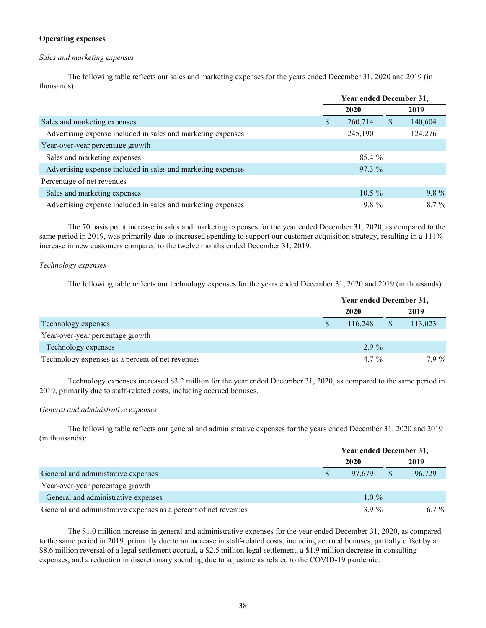## **Operating expenses**

# *Sales and marketing expenses*

The following table reflects our sales and marketing expenses for the years ended December 31, 2020 and 2019 (in thousands):

|                                                              | Year ended December 31, |           |   |         |  |  |
|--------------------------------------------------------------|-------------------------|-----------|---|---------|--|--|
|                                                              |                         | 2020      |   | 2019    |  |  |
| Sales and marketing expenses                                 | <b>S</b>                | 260,714   | S | 140,604 |  |  |
| Advertising expense included in sales and marketing expenses |                         | 245,190   |   | 124,276 |  |  |
| Year-over-year percentage growth                             |                         |           |   |         |  |  |
| Sales and marketing expenses                                 |                         | 85.4%     |   |         |  |  |
| Advertising expense included in sales and marketing expenses |                         | $97.3\%$  |   |         |  |  |
| Percentage of net revenues                                   |                         |           |   |         |  |  |
| Sales and marketing expenses                                 |                         | $10.5 \%$ |   | $9.8\%$ |  |  |
| Advertising expense included in sales and marketing expenses |                         | $9.8\%$   |   | $8.7\%$ |  |  |

The 70 basis point increase in sales and marketing expenses for the year ended December 31, 2020, as compared to the same period in 2019, was primarily due to increased spending to support our customer acquisition strategy, resulting in a 111% increase in new customers compared to the twelve months ended December 31, 2019.

## *Technology expenses*

The following table reflects our technology expenses for the years ended December 31, 2020 and 2019 (in thousands):

|                                                  |  | Year ended December 31, |      |         |  |  |  |
|--------------------------------------------------|--|-------------------------|------|---------|--|--|--|
|                                                  |  | 2020                    | 2019 |         |  |  |  |
| Technology expenses                              |  | 116.248                 | S    | 113,023 |  |  |  |
| Year-over-year percentage growth                 |  |                         |      |         |  |  |  |
| Technology expenses                              |  | $2.9\%$                 |      |         |  |  |  |
| Technology expenses as a percent of net revenues |  | 4.7 $\%$                |      | $7.9\%$ |  |  |  |

Technology expenses increased \$3.2 million for the year ended December 31, 2020, as compared to the same period in 2019, primarily due to staff-related costs, including accrued bonuses.

## *General and administrative expenses*

The following table reflects our general and administrative expenses for the years ended December 31, 2020 and 2019 (in thousands):

|                                                                  | Year ended December 31, |               |         |  |  |  |
|------------------------------------------------------------------|-------------------------|---------------|---------|--|--|--|
|                                                                  | 2020                    |               | 2019    |  |  |  |
| General and administrative expenses                              | 97.679                  | <sup>\$</sup> | 96,729  |  |  |  |
| Year-over-year percentage growth                                 |                         |               |         |  |  |  |
| General and administrative expenses                              | $1.0\%$                 |               |         |  |  |  |
| General and administrative expenses as a percent of net revenues | 3.9 %                   |               | $6.7\%$ |  |  |  |

The \$1.0 million increase in general and administrative expenses for the year ended December 31, 2020, as compared to the same period in 2019, primarily due to an increase in staff-related costs, including accrued bonuses, partially offset by an \$8.6 million reversal of a legal settlement accrual, a \$2.5 million legal settlement, a \$1.9 million decrease in consulting expenses, and a reduction in discretionary spending due to adjustments related to the COVID-19 pandemic.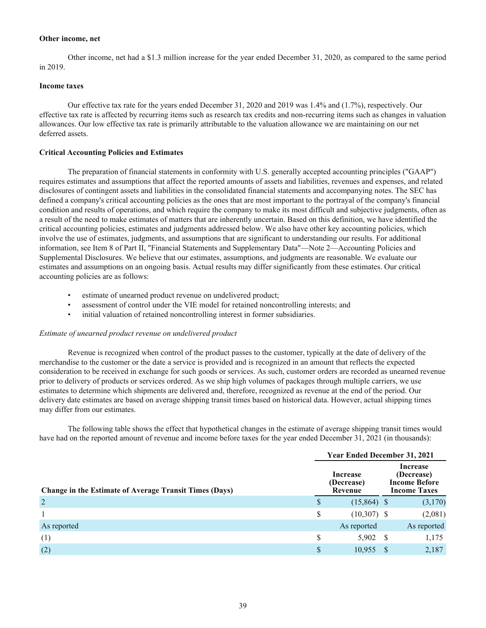## **Other income, net**

Other income, net had a \$1.3 million increase for the year ended December 31, 2020, as compared to the same period in 2019.

#### **Income taxes**

Our effective tax rate for the years ended December 31, 2020 and 2019 was 1.4% and (1.7%), respectively. Our effective tax rate is affected by recurring items such as research tax credits and non-recurring items such as changes in valuation allowances. Our low effective tax rate is primarily attributable to the valuation allowance we are maintaining on our net deferred assets.

#### **Critical Accounting Policies and Estimates**

The preparation of financial statements in conformity with U.S. generally accepted accounting principles ("GAAP") requires estimates and assumptions that affect the reported amounts of assets and liabilities, revenues and expenses, and related disclosures of contingent assets and liabilities in the consolidated financial statements and accompanying notes. The SEC has defined a company's critical accounting policies as the ones that are most important to the portrayal of the company's financial condition and results of operations, and which require the company to make its most difficult and subjective judgments, often as a result of the need to make estimates of matters that are inherently uncertain. Based on this definition, we have identified the critical accounting policies, estimates and judgments addressed below. We also have other key accounting policies, which involve the use of estimates, judgments, and assumptions that are significant to understanding our results. For additional information, see Item 8 of Part II, "Financial Statements and Supplementary Data"—Note 2—Accounting Policies and Supplemental Disclosures. We believe that our estimates, assumptions, and judgments are reasonable. We evaluate our estimates and assumptions on an ongoing basis. Actual results may differ significantly from these estimates. Our critical accounting policies are as follows:

- estimate of unearned product revenue on undelivered product;
- assessment of control under the VIE model for retained noncontrolling interests; and
- initial valuation of retained noncontrolling interest in former subsidiaries.

## *Estimate of unearned product revenue on undelivered product*

Revenue is recognized when control of the product passes to the customer, typically at the date of delivery of the merchandise to the customer or the date a service is provided and is recognized in an amount that reflects the expected consideration to be received in exchange for such goods or services. As such, customer orders are recorded as unearned revenue prior to delivery of products or services ordered. As we ship high volumes of packages through multiple carriers, we use estimates to determine which shipments are delivered and, therefore, recognized as revenue at the end of the period. Our delivery date estimates are based on average shipping transit times based on historical data. However, actual shipping times may differ from our estimates.

The following table shows the effect that hypothetical changes in the estimate of average shipping transit times would have had on the reported amount of revenue and income before taxes for the year ended December 31, 2021 (in thousands):

|                                                               | <b>Year Ended December 31, 2021</b> |               |     |             |                                          |  |  |  |
|---------------------------------------------------------------|-------------------------------------|---------------|-----|-------------|------------------------------------------|--|--|--|
| <b>Change in the Estimate of Average Transit Times (Days)</b> |                                     |               |     |             | <b>Increase</b><br>(Decrease)<br>Revenue |  |  |  |
| 2                                                             | S                                   | $(15,864)$ \$ |     | (3,170)     |                                          |  |  |  |
|                                                               | \$                                  | $(10,307)$ \$ |     | (2,081)     |                                          |  |  |  |
| As reported                                                   |                                     | As reported   |     | As reported |                                          |  |  |  |
| (1)                                                           | \$                                  | 5,902         | - S | 1,175       |                                          |  |  |  |
| (2)                                                           |                                     | 10,955        |     | 2,187       |                                          |  |  |  |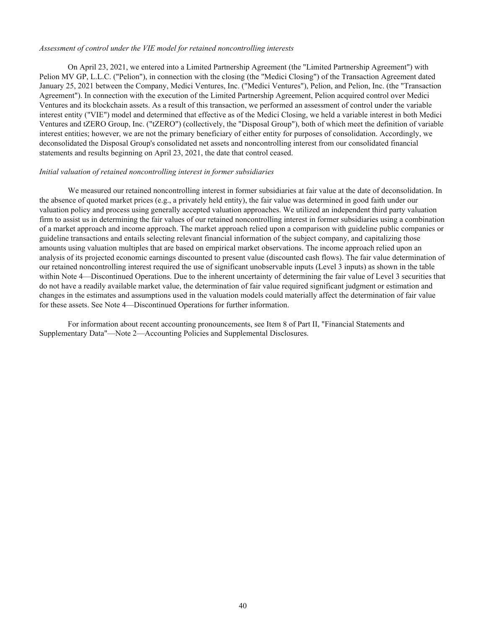#### *Assessment of control under the VIE model for retained noncontrolling interests*

On April 23, 2021, we entered into a Limited Partnership Agreement (the "Limited Partnership Agreement") with Pelion MV GP, L.L.C. ("Pelion"), in connection with the closing (the "Medici Closing") of the Transaction Agreement dated January 25, 2021 between the Company, Medici Ventures, Inc. ("Medici Ventures"), Pelion, and Pelion, Inc. (the "Transaction Agreement"). In connection with the execution of the Limited Partnership Agreement, Pelion acquired control over Medici Ventures and its blockchain assets. As a result of this transaction, we performed an assessment of control under the variable interest entity ("VIE") model and determined that effective as of the Medici Closing, we held a variable interest in both Medici Ventures and tZERO Group, Inc. ("tZERO") (collectively, the "Disposal Group"), both of which meet the definition of variable interest entities; however, we are not the primary beneficiary of either entity for purposes of consolidation. Accordingly, we deconsolidated the Disposal Group's consolidated net assets and noncontrolling interest from our consolidated financial statements and results beginning on April 23, 2021, the date that control ceased.

#### *Initial valuation of retained noncontrolling interest in former subsidiaries*

We measured our retained noncontrolling interest in former subsidiaries at fair value at the date of deconsolidation. In the absence of quoted market prices (e.g., a privately held entity), the fair value was determined in good faith under our valuation policy and process using generally accepted valuation approaches. We utilized an independent third party valuation firm to assist us in determining the fair values of our retained noncontrolling interest in former subsidiaries using a combination of a market approach and income approach. The market approach relied upon a comparison with guideline public companies or guideline transactions and entails selecting relevant financial information of the subject company, and capitalizing those amounts using valuation multiples that are based on empirical market observations. The income approach relied upon an analysis of its projected economic earnings discounted to present value (discounted cash flows). The fair value determination of our retained noncontrolling interest required the use of significant unobservable inputs (Level 3 inputs) as shown in the table within Note 4—Discontinued Operations. Due to the inherent uncertainty of determining the fair value of Level 3 securities that do not have a readily available market value, the determination of fair value required significant judgment or estimation and changes in the estimates and assumptions used in the valuation models could materially affect the determination of fair value for these assets. See Note 4—Discontinued Operations for further information.

For information about recent accounting pronouncements, see Item 8 of Part II, "Financial Statements and Supplementary Data"—Note 2—Accounting Policies and Supplemental Disclosures.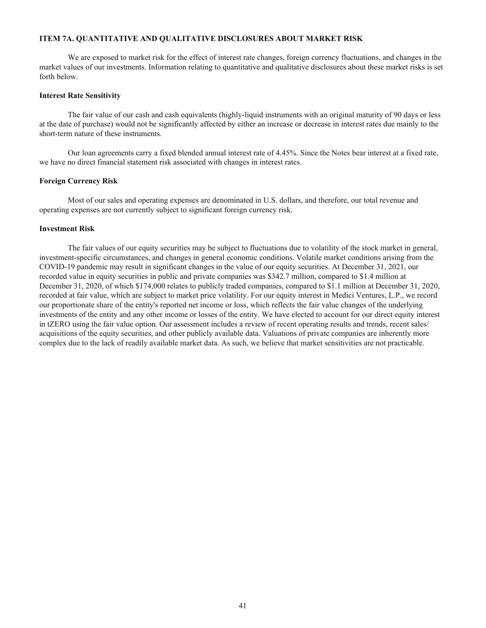#### **ITEM 7A. QUANTITATIVE AND QUALITATIVE DISCLOSURES ABOUT MARKET RISK**

We are exposed to market risk for the effect of interest rate changes, foreign currency fluctuations, and changes in the market values of our investments. Information relating to quantitative and qualitative disclosures about these market risks is set forth below.

## **Interest Rate Sensitivity**

The fair value of our cash and cash equivalents (highly-liquid instruments with an original maturity of 90 days or less at the date of purchase) would not be significantly affected by either an increase or decrease in interest rates due mainly to the short-term nature of these instruments.

Our loan agreements carry a fixed blended annual interest rate of 4.45%. Since the Notes bear interest at a fixed rate, we have no direct financial statement risk associated with changes in interest rates.

#### **Foreign Currency Risk**

Most of our sales and operating expenses are denominated in U.S. dollars, and therefore, our total revenue and operating expenses are not currently subject to significant foreign currency risk.

#### **Investment Risk**

The fair values of our equity securities may be subject to fluctuations due to volatility of the stock market in general, investment-specific circumstances, and changes in general economic conditions. Volatile market conditions arising from the COVID-19 pandemic may result in significant changes in the value of our equity securities. At December 31, 2021, our recorded value in equity securities in public and private companies was \$342.7 million, compared to \$1.4 million at December 31, 2020, of which \$174,000 relates to publicly traded companies, compared to \$1.1 million at December 31, 2020, recorded at fair value, which are subject to market price volatility. For our equity interest in Medici Ventures, L.P., we record our proportionate share of the entity's reported net income or loss, which reflects the fair value changes of the underlying investments of the entity and any other income or losses of the entity. We have elected to account for our direct equity interest in tZERO using the fair value option. Our assessment includes a review of recent operating results and trends, recent sales/ acquisitions of the equity securities, and other publicly available data. Valuations of private companies are inherently more complex due to the lack of readily available market data. As such, we believe that market sensitivities are not practicable.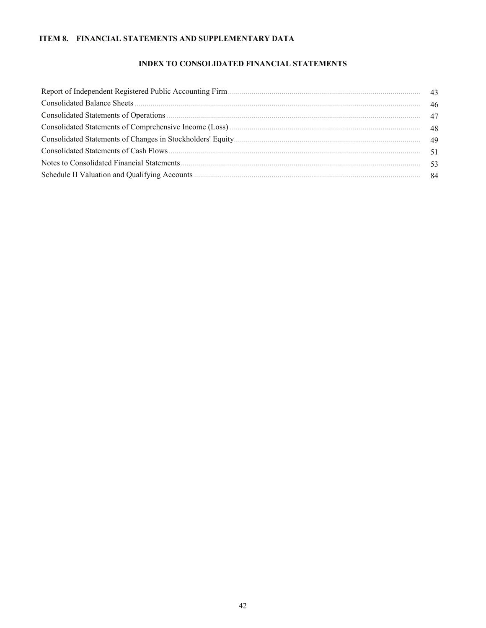# **ITEM 8. FINANCIAL STATEMENTS AND SUPPLEMENTARY DATA**

# **INDEX TO CONSOLIDATED FINANCIAL STATEMENTS**

| 43   |
|------|
| -46  |
| 47   |
| -48  |
| - 49 |
| 51   |
| -53  |
| -84  |
|      |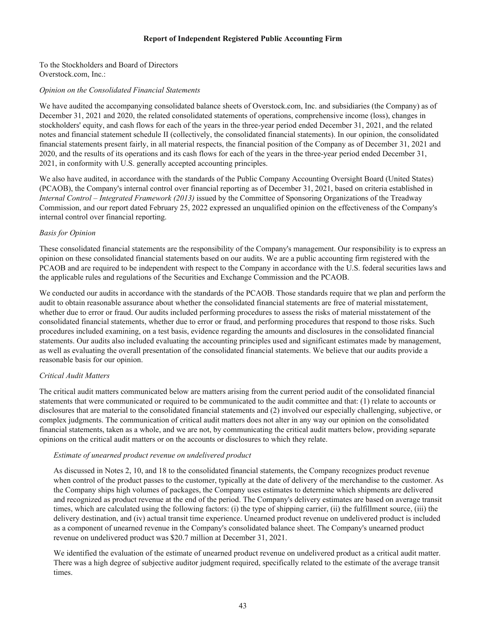## **Report of Independent Registered Public Accounting Firm**

To the Stockholders and Board of Directors Overstock.com, Inc.:

## *Opinion on the Consolidated Financial Statements*

We have audited the accompanying consolidated balance sheets of Overstock.com, Inc. and subsidiaries (the Company) as of December 31, 2021 and 2020, the related consolidated statements of operations, comprehensive income (loss), changes in stockholders' equity, and cash flows for each of the years in the three-year period ended December 31, 2021, and the related notes and financial statement schedule II (collectively, the consolidated financial statements). In our opinion, the consolidated financial statements present fairly, in all material respects, the financial position of the Company as of December 31, 2021 and 2020, and the results of its operations and its cash flows for each of the years in the three-year period ended December 31, 2021, in conformity with U.S. generally accepted accounting principles.

We also have audited, in accordance with the standards of the Public Company Accounting Oversight Board (United States) (PCAOB), the Company's internal control over financial reporting as of December 31, 2021, based on criteria established in *Internal Control – Integrated Framework (2013)* issued by the Committee of Sponsoring Organizations of the Treadway Commission, and our report dated February 25, 2022 expressed an unqualified opinion on the effectiveness of the Company's internal control over financial reporting.

## *Basis for Opinion*

These consolidated financial statements are the responsibility of the Company's management. Our responsibility is to express an opinion on these consolidated financial statements based on our audits. We are a public accounting firm registered with the PCAOB and are required to be independent with respect to the Company in accordance with the U.S. federal securities laws and the applicable rules and regulations of the Securities and Exchange Commission and the PCAOB.

We conducted our audits in accordance with the standards of the PCAOB. Those standards require that we plan and perform the audit to obtain reasonable assurance about whether the consolidated financial statements are free of material misstatement, whether due to error or fraud. Our audits included performing procedures to assess the risks of material misstatement of the consolidated financial statements, whether due to error or fraud, and performing procedures that respond to those risks. Such procedures included examining, on a test basis, evidence regarding the amounts and disclosures in the consolidated financial statements. Our audits also included evaluating the accounting principles used and significant estimates made by management, as well as evaluating the overall presentation of the consolidated financial statements. We believe that our audits provide a reasonable basis for our opinion.

## *Critical Audit Matters*

The critical audit matters communicated below are matters arising from the current period audit of the consolidated financial statements that were communicated or required to be communicated to the audit committee and that: (1) relate to accounts or disclosures that are material to the consolidated financial statements and (2) involved our especially challenging, subjective, or complex judgments. The communication of critical audit matters does not alter in any way our opinion on the consolidated financial statements, taken as a whole, and we are not, by communicating the critical audit matters below, providing separate opinions on the critical audit matters or on the accounts or disclosures to which they relate.

## *Estimate of unearned product revenue on undelivered product*

As discussed in Notes 2, 10, and 18 to the consolidated financial statements, the Company recognizes product revenue when control of the product passes to the customer, typically at the date of delivery of the merchandise to the customer. As the Company ships high volumes of packages, the Company uses estimates to determine which shipments are delivered and recognized as product revenue at the end of the period. The Company's delivery estimates are based on average transit times, which are calculated using the following factors: (i) the type of shipping carrier, (ii) the fulfillment source, (iii) the delivery destination, and (iv) actual transit time experience. Unearned product revenue on undelivered product is included as a component of unearned revenue in the Company's consolidated balance sheet. The Company's unearned product revenue on undelivered product was \$20.7 million at December 31, 2021.

We identified the evaluation of the estimate of unearned product revenue on undelivered product as a critical audit matter. There was a high degree of subjective auditor judgment required, specifically related to the estimate of the average transit times.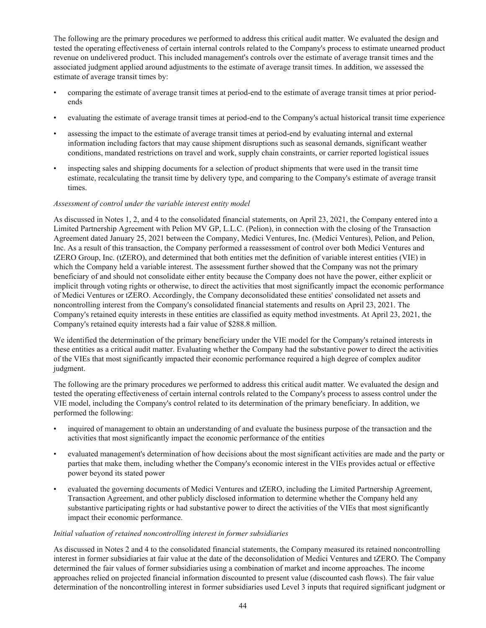The following are the primary procedures we performed to address this critical audit matter. We evaluated the design and tested the operating effectiveness of certain internal controls related to the Company's process to estimate unearned product revenue on undelivered product. This included management's controls over the estimate of average transit times and the associated judgment applied around adjustments to the estimate of average transit times. In addition, we assessed the estimate of average transit times by:

- comparing the estimate of average transit times at period-end to the estimate of average transit times at prior periodends
- evaluating the estimate of average transit times at period-end to the Company's actual historical transit time experience
- assessing the impact to the estimate of average transit times at period-end by evaluating internal and external information including factors that may cause shipment disruptions such as seasonal demands, significant weather conditions, mandated restrictions on travel and work, supply chain constraints, or carrier reported logistical issues
- inspecting sales and shipping documents for a selection of product shipments that were used in the transit time estimate, recalculating the transit time by delivery type, and comparing to the Company's estimate of average transit times.

# *Assessment of control under the variable interest entity model*

As discussed in Notes 1, 2, and 4 to the consolidated financial statements, on April 23, 2021, the Company entered into a Limited Partnership Agreement with Pelion MV GP, L.L.C. (Pelion), in connection with the closing of the Transaction Agreement dated January 25, 2021 between the Company, Medici Ventures, Inc. (Medici Ventures), Pelion, and Pelion, Inc. As a result of this transaction, the Company performed a reassessment of control over both Medici Ventures and tZERO Group, Inc. (tZERO), and determined that both entities met the definition of variable interest entities (VIE) in which the Company held a variable interest. The assessment further showed that the Company was not the primary beneficiary of and should not consolidate either entity because the Company does not have the power, either explicit or implicit through voting rights or otherwise, to direct the activities that most significantly impact the economic performance of Medici Ventures or tZERO. Accordingly, the Company deconsolidated these entities' consolidated net assets and noncontrolling interest from the Company's consolidated financial statements and results on April 23, 2021. The Company's retained equity interests in these entities are classified as equity method investments. At April 23, 2021, the Company's retained equity interests had a fair value of \$288.8 million.

We identified the determination of the primary beneficiary under the VIE model for the Company's retained interests in these entities as a critical audit matter. Evaluating whether the Company had the substantive power to direct the activities of the VIEs that most significantly impacted their economic performance required a high degree of complex auditor judgment.

The following are the primary procedures we performed to address this critical audit matter. We evaluated the design and tested the operating effectiveness of certain internal controls related to the Company's process to assess control under the VIE model, including the Company's control related to its determination of the primary beneficiary. In addition, we performed the following:

- inquired of management to obtain an understanding of and evaluate the business purpose of the transaction and the activities that most significantly impact the economic performance of the entities
- evaluated management's determination of how decisions about the most significant activities are made and the party or parties that make them, including whether the Company's economic interest in the VIEs provides actual or effective power beyond its stated power
- evaluated the governing documents of Medici Ventures and tZERO, including the Limited Partnership Agreement, Transaction Agreement, and other publicly disclosed information to determine whether the Company held any substantive participating rights or had substantive power to direct the activities of the VIEs that most significantly impact their economic performance.

## *Initial valuation of retained noncontrolling interest in former subsidiaries*

As discussed in Notes 2 and 4 to the consolidated financial statements, the Company measured its retained noncontrolling interest in former subsidiaries at fair value at the date of the deconsolidation of Medici Ventures and tZERO. The Company determined the fair values of former subsidiaries using a combination of market and income approaches. The income approaches relied on projected financial information discounted to present value (discounted cash flows). The fair value determination of the noncontrolling interest in former subsidiaries used Level 3 inputs that required significant judgment or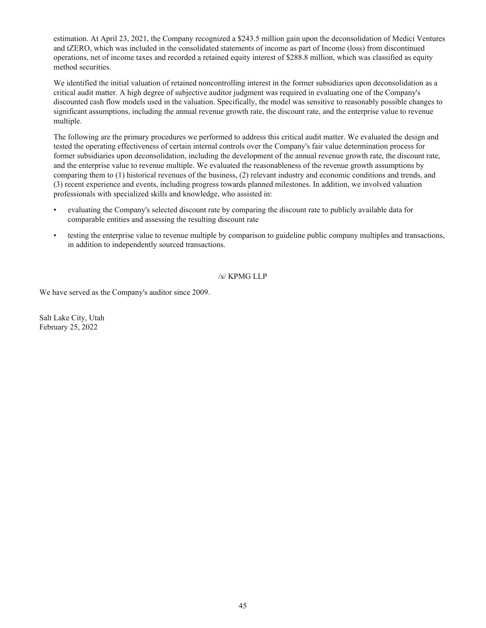estimation. At April 23, 2021, the Company recognized a \$243.5 million gain upon the deconsolidation of Medici Ventures and tZERO, which was included in the consolidated statements of income as part of Income (loss) from discontinued operations, net of income taxes and recorded a retained equity interest of \$288.8 million, which was classified as equity method securities.

We identified the initial valuation of retained noncontrolling interest in the former subsidiaries upon deconsolidation as a critical audit matter. A high degree of subjective auditor judgment was required in evaluating one of the Company's discounted cash flow models used in the valuation. Specifically, the model was sensitive to reasonably possible changes to significant assumptions, including the annual revenue growth rate, the discount rate, and the enterprise value to revenue multiple.

The following are the primary procedures we performed to address this critical audit matter. We evaluated the design and tested the operating effectiveness of certain internal controls over the Company's fair value determination process for former subsidiaries upon deconsolidation, including the development of the annual revenue growth rate, the discount rate, and the enterprise value to revenue multiple. We evaluated the reasonableness of the revenue growth assumptions by comparing them to (1) historical revenues of the business, (2) relevant industry and economic conditions and trends, and (3) recent experience and events, including progress towards planned milestones. In addition, we involved valuation professionals with specialized skills and knowledge, who assisted in:

- evaluating the Company's selected discount rate by comparing the discount rate to publicly available data for comparable entities and assessing the resulting discount rate
- testing the enterprise value to revenue multiple by comparison to guideline public company multiples and transactions, in addition to independently sourced transactions.

# /s/ KPMG LLP

We have served as the Company's auditor since 2009.

Salt Lake City, Utah February 25, 2022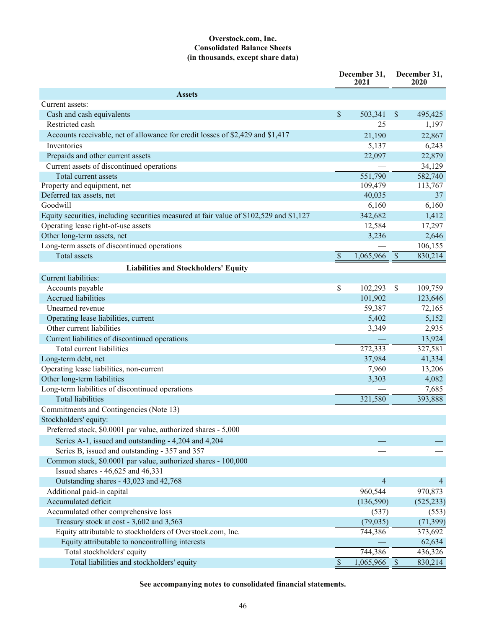# **Overstock.com, Inc. Consolidated Balance Sheets (in thousands, except share data)**

|                                                                                         | December 31,<br>2021 |                |               | December 31,<br>2020 |
|-----------------------------------------------------------------------------------------|----------------------|----------------|---------------|----------------------|
| <b>Assets</b>                                                                           |                      |                |               |                      |
| Current assets:                                                                         |                      |                |               |                      |
| Cash and cash equivalents                                                               | \$                   | 503,341        | <sup>S</sup>  | 495,425              |
| Restricted cash                                                                         |                      | 25             |               | 1,197                |
| Accounts receivable, net of allowance for credit losses of \$2,429 and \$1,417          |                      | 21,190         |               | 22,867               |
| Inventories                                                                             |                      | 5,137          |               | 6,243                |
| Prepaids and other current assets                                                       |                      | 22,097         |               | 22,879               |
| Current assets of discontinued operations                                               |                      |                |               | 34,129               |
| Total current assets                                                                    |                      | 551,790        |               | 582,740              |
| Property and equipment, net                                                             |                      | 109,479        |               | 113,767              |
| Deferred tax assets, net                                                                |                      | 40,035         |               | 37                   |
| Goodwill                                                                                |                      | 6,160          |               | 6,160                |
| Equity securities, including securities measured at fair value of \$102,529 and \$1,127 |                      | 342,682        |               | 1,412                |
| Operating lease right-of-use assets                                                     |                      | 12,584         |               | 17,297               |
| Other long-term assets, net                                                             |                      | 3,236          |               | 2,646                |
| Long-term assets of discontinued operations                                             |                      |                |               | 106,155              |
| <b>Total assets</b>                                                                     | $\mathcal{S}$        | 1,065,966      | $\mathcal{S}$ | 830,214              |
| <b>Liabilities and Stockholders' Equity</b>                                             |                      |                |               |                      |
| Current liabilities:                                                                    |                      |                |               |                      |
| Accounts payable                                                                        | \$                   | 102,293        | \$            | 109,759              |
| <b>Accrued liabilities</b>                                                              |                      | 101,902        |               | 123,646              |
| Unearned revenue                                                                        |                      | 59,387         |               | 72,165               |
| Operating lease liabilities, current                                                    |                      | 5,402          |               | 5,152                |
| Other current liabilities                                                               |                      | 3,349          |               | 2,935                |
| Current liabilities of discontinued operations                                          |                      |                |               | 13,924               |
| Total current liabilities                                                               |                      | 272,333        |               | 327,581              |
| Long-term debt, net                                                                     |                      | 37,984         |               | 41,334               |
| Operating lease liabilities, non-current                                                |                      | 7,960          |               | 13,206               |
| Other long-term liabilities                                                             |                      | 3,303          |               | 4,082                |
| Long-term liabilities of discontinued operations                                        |                      |                |               | 7,685                |
| <b>Total liabilities</b>                                                                |                      | 321,580        |               | 393,888              |
| Commitments and Contingencies (Note 13)                                                 |                      |                |               |                      |
| Stockholders' equity:                                                                   |                      |                |               |                      |
| Preferred stock, \$0.0001 par value, authorized shares - 5,000                          |                      |                |               |                      |
| Series A-1, issued and outstanding - 4,204 and 4,204                                    |                      |                |               |                      |
| Series B, issued and outstanding - 357 and 357                                          |                      |                |               |                      |
| Common stock, \$0.0001 par value, authorized shares - 100,000                           |                      |                |               |                      |
| Issued shares - 46,625 and 46,331                                                       |                      |                |               |                      |
| Outstanding shares - 43,023 and 42,768                                                  |                      | $\overline{4}$ |               | $\overline{4}$       |
| Additional paid-in capital                                                              |                      | 960,544        |               | 970,873              |
| Accumulated deficit                                                                     |                      | (136,590)      |               | (525, 233)           |
| Accumulated other comprehensive loss                                                    |                      | (537)          |               | (553)                |
| Treasury stock at cost - 3,602 and 3,563                                                |                      | (79, 035)      |               | (71, 399)            |
| Equity attributable to stockholders of Overstock.com, Inc.                              |                      | 744,386        |               | 373,692              |
| Equity attributable to noncontrolling interests                                         |                      |                |               | 62,634               |
| Total stockholders' equity                                                              |                      | 744,386        |               | 436,326              |
| Total liabilities and stockholders' equity                                              | $\mathbb{S}$         | 1,065,966      | $\mathcal{S}$ | 830,214              |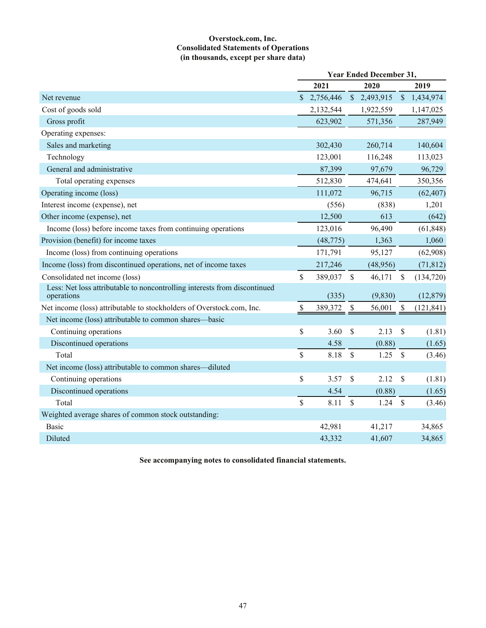# **Overstock.com, Inc. Consolidated Statements of Operations (in thousands, except per share data)**

|                                                                                         | <b>Year Ended December 31,</b> |           |               |             |               |            |
|-----------------------------------------------------------------------------------------|--------------------------------|-----------|---------------|-------------|---------------|------------|
|                                                                                         |                                | 2021      |               | 2020        |               | 2019       |
| Net revenue                                                                             | <sup>\$</sup>                  | 2,756,446 |               | \$2,493,915 | $\mathcal{S}$ | 1,434,974  |
| Cost of goods sold                                                                      |                                | 2,132,544 |               | 1,922,559   |               | 1,147,025  |
| Gross profit                                                                            |                                | 623,902   |               | 571,356     |               | 287,949    |
| Operating expenses:                                                                     |                                |           |               |             |               |            |
| Sales and marketing                                                                     |                                | 302,430   |               | 260,714     |               | 140,604    |
| Technology                                                                              |                                | 123,001   |               | 116,248     |               | 113,023    |
| General and administrative                                                              |                                | 87,399    |               | 97,679      |               | 96,729     |
| Total operating expenses                                                                |                                | 512,830   |               | 474,641     |               | 350,356    |
| Operating income (loss)                                                                 |                                | 111,072   |               | 96,715      |               | (62, 407)  |
| Interest income (expense), net                                                          |                                | (556)     |               | (838)       |               | 1,201      |
| Other income (expense), net                                                             |                                | 12,500    |               | 613         |               | (642)      |
| Income (loss) before income taxes from continuing operations                            |                                | 123,016   |               | 96,490      |               | (61, 848)  |
| Provision (benefit) for income taxes                                                    |                                | (48, 775) |               | 1,363       |               | 1,060      |
| Income (loss) from continuing operations                                                |                                | 171,791   |               | 95,127      |               | (62,908)   |
| Income (loss) from discontinued operations, net of income taxes                         |                                | 217,246   |               | (48,956)    |               | (71, 812)  |
| Consolidated net income (loss)                                                          | \$                             | 389,037   | $\mathsf{\$}$ | 46,171      | $\mathcal{S}$ | (134, 720) |
| Less: Net loss attributable to noncontrolling interests from discontinued<br>operations |                                | (335)     |               | (9,830)     |               | (12, 879)  |
| Net income (loss) attributable to stockholders of Overstock.com, Inc.                   | $\boldsymbol{\mathsf{S}}$      | 389,372   | $\$$          | 56,001      | $\mathcal{S}$ | (121, 841) |
| Net income (loss) attributable to common shares—basic                                   |                                |           |               |             |               |            |
| Continuing operations                                                                   | \$                             | 3.60      | \$            | 2.13        | \$            | (1.81)     |
| Discontinued operations                                                                 |                                | 4.58      |               | (0.88)      |               | (1.65)     |
| Total                                                                                   | \$                             | 8.18      | $\mathsf{\$}$ | 1.25        | $\mathcal{S}$ | (3.46)     |
| Net income (loss) attributable to common shares—diluted                                 |                                |           |               |             |               |            |
| Continuing operations                                                                   | \$                             | 3.57      | S             | 2.12        | S             | (1.81)     |
| Discontinued operations                                                                 |                                | 4.54      |               | (0.88)      |               | (1.65)     |
| Total                                                                                   | \$                             | 8.11      | $\mathsf{\$}$ | 1.24        | $\mathcal{S}$ | (3.46)     |
| Weighted average shares of common stock outstanding:                                    |                                |           |               |             |               |            |
| <b>Basic</b>                                                                            |                                | 42,981    |               | 41,217      |               | 34,865     |
| Diluted                                                                                 |                                | 43,332    |               | 41,607      |               | 34,865     |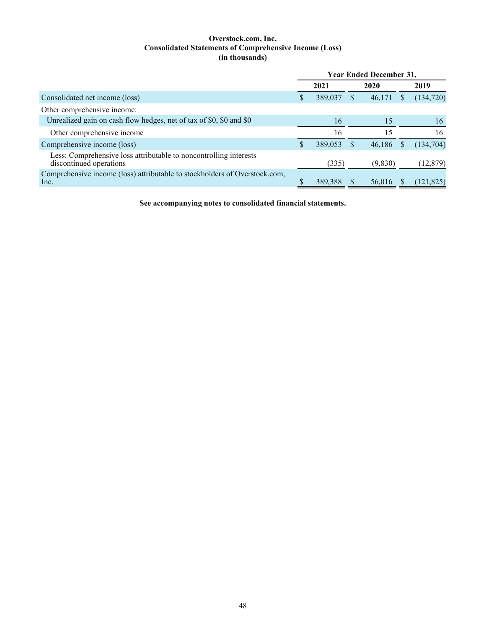# **Overstock.com, Inc. Consolidated Statements of Comprehensive Income (Loss) (in thousands)**

|                                                                                               | <b>Year Ended December 31,</b> |         |  |         |  |            |
|-----------------------------------------------------------------------------------------------|--------------------------------|---------|--|---------|--|------------|
|                                                                                               |                                | 2021    |  | 2020    |  | 2019       |
| Consolidated net income (loss)                                                                | D                              | 389,037 |  | 46,171  |  | (134, 720) |
| Other comprehensive income:                                                                   |                                |         |  |         |  |            |
| Unrealized gain on cash flow hedges, net of tax of \$0, \$0 and \$0                           |                                | 16      |  | 15      |  | 16         |
| Other comprehensive income                                                                    |                                | 16      |  | 15      |  | 16         |
| Comprehensive income (loss)                                                                   |                                | 389,053 |  | 46,186  |  | (134,704)  |
| Less: Comprehensive loss attributable to noncontrolling interests—<br>discontinued operations |                                | (335)   |  | (9,830) |  | (12, 879)  |
| Comprehensive income (loss) attributable to stockholders of Overstock.com,<br>Inc.            |                                | 389,388 |  | 56,016  |  | (121, 825) |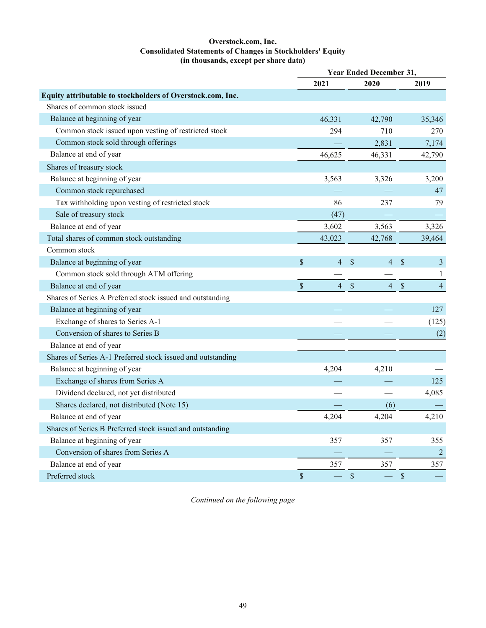# **Overstock.com, Inc. Consolidated Statements of Changes in Stockholders' Equity (in thousands, except per share data)**

|                                                             |                           | <b>Year Ended December 31,</b> |                           |                          |               |                |
|-------------------------------------------------------------|---------------------------|--------------------------------|---------------------------|--------------------------|---------------|----------------|
|                                                             |                           | 2021                           |                           | 2020                     |               | 2019           |
| Equity attributable to stockholders of Overstock.com, Inc.  |                           |                                |                           |                          |               |                |
| Shares of common stock issued                               |                           |                                |                           |                          |               |                |
| Balance at beginning of year                                |                           | 46,331                         |                           | 42,790                   |               | 35,346         |
| Common stock issued upon vesting of restricted stock        |                           | 294                            |                           | 710                      |               | 270            |
| Common stock sold through offerings                         |                           |                                |                           | 2,831                    |               | 7,174          |
| Balance at end of year                                      |                           | 46,625                         |                           | 46,331                   |               | 42,790         |
| Shares of treasury stock                                    |                           |                                |                           |                          |               |                |
| Balance at beginning of year                                |                           | 3,563                          |                           | 3,326                    |               | 3,200          |
| Common stock repurchased                                    |                           |                                |                           |                          |               | 47             |
| Tax withholding upon vesting of restricted stock            |                           | 86                             |                           | 237                      |               | 79             |
| Sale of treasury stock                                      |                           | (47)                           |                           |                          |               |                |
| Balance at end of year                                      |                           | 3,602                          |                           | 3,563                    |               | 3,326          |
| Total shares of common stock outstanding                    |                           | 43,023                         |                           | 42,768                   |               | 39,464         |
| Common stock                                                |                           |                                |                           |                          |               |                |
| Balance at beginning of year                                | $\boldsymbol{\mathsf{S}}$ | $\overline{4}$                 | $\boldsymbol{\mathsf{S}}$ | $\overline{\mathcal{A}}$ | $\mathcal{S}$ | $\mathfrak{Z}$ |
| Common stock sold through ATM offering                      |                           |                                |                           |                          |               | 1              |
| Balance at end of year                                      | $\mathcal{S}$             | $\overline{4}$                 | $\mathbb S$               | $\overline{4}$           | $\mathcal{S}$ | $\overline{4}$ |
| Shares of Series A Preferred stock issued and outstanding   |                           |                                |                           |                          |               |                |
| Balance at beginning of year                                |                           |                                |                           |                          |               | 127            |
| Exchange of shares to Series A-1                            |                           |                                |                           |                          |               | (125)          |
| Conversion of shares to Series B                            |                           |                                |                           |                          |               | (2)            |
| Balance at end of year                                      |                           |                                |                           |                          |               |                |
| Shares of Series A-1 Preferred stock issued and outstanding |                           |                                |                           |                          |               |                |
| Balance at beginning of year                                |                           | 4,204                          |                           | 4,210                    |               |                |
| Exchange of shares from Series A                            |                           |                                |                           |                          |               | 125            |
| Dividend declared, not yet distributed                      |                           |                                |                           |                          |               | 4,085          |
| Shares declared, not distributed (Note 15)                  |                           |                                |                           | (6)                      |               |                |
| Balance at end of year                                      |                           | 4,204                          |                           | 4,204                    |               | 4,210          |
| Shares of Series B Preferred stock issued and outstanding   |                           |                                |                           |                          |               |                |
| Balance at beginning of year                                |                           | 357                            |                           | 357                      |               | 355            |
| Conversion of shares from Series A                          |                           |                                |                           |                          |               | $\overline{2}$ |
| Balance at end of year                                      |                           | 357                            |                           | 357                      |               | 357            |
| Preferred stock                                             | \$                        |                                | $\mathbb S$               |                          | $\mathsf{\$}$ |                |

*Continued on the following page*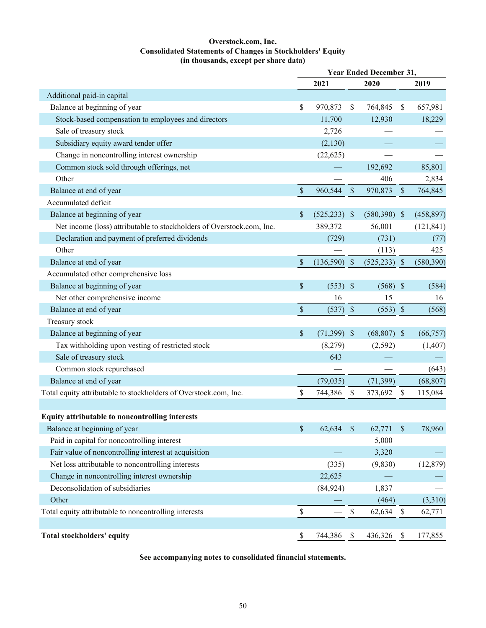# **Overstock.com, Inc. Consolidated Statements of Changes in Stockholders' Equity (in thousands, except per share data)**

|                                                                       | <b>Year Ended December 31,</b> |                 |               |                 |                           |            |
|-----------------------------------------------------------------------|--------------------------------|-----------------|---------------|-----------------|---------------------------|------------|
|                                                                       |                                | 2021            |               | 2020            |                           | 2019       |
| Additional paid-in capital                                            |                                |                 |               |                 |                           |            |
| Balance at beginning of year                                          | \$                             | 970,873         | \$            | 764,845         | <sup>\$</sup>             | 657,981    |
| Stock-based compensation to employees and directors                   |                                | 11,700          |               | 12,930          |                           | 18,229     |
| Sale of treasury stock                                                |                                | 2,726           |               |                 |                           |            |
| Subsidiary equity award tender offer                                  |                                | (2,130)         |               |                 |                           |            |
| Change in noncontrolling interest ownership                           |                                | (22, 625)       |               |                 |                           |            |
| Common stock sold through offerings, net                              |                                |                 |               | 192,692         |                           | 85,801     |
| Other                                                                 |                                |                 |               | 406             |                           | 2,834      |
| Balance at end of year                                                | $\mathsf{\$}$                  | 960,544         | \$            | 970,873         | $\mathcal{S}$             | 764,845    |
| Accumulated deficit                                                   |                                |                 |               |                 |                           |            |
| Balance at beginning of year                                          | $\mathsf{\$}$                  | $(525, 233)$ \$ |               | $(580,390)$ \$  |                           | (458, 897) |
| Net income (loss) attributable to stockholders of Overstock.com, Inc. |                                | 389,372         |               | 56,001          |                           | (121, 841) |
| Declaration and payment of preferred dividends                        |                                | (729)           |               | (731)           |                           | (77)       |
| Other                                                                 |                                |                 |               | (113)           |                           | 425        |
| Balance at end of year                                                | $\mathsf{\$}$                  | (136, 590)      | $\mathcal{S}$ | $(525, 233)$ \$ |                           | (580, 390) |
| Accumulated other comprehensive loss                                  |                                |                 |               |                 |                           |            |
| Balance at beginning of year                                          | $\mathsf{\$}$                  | $(553)$ \$      |               | $(568)$ \$      |                           | (584)      |
| Net other comprehensive income                                        |                                | 16              |               | 15              |                           | 16         |
| Balance at end of year                                                | $\mathsf{\$}$                  | (537)           | $\mathbb{S}$  | (553)           | $\mathbb{S}$              | (568)      |
| Treasury stock                                                        |                                |                 |               |                 |                           |            |
| Balance at beginning of year                                          | $\mathsf{\$}$                  | $(71,399)$ \$   |               | $(68,807)$ \$   |                           | (66, 757)  |
| Tax withholding upon vesting of restricted stock                      |                                | (8,279)         |               | (2, 592)        |                           | (1, 407)   |
| Sale of treasury stock                                                |                                | 643             |               |                 |                           |            |
| Common stock repurchased                                              |                                |                 |               |                 |                           | (643)      |
| Balance at end of year                                                |                                | (79, 035)       |               | (71, 399)       |                           | (68, 807)  |
| Total equity attributable to stockholders of Overstock.com, Inc.      | \$                             | 744,386         | \$            | 373,692         | \$                        | 115,084    |
|                                                                       |                                |                 |               |                 |                           |            |
| <b>Equity attributable to noncontrolling interests</b>                |                                |                 |               |                 |                           |            |
| Balance at beginning of year                                          | $\mathbb S$                    | 62,634          | $\mathcal{S}$ | 62,771          | $\boldsymbol{\mathsf{S}}$ | 78,960     |
| Paid in capital for noncontrolling interest                           |                                |                 |               | 5,000           |                           |            |
| Fair value of noncontrolling interest at acquisition                  |                                |                 |               | 3,320           |                           |            |
| Net loss attributable to noncontrolling interests                     |                                | (335)           |               | (9,830)         |                           | (12, 879)  |
| Change in noncontrolling interest ownership                           |                                | 22,625          |               |                 |                           |            |
| Deconsolidation of subsidiaries                                       |                                | (84, 924)       |               | 1,837           |                           |            |
| Other                                                                 |                                |                 |               | (464)           |                           | (3,310)    |
| Total equity attributable to noncontrolling interests                 | $\mathbb S$                    |                 | $\mathbb S$   | 62,634          | \$                        | 62,771     |
|                                                                       |                                |                 |               |                 |                           |            |
| Total stockholders' equity                                            | \$                             | 744,386         | $\$$          | 436,326         | \$                        | 177,855    |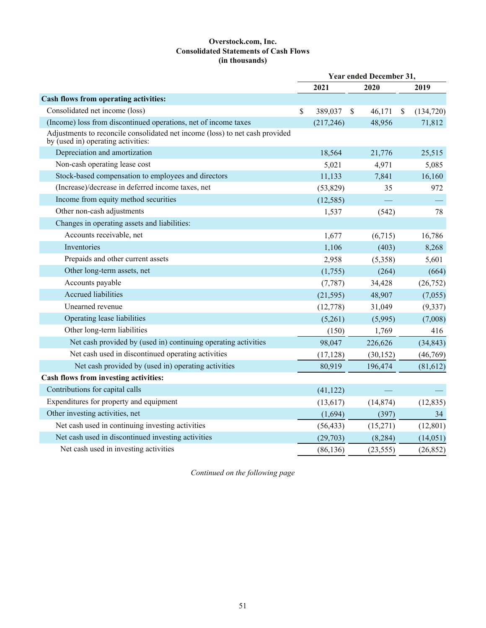# **Overstock.com, Inc. Consolidated Statements of Cash Flows (in thousands)**

|                                                                                                                    | Year ended December 31, |            |               |           |   |            |
|--------------------------------------------------------------------------------------------------------------------|-------------------------|------------|---------------|-----------|---|------------|
|                                                                                                                    |                         | 2021       |               | 2020      |   | 2019       |
| Cash flows from operating activities:                                                                              |                         |            |               |           |   |            |
| Consolidated net income (loss)                                                                                     | \$                      | 389,037    | $\mathsf{\$}$ | 46,171    | S | (134, 720) |
| (Income) loss from discontinued operations, net of income taxes                                                    |                         | (217, 246) |               | 48,956    |   | 71,812     |
| Adjustments to reconcile consolidated net income (loss) to net cash provided<br>by (used in) operating activities: |                         |            |               |           |   |            |
| Depreciation and amortization                                                                                      |                         | 18,564     |               | 21,776    |   | 25,515     |
| Non-cash operating lease cost                                                                                      |                         | 5,021      |               | 4,971     |   | 5,085      |
| Stock-based compensation to employees and directors                                                                |                         | 11,133     |               | 7,841     |   | 16,160     |
| (Increase)/decrease in deferred income taxes, net                                                                  |                         | (53,829)   |               | 35        |   | 972        |
| Income from equity method securities                                                                               |                         | (12, 585)  |               |           |   |            |
| Other non-cash adjustments                                                                                         |                         | 1,537      |               | (542)     |   | 78         |
| Changes in operating assets and liabilities:                                                                       |                         |            |               |           |   |            |
| Accounts receivable, net                                                                                           |                         | 1,677      |               | (6,715)   |   | 16,786     |
| Inventories                                                                                                        |                         | 1,106      |               | (403)     |   | 8,268      |
| Prepaids and other current assets                                                                                  |                         | 2,958      |               | (5,358)   |   | 5,601      |
| Other long-term assets, net                                                                                        |                         | (1,755)    | (264)         |           |   | (664)      |
| Accounts payable                                                                                                   |                         | (7, 787)   |               | 34,428    |   | (26, 752)  |
| <b>Accrued liabilities</b>                                                                                         |                         | (21, 595)  |               | 48,907    |   | (7,055)    |
| Unearned revenue                                                                                                   |                         | (12, 778)  |               | 31,049    |   | (9, 337)   |
| Operating lease liabilities                                                                                        |                         | (5,261)    | (5,995)       |           |   | (7,008)    |
| Other long-term liabilities                                                                                        |                         | (150)      | 1,769         |           |   | 416        |
| Net cash provided by (used in) continuing operating activities                                                     |                         | 98,047     |               | 226,626   |   | (34, 843)  |
| Net cash used in discontinued operating activities                                                                 |                         | (17, 128)  |               | (30, 152) |   | (46,769)   |
| Net cash provided by (used in) operating activities                                                                |                         | 80,919     |               | 196,474   |   | (81, 612)  |
| Cash flows from investing activities:                                                                              |                         |            |               |           |   |            |
| Contributions for capital calls                                                                                    |                         | (41, 122)  |               |           |   |            |
| Expenditures for property and equipment                                                                            |                         | (13,617)   |               | (14, 874) |   | (12, 835)  |
| Other investing activities, net                                                                                    |                         | (1,694)    |               | (397)     |   | 34         |
| Net cash used in continuing investing activities                                                                   |                         | (56, 433)  |               | (15,271)  |   | (12, 801)  |
| Net cash used in discontinued investing activities                                                                 |                         | (29,703)   |               | (8, 284)  |   | (14, 051)  |
| Net cash used in investing activities                                                                              |                         | (86, 136)  |               | (23, 555) |   | (26, 852)  |

*Continued on the following page*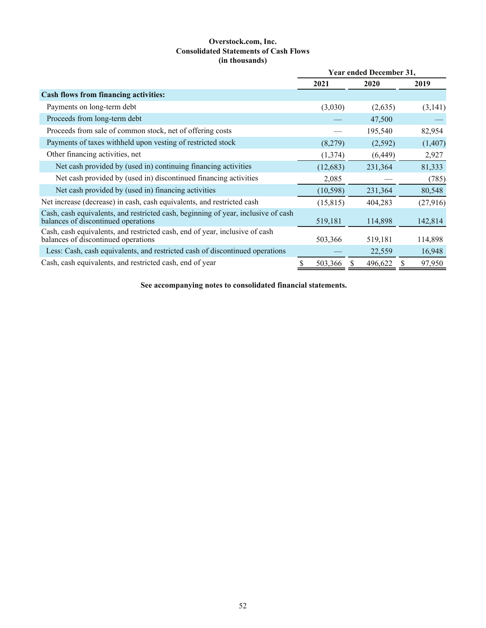# **Overstock.com, Inc. Consolidated Statements of Cash Flows (in thousands)**

|                                                                                                                          | Year ended December 31, |          |           |  |  |  |
|--------------------------------------------------------------------------------------------------------------------------|-------------------------|----------|-----------|--|--|--|
|                                                                                                                          | 2021                    | 2020     | 2019      |  |  |  |
| <b>Cash flows from financing activities:</b>                                                                             |                         |          |           |  |  |  |
| Payments on long-term debt                                                                                               | (3,030)                 | (2,635)  | (3,141)   |  |  |  |
| Proceeds from long-term debt                                                                                             |                         | 47,500   |           |  |  |  |
| Proceeds from sale of common stock, net of offering costs                                                                |                         | 195,540  | 82,954    |  |  |  |
| Payments of taxes withheld upon vesting of restricted stock                                                              | (8,279)                 | (2,592)  | (1, 407)  |  |  |  |
| Other financing activities, net                                                                                          | (1, 374)                | (6, 449) | 2,927     |  |  |  |
| Net cash provided by (used in) continuing financing activities                                                           | (12,683)                | 231,364  | 81,333    |  |  |  |
| Net cash provided by (used in) discontinued financing activities                                                         | 2,085                   |          | (785)     |  |  |  |
| Net cash provided by (used in) financing activities                                                                      | (10, 598)               | 231,364  | 80,548    |  |  |  |
| Net increase (decrease) in cash, cash equivalents, and restricted cash                                                   | (15, 815)               | 404,283  | (27, 916) |  |  |  |
| Cash, cash equivalents, and restricted cash, beginning of year, inclusive of cash<br>balances of discontinued operations | 519,181                 | 114,898  | 142,814   |  |  |  |
| Cash, cash equivalents, and restricted cash, end of year, inclusive of cash<br>balances of discontinued operations       | 503,366                 | 519,181  | 114,898   |  |  |  |
| Less: Cash, cash equivalents, and restricted cash of discontinued operations                                             |                         | 22,559   | 16,948    |  |  |  |
| Cash, cash equivalents, and restricted cash, end of year                                                                 | 503,366                 | 496,622  | 97,950    |  |  |  |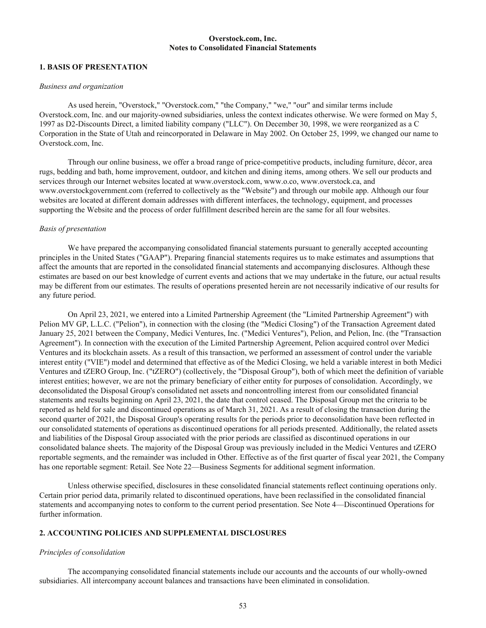## **Overstock.com, Inc. Notes to Consolidated Financial Statements**

#### **1. BASIS OF PRESENTATION**

#### *Business and organization*

As used herein, "Overstock," "Overstock.com," "the Company," "we," "our" and similar terms include Overstock.com, Inc. and our majority-owned subsidiaries, unless the context indicates otherwise. We were formed on May 5, 1997 as D2-Discounts Direct, a limited liability company ("LLC"). On December 30, 1998, we were reorganized as a C Corporation in the State of Utah and reincorporated in Delaware in May 2002. On October 25, 1999, we changed our name to Overstock.com, Inc.

Through our online business, we offer a broad range of price-competitive products, including furniture, décor, area rugs, bedding and bath, home improvement, outdoor, and kitchen and dining items, among others. We sell our products and services through our Internet websites located at www.overstock.com, www.o.co, www.overstock.ca, and www.overstockgovernment.com (referred to collectively as the "Website") and through our mobile app. Although our four websites are located at different domain addresses with different interfaces, the technology, equipment, and processes supporting the Website and the process of order fulfillment described herein are the same for all four websites.

#### *Basis of presentation*

We have prepared the accompanying consolidated financial statements pursuant to generally accepted accounting principles in the United States ("GAAP"). Preparing financial statements requires us to make estimates and assumptions that affect the amounts that are reported in the consolidated financial statements and accompanying disclosures. Although these estimates are based on our best knowledge of current events and actions that we may undertake in the future, our actual results may be different from our estimates. The results of operations presented herein are not necessarily indicative of our results for any future period.

On April 23, 2021, we entered into a Limited Partnership Agreement (the "Limited Partnership Agreement") with Pelion MV GP, L.L.C. ("Pelion"), in connection with the closing (the "Medici Closing") of the Transaction Agreement dated January 25, 2021 between the Company, Medici Ventures, Inc. ("Medici Ventures"), Pelion, and Pelion, Inc. (the "Transaction Agreement"). In connection with the execution of the Limited Partnership Agreement, Pelion acquired control over Medici Ventures and its blockchain assets. As a result of this transaction, we performed an assessment of control under the variable interest entity ("VIE") model and determined that effective as of the Medici Closing, we held a variable interest in both Medici Ventures and tZERO Group, Inc. ("tZERO") (collectively, the "Disposal Group"), both of which meet the definition of variable interest entities; however, we are not the primary beneficiary of either entity for purposes of consolidation. Accordingly, we deconsolidated the Disposal Group's consolidated net assets and noncontrolling interest from our consolidated financial statements and results beginning on April 23, 2021, the date that control ceased. The Disposal Group met the criteria to be reported as held for sale and discontinued operations as of March 31, 2021. As a result of closing the transaction during the second quarter of 2021, the Disposal Group's operating results for the periods prior to deconsolidation have been reflected in our consolidated statements of operations as discontinued operations for all periods presented. Additionally, the related assets and liabilities of the Disposal Group associated with the prior periods are classified as discontinued operations in our consolidated balance sheets. The majority of the Disposal Group was previously included in the Medici Ventures and tZERO reportable segments, and the remainder was included in Other. Effective as of the first quarter of fiscal year 2021, the Company has one reportable segment: Retail. See Note 22—Business Segments for additional segment information.

Unless otherwise specified, disclosures in these consolidated financial statements reflect continuing operations only. Certain prior period data, primarily related to discontinued operations, have been reclassified in the consolidated financial statements and accompanying notes to conform to the current period presentation. See Note 4—Discontinued Operations for further information.

# **2. ACCOUNTING POLICIES AND SUPPLEMENTAL DISCLOSURES**

#### *Principles of consolidation*

The accompanying consolidated financial statements include our accounts and the accounts of our wholly-owned subsidiaries. All intercompany account balances and transactions have been eliminated in consolidation.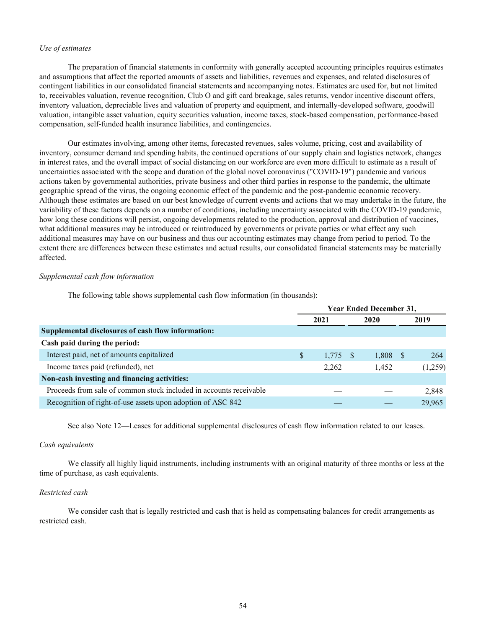## *Use of estimates*

The preparation of financial statements in conformity with generally accepted accounting principles requires estimates and assumptions that affect the reported amounts of assets and liabilities, revenues and expenses, and related disclosures of contingent liabilities in our consolidated financial statements and accompanying notes. Estimates are used for, but not limited to, receivables valuation, revenue recognition, Club O and gift card breakage, sales returns, vendor incentive discount offers, inventory valuation, depreciable lives and valuation of property and equipment, and internally-developed software, goodwill valuation, intangible asset valuation, equity securities valuation, income taxes, stock-based compensation, performance-based compensation, self-funded health insurance liabilities, and contingencies.

Our estimates involving, among other items, forecasted revenues, sales volume, pricing, cost and availability of inventory, consumer demand and spending habits, the continued operations of our supply chain and logistics network, changes in interest rates, and the overall impact of social distancing on our workforce are even more difficult to estimate as a result of uncertainties associated with the scope and duration of the global novel coronavirus ("COVID-19") pandemic and various actions taken by governmental authorities, private business and other third parties in response to the pandemic, the ultimate geographic spread of the virus, the ongoing economic effect of the pandemic and the post-pandemic economic recovery. Although these estimates are based on our best knowledge of current events and actions that we may undertake in the future, the variability of these factors depends on a number of conditions, including uncertainty associated with the COVID-19 pandemic, how long these conditions will persist, ongoing developments related to the production, approval and distribution of vaccines, what additional measures may be introduced or reintroduced by governments or private parties or what effect any such additional measures may have on our business and thus our accounting estimates may change from period to period. To the extent there are differences between these estimates and actual results, our consolidated financial statements may be materially affected.

#### *Supplemental cash flow information*

|                                                                    |   | <b>Year Ended December 31,</b> |  |       |    |         |  |
|--------------------------------------------------------------------|---|--------------------------------|--|-------|----|---------|--|
|                                                                    |   | 2021                           |  | 2020  |    | 2019    |  |
| Supplemental disclosures of cash flow information:                 |   |                                |  |       |    |         |  |
| Cash paid during the period:                                       |   |                                |  |       |    |         |  |
| Interest paid, net of amounts capitalized                          | S | $1,775$ \$                     |  | 1,808 | -S | 264     |  |
| Income taxes paid (refunded), net                                  |   | 2.262                          |  | 1.452 |    | (1,259) |  |
| Non-cash investing and financing activities:                       |   |                                |  |       |    |         |  |
| Proceeds from sale of common stock included in accounts receivable |   |                                |  |       |    | 2,848   |  |
| Recognition of right-of-use assets upon adoption of ASC 842        |   |                                |  |       |    | 29,965  |  |

The following table shows supplemental cash flow information (in thousands):

See also Note 12—Leases for additional supplemental disclosures of cash flow information related to our leases.

## *Cash equivalents*

We classify all highly liquid instruments, including instruments with an original maturity of three months or less at the time of purchase, as cash equivalents.

### *Restricted cash*

We consider cash that is legally restricted and cash that is held as compensating balances for credit arrangements as restricted cash.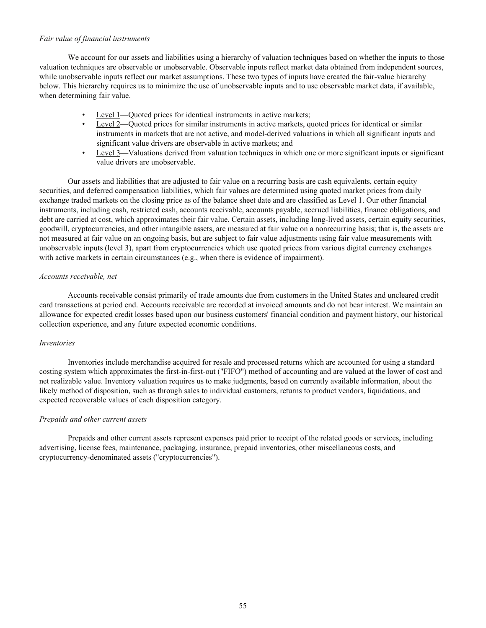### *Fair value of financial instruments*

We account for our assets and liabilities using a hierarchy of valuation techniques based on whether the inputs to those valuation techniques are observable or unobservable. Observable inputs reflect market data obtained from independent sources, while unobservable inputs reflect our market assumptions. These two types of inputs have created the fair-value hierarchy below. This hierarchy requires us to minimize the use of unobservable inputs and to use observable market data, if available, when determining fair value.

- Level 1—Quoted prices for identical instruments in active markets;
- Level 2—Quoted prices for similar instruments in active markets, quoted prices for identical or similar instruments in markets that are not active, and model-derived valuations in which all significant inputs and significant value drivers are observable in active markets; and
- Level 3—Valuations derived from valuation techniques in which one or more significant inputs or significant value drivers are unobservable.

Our assets and liabilities that are adjusted to fair value on a recurring basis are cash equivalents, certain equity securities, and deferred compensation liabilities, which fair values are determined using quoted market prices from daily exchange traded markets on the closing price as of the balance sheet date and are classified as Level 1. Our other financial instruments, including cash, restricted cash, accounts receivable, accounts payable, accrued liabilities, finance obligations, and debt are carried at cost, which approximates their fair value. Certain assets, including long-lived assets, certain equity securities, goodwill, cryptocurrencies, and other intangible assets, are measured at fair value on a nonrecurring basis; that is, the assets are not measured at fair value on an ongoing basis, but are subject to fair value adjustments using fair value measurements with unobservable inputs (level 3), apart from cryptocurrencies which use quoted prices from various digital currency exchanges with active markets in certain circumstances (e.g., when there is evidence of impairment).

## *Accounts receivable, net*

Accounts receivable consist primarily of trade amounts due from customers in the United States and uncleared credit card transactions at period end. Accounts receivable are recorded at invoiced amounts and do not bear interest. We maintain an allowance for expected credit losses based upon our business customers' financial condition and payment history, our historical collection experience, and any future expected economic conditions.

## *Inventories*

Inventories include merchandise acquired for resale and processed returns which are accounted for using a standard costing system which approximates the first-in-first-out ("FIFO") method of accounting and are valued at the lower of cost and net realizable value. Inventory valuation requires us to make judgments, based on currently available information, about the likely method of disposition, such as through sales to individual customers, returns to product vendors, liquidations, and expected recoverable values of each disposition category.

## *Prepaids and other current assets*

Prepaids and other current assets represent expenses paid prior to receipt of the related goods or services, including advertising, license fees, maintenance, packaging, insurance, prepaid inventories, other miscellaneous costs, and cryptocurrency-denominated assets ("cryptocurrencies").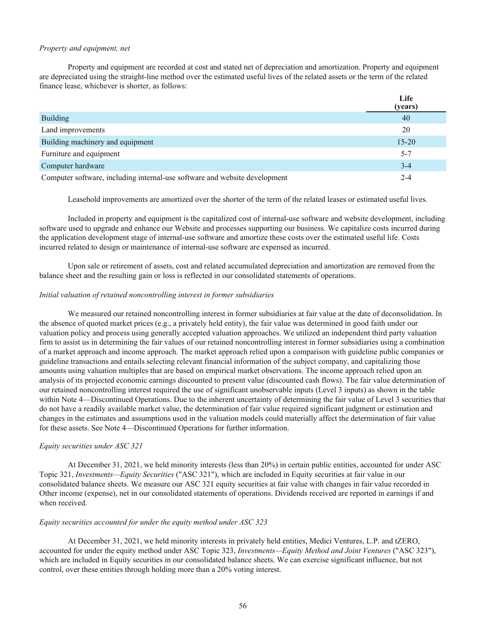## *Property and equipment, net*

Property and equipment are recorded at cost and stated net of depreciation and amortization. Property and equipment are depreciated using the straight-line method over the estimated useful lives of the related assets or the term of the related finance lease, whichever is shorter, as follows:

**Life**

|                                                                            | Life<br>(years) |
|----------------------------------------------------------------------------|-----------------|
| <b>Building</b>                                                            | 40              |
| Land improvements                                                          | 20              |
| Building machinery and equipment                                           | $15 - 20$       |
| Furniture and equipment                                                    | $5 - 7$         |
| Computer hardware                                                          | $3 - 4$         |
| Computer software, including internal-use software and website development | $2 - 4$         |

Leasehold improvements are amortized over the shorter of the term of the related leases or estimated useful lives.

Included in property and equipment is the capitalized cost of internal-use software and website development, including software used to upgrade and enhance our Website and processes supporting our business. We capitalize costs incurred during the application development stage of internal-use software and amortize these costs over the estimated useful life. Costs incurred related to design or maintenance of internal-use software are expensed as incurred.

Upon sale or retirement of assets, cost and related accumulated depreciation and amortization are removed from the balance sheet and the resulting gain or loss is reflected in our consolidated statements of operations.

#### *Initial valuation of retained noncontrolling interest in former subsidiaries*

We measured our retained noncontrolling interest in former subsidiaries at fair value at the date of deconsolidation. In the absence of quoted market prices (e.g., a privately held entity), the fair value was determined in good faith under our valuation policy and process using generally accepted valuation approaches. We utilized an independent third party valuation firm to assist us in determining the fair values of our retained noncontrolling interest in former subsidiaries using a combination of a market approach and income approach. The market approach relied upon a comparison with guideline public companies or guideline transactions and entails selecting relevant financial information of the subject company, and capitalizing those amounts using valuation multiples that are based on empirical market observations. The income approach relied upon an analysis of its projected economic earnings discounted to present value (discounted cash flows). The fair value determination of our retained noncontrolling interest required the use of significant unobservable inputs (Level 3 inputs) as shown in the table within Note 4—Discontinued Operations. Due to the inherent uncertainty of determining the fair value of Level 3 securities that do not have a readily available market value, the determination of fair value required significant judgment or estimation and changes in the estimates and assumptions used in the valuation models could materially affect the determination of fair value for these assets. See Note 4—Discontinued Operations for further information.

#### *Equity securities under ASC 321*

At December 31, 2021, we held minority interests (less than 20%) in certain public entities, accounted for under ASC Topic 321, *Investments—Equity Securities* ("ASC 321"), which are included in Equity securities at fair value in our consolidated balance sheets. We measure our ASC 321 equity securities at fair value with changes in fair value recorded in Other income (expense), net in our consolidated statements of operations. Dividends received are reported in earnings if and when received.

#### *Equity securities accounted for under the equity method under ASC 323*

At December 31, 2021, we held minority interests in privately held entities, Medici Ventures, L.P. and tZERO, accounted for under the equity method under ASC Topic 323, *Investments—Equity Method and Joint Ventures* ("ASC 323"), which are included in Equity securities in our consolidated balance sheets. We can exercise significant influence, but not control, over these entities through holding more than a 20% voting interest.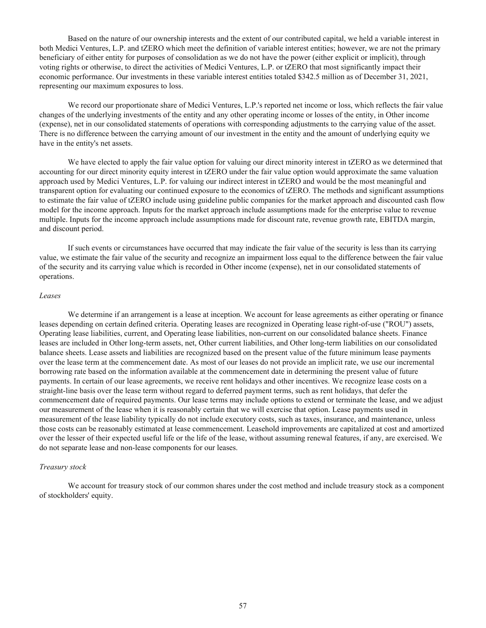Based on the nature of our ownership interests and the extent of our contributed capital, we held a variable interest in both Medici Ventures, L.P. and tZERO which meet the definition of variable interest entities; however, we are not the primary beneficiary of either entity for purposes of consolidation as we do not have the power (either explicit or implicit), through voting rights or otherwise, to direct the activities of Medici Ventures, L.P. or tZERO that most significantly impact their economic performance. Our investments in these variable interest entities totaled \$342.5 million as of December 31, 2021, representing our maximum exposures to loss.

We record our proportionate share of Medici Ventures, L.P.'s reported net income or loss, which reflects the fair value changes of the underlying investments of the entity and any other operating income or losses of the entity, in Other income (expense), net in our consolidated statements of operations with corresponding adjustments to the carrying value of the asset. There is no difference between the carrying amount of our investment in the entity and the amount of underlying equity we have in the entity's net assets.

We have elected to apply the fair value option for valuing our direct minority interest in tZERO as we determined that accounting for our direct minority equity interest in tZERO under the fair value option would approximate the same valuation approach used by Medici Ventures, L.P. for valuing our indirect interest in tZERO and would be the most meaningful and transparent option for evaluating our continued exposure to the economics of tZERO. The methods and significant assumptions to estimate the fair value of tZERO include using guideline public companies for the market approach and discounted cash flow model for the income approach. Inputs for the market approach include assumptions made for the enterprise value to revenue multiple. Inputs for the income approach include assumptions made for discount rate, revenue growth rate, EBITDA margin, and discount period.

If such events or circumstances have occurred that may indicate the fair value of the security is less than its carrying value, we estimate the fair value of the security and recognize an impairment loss equal to the difference between the fair value of the security and its carrying value which is recorded in Other income (expense), net in our consolidated statements of operations.

#### *Leases*

We determine if an arrangement is a lease at inception. We account for lease agreements as either operating or finance leases depending on certain defined criteria. Operating leases are recognized in Operating lease right-of-use ("ROU") assets, Operating lease liabilities, current, and Operating lease liabilities, non-current on our consolidated balance sheets. Finance leases are included in Other long-term assets, net, Other current liabilities, and Other long-term liabilities on our consolidated balance sheets. Lease assets and liabilities are recognized based on the present value of the future minimum lease payments over the lease term at the commencement date. As most of our leases do not provide an implicit rate, we use our incremental borrowing rate based on the information available at the commencement date in determining the present value of future payments. In certain of our lease agreements, we receive rent holidays and other incentives. We recognize lease costs on a straight-line basis over the lease term without regard to deferred payment terms, such as rent holidays, that defer the commencement date of required payments. Our lease terms may include options to extend or terminate the lease, and we adjust our measurement of the lease when it is reasonably certain that we will exercise that option. Lease payments used in measurement of the lease liability typically do not include executory costs, such as taxes, insurance, and maintenance, unless those costs can be reasonably estimated at lease commencement. Leasehold improvements are capitalized at cost and amortized over the lesser of their expected useful life or the life of the lease, without assuming renewal features, if any, are exercised. We do not separate lease and non-lease components for our leases.

#### *Treasury stock*

We account for treasury stock of our common shares under the cost method and include treasury stock as a component of stockholders' equity.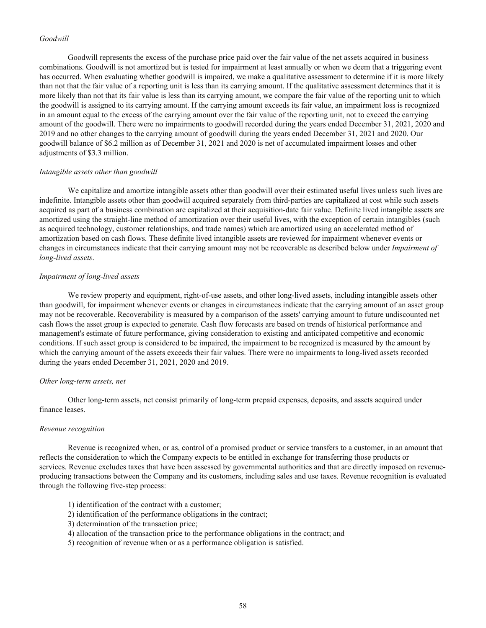## *Goodwill*

Goodwill represents the excess of the purchase price paid over the fair value of the net assets acquired in business combinations. Goodwill is not amortized but is tested for impairment at least annually or when we deem that a triggering event has occurred. When evaluating whether goodwill is impaired, we make a qualitative assessment to determine if it is more likely than not that the fair value of a reporting unit is less than its carrying amount. If the qualitative assessment determines that it is more likely than not that its fair value is less than its carrying amount, we compare the fair value of the reporting unit to which the goodwill is assigned to its carrying amount. If the carrying amount exceeds its fair value, an impairment loss is recognized in an amount equal to the excess of the carrying amount over the fair value of the reporting unit, not to exceed the carrying amount of the goodwill. There were no impairments to goodwill recorded during the years ended December 31, 2021, 2020 and 2019 and no other changes to the carrying amount of goodwill during the years ended December 31, 2021 and 2020. Our goodwill balance of \$6.2 million as of December 31, 2021 and 2020 is net of accumulated impairment losses and other adjustments of \$3.3 million.

#### *Intangible assets other than goodwill*

We capitalize and amortize intangible assets other than goodwill over their estimated useful lives unless such lives are indefinite. Intangible assets other than goodwill acquired separately from third-parties are capitalized at cost while such assets acquired as part of a business combination are capitalized at their acquisition-date fair value. Definite lived intangible assets are amortized using the straight-line method of amortization over their useful lives, with the exception of certain intangibles (such as acquired technology, customer relationships, and trade names) which are amortized using an accelerated method of amortization based on cash flows. These definite lived intangible assets are reviewed for impairment whenever events or changes in circumstances indicate that their carrying amount may not be recoverable as described below under *Impairment of long-lived assets*.

## *Impairment of long-lived assets*

We review property and equipment, right-of-use assets, and other long-lived assets, including intangible assets other than goodwill, for impairment whenever events or changes in circumstances indicate that the carrying amount of an asset group may not be recoverable. Recoverability is measured by a comparison of the assets' carrying amount to future undiscounted net cash flows the asset group is expected to generate. Cash flow forecasts are based on trends of historical performance and management's estimate of future performance, giving consideration to existing and anticipated competitive and economic conditions. If such asset group is considered to be impaired, the impairment to be recognized is measured by the amount by which the carrying amount of the assets exceeds their fair values. There were no impairments to long-lived assets recorded during the years ended December 31, 2021, 2020 and 2019.

#### *Other long-term assets, net*

Other long-term assets, net consist primarily of long-term prepaid expenses, deposits, and assets acquired under finance leases.

#### *Revenue recognition*

Revenue is recognized when, or as, control of a promised product or service transfers to a customer, in an amount that reflects the consideration to which the Company expects to be entitled in exchange for transferring those products or services. Revenue excludes taxes that have been assessed by governmental authorities and that are directly imposed on revenueproducing transactions between the Company and its customers, including sales and use taxes. Revenue recognition is evaluated through the following five-step process:

- 1) identification of the contract with a customer;
- 2) identification of the performance obligations in the contract;
- 3) determination of the transaction price;
- 4) allocation of the transaction price to the performance obligations in the contract; and
- 5) recognition of revenue when or as a performance obligation is satisfied.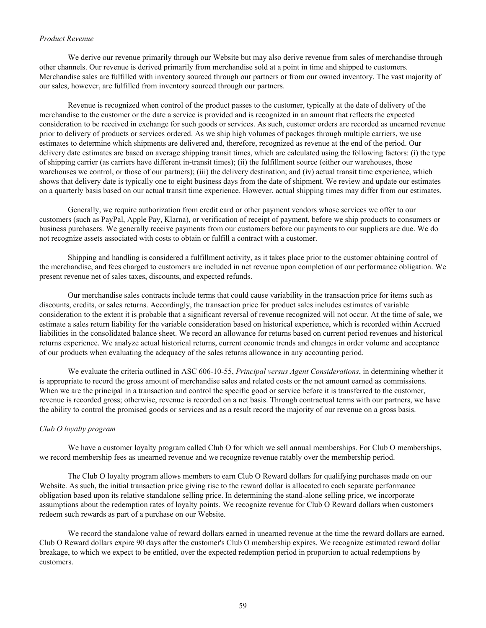## *Product Revenue*

We derive our revenue primarily through our Website but may also derive revenue from sales of merchandise through other channels. Our revenue is derived primarily from merchandise sold at a point in time and shipped to customers. Merchandise sales are fulfilled with inventory sourced through our partners or from our owned inventory. The vast majority of our sales, however, are fulfilled from inventory sourced through our partners.

Revenue is recognized when control of the product passes to the customer, typically at the date of delivery of the merchandise to the customer or the date a service is provided and is recognized in an amount that reflects the expected consideration to be received in exchange for such goods or services. As such, customer orders are recorded as unearned revenue prior to delivery of products or services ordered. As we ship high volumes of packages through multiple carriers, we use estimates to determine which shipments are delivered and, therefore, recognized as revenue at the end of the period. Our delivery date estimates are based on average shipping transit times, which are calculated using the following factors: (i) the type of shipping carrier (as carriers have different in-transit times); (ii) the fulfillment source (either our warehouses, those warehouses we control, or those of our partners); (iii) the delivery destination; and (iv) actual transit time experience, which shows that delivery date is typically one to eight business days from the date of shipment. We review and update our estimates on a quarterly basis based on our actual transit time experience. However, actual shipping times may differ from our estimates.

Generally, we require authorization from credit card or other payment vendors whose services we offer to our customers (such as PayPal, Apple Pay, Klarna), or verification of receipt of payment, before we ship products to consumers or business purchasers. We generally receive payments from our customers before our payments to our suppliers are due. We do not recognize assets associated with costs to obtain or fulfill a contract with a customer.

Shipping and handling is considered a fulfillment activity, as it takes place prior to the customer obtaining control of the merchandise, and fees charged to customers are included in net revenue upon completion of our performance obligation. We present revenue net of sales taxes, discounts, and expected refunds.

Our merchandise sales contracts include terms that could cause variability in the transaction price for items such as discounts, credits, or sales returns. Accordingly, the transaction price for product sales includes estimates of variable consideration to the extent it is probable that a significant reversal of revenue recognized will not occur. At the time of sale, we estimate a sales return liability for the variable consideration based on historical experience, which is recorded within Accrued liabilities in the consolidated balance sheet. We record an allowance for returns based on current period revenues and historical returns experience. We analyze actual historical returns, current economic trends and changes in order volume and acceptance of our products when evaluating the adequacy of the sales returns allowance in any accounting period.

We evaluate the criteria outlined in ASC 606-10-55, *Principal versus Agent Considerations*, in determining whether it is appropriate to record the gross amount of merchandise sales and related costs or the net amount earned as commissions. When we are the principal in a transaction and control the specific good or service before it is transferred to the customer, revenue is recorded gross; otherwise, revenue is recorded on a net basis. Through contractual terms with our partners, we have the ability to control the promised goods or services and as a result record the majority of our revenue on a gross basis.

#### *Club O loyalty program*

We have a customer loyalty program called Club O for which we sell annual memberships. For Club O memberships, we record membership fees as unearned revenue and we recognize revenue ratably over the membership period.

The Club O loyalty program allows members to earn Club O Reward dollars for qualifying purchases made on our Website. As such, the initial transaction price giving rise to the reward dollar is allocated to each separate performance obligation based upon its relative standalone selling price. In determining the stand-alone selling price, we incorporate assumptions about the redemption rates of loyalty points. We recognize revenue for Club O Reward dollars when customers redeem such rewards as part of a purchase on our Website.

We record the standalone value of reward dollars earned in unearned revenue at the time the reward dollars are earned. Club O Reward dollars expire 90 days after the customer's Club O membership expires. We recognize estimated reward dollar breakage, to which we expect to be entitled, over the expected redemption period in proportion to actual redemptions by customers.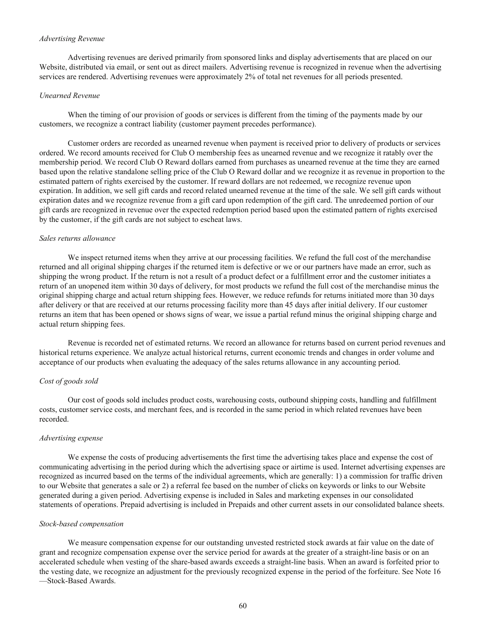## *Advertising Revenue*

Advertising revenues are derived primarily from sponsored links and display advertisements that are placed on our Website, distributed via email, or sent out as direct mailers. Advertising revenue is recognized in revenue when the advertising services are rendered. Advertising revenues were approximately 2% of total net revenues for all periods presented.

## *Unearned Revenue*

When the timing of our provision of goods or services is different from the timing of the payments made by our customers, we recognize a contract liability (customer payment precedes performance).

Customer orders are recorded as unearned revenue when payment is received prior to delivery of products or services ordered. We record amounts received for Club O membership fees as unearned revenue and we recognize it ratably over the membership period. We record Club O Reward dollars earned from purchases as unearned revenue at the time they are earned based upon the relative standalone selling price of the Club O Reward dollar and we recognize it as revenue in proportion to the estimated pattern of rights exercised by the customer. If reward dollars are not redeemed, we recognize revenue upon expiration. In addition, we sell gift cards and record related unearned revenue at the time of the sale. We sell gift cards without expiration dates and we recognize revenue from a gift card upon redemption of the gift card. The unredeemed portion of our gift cards are recognized in revenue over the expected redemption period based upon the estimated pattern of rights exercised by the customer, if the gift cards are not subject to escheat laws.

#### *Sales returns allowance*

We inspect returned items when they arrive at our processing facilities. We refund the full cost of the merchandise returned and all original shipping charges if the returned item is defective or we or our partners have made an error, such as shipping the wrong product. If the return is not a result of a product defect or a fulfillment error and the customer initiates a return of an unopened item within 30 days of delivery, for most products we refund the full cost of the merchandise minus the original shipping charge and actual return shipping fees. However, we reduce refunds for returns initiated more than 30 days after delivery or that are received at our returns processing facility more than 45 days after initial delivery. If our customer returns an item that has been opened or shows signs of wear, we issue a partial refund minus the original shipping charge and actual return shipping fees.

Revenue is recorded net of estimated returns. We record an allowance for returns based on current period revenues and historical returns experience. We analyze actual historical returns, current economic trends and changes in order volume and acceptance of our products when evaluating the adequacy of the sales returns allowance in any accounting period.

## *Cost of goods sold*

Our cost of goods sold includes product costs, warehousing costs, outbound shipping costs, handling and fulfillment costs, customer service costs, and merchant fees, and is recorded in the same period in which related revenues have been recorded.

#### *Advertising expense*

We expense the costs of producing advertisements the first time the advertising takes place and expense the cost of communicating advertising in the period during which the advertising space or airtime is used. Internet advertising expenses are recognized as incurred based on the terms of the individual agreements, which are generally: 1) a commission for traffic driven to our Website that generates a sale or 2) a referral fee based on the number of clicks on keywords or links to our Website generated during a given period. Advertising expense is included in Sales and marketing expenses in our consolidated statements of operations. Prepaid advertising is included in Prepaids and other current assets in our consolidated balance sheets.

## *Stock-based compensation*

We measure compensation expense for our outstanding unvested restricted stock awards at fair value on the date of grant and recognize compensation expense over the service period for awards at the greater of a straight-line basis or on an accelerated schedule when vesting of the share-based awards exceeds a straight-line basis. When an award is forfeited prior to the vesting date, we recognize an adjustment for the previously recognized expense in the period of the forfeiture. See Note 16 —Stock-Based Awards.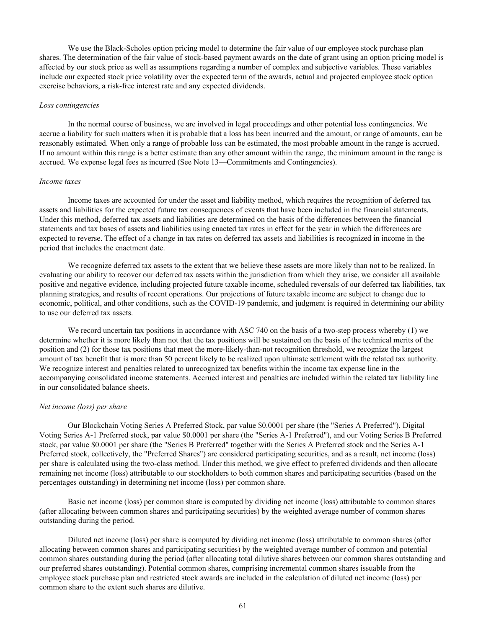We use the Black-Scholes option pricing model to determine the fair value of our employee stock purchase plan shares. The determination of the fair value of stock-based payment awards on the date of grant using an option pricing model is affected by our stock price as well as assumptions regarding a number of complex and subjective variables. These variables include our expected stock price volatility over the expected term of the awards, actual and projected employee stock option exercise behaviors, a risk-free interest rate and any expected dividends.

#### *Loss contingencies*

In the normal course of business, we are involved in legal proceedings and other potential loss contingencies. We accrue a liability for such matters when it is probable that a loss has been incurred and the amount, or range of amounts, can be reasonably estimated. When only a range of probable loss can be estimated, the most probable amount in the range is accrued. If no amount within this range is a better estimate than any other amount within the range, the minimum amount in the range is accrued. We expense legal fees as incurred (See Note 13—Commitments and Contingencies).

#### *Income taxes*

Income taxes are accounted for under the asset and liability method, which requires the recognition of deferred tax assets and liabilities for the expected future tax consequences of events that have been included in the financial statements. Under this method, deferred tax assets and liabilities are determined on the basis of the differences between the financial statements and tax bases of assets and liabilities using enacted tax rates in effect for the year in which the differences are expected to reverse. The effect of a change in tax rates on deferred tax assets and liabilities is recognized in income in the period that includes the enactment date.

We recognize deferred tax assets to the extent that we believe these assets are more likely than not to be realized. In evaluating our ability to recover our deferred tax assets within the jurisdiction from which they arise, we consider all available positive and negative evidence, including projected future taxable income, scheduled reversals of our deferred tax liabilities, tax planning strategies, and results of recent operations. Our projections of future taxable income are subject to change due to economic, political, and other conditions, such as the COVID-19 pandemic, and judgment is required in determining our ability to use our deferred tax assets.

We record uncertain tax positions in accordance with ASC 740 on the basis of a two-step process whereby (1) we determine whether it is more likely than not that the tax positions will be sustained on the basis of the technical merits of the position and (2) for those tax positions that meet the more-likely-than-not recognition threshold, we recognize the largest amount of tax benefit that is more than 50 percent likely to be realized upon ultimate settlement with the related tax authority. We recognize interest and penalties related to unrecognized tax benefits within the income tax expense line in the accompanying consolidated income statements. Accrued interest and penalties are included within the related tax liability line in our consolidated balance sheets.

#### *Net income (loss) per share*

Our Blockchain Voting Series A Preferred Stock, par value \$0.0001 per share (the "Series A Preferred"), Digital Voting Series A-1 Preferred stock, par value \$0.0001 per share (the "Series A-1 Preferred"), and our Voting Series B Preferred stock, par value \$0.0001 per share (the "Series B Preferred" together with the Series A Preferred stock and the Series A-1 Preferred stock, collectively, the "Preferred Shares") are considered participating securities, and as a result, net income (loss) per share is calculated using the two-class method. Under this method, we give effect to preferred dividends and then allocate remaining net income (loss) attributable to our stockholders to both common shares and participating securities (based on the percentages outstanding) in determining net income (loss) per common share.

Basic net income (loss) per common share is computed by dividing net income (loss) attributable to common shares (after allocating between common shares and participating securities) by the weighted average number of common shares outstanding during the period.

Diluted net income (loss) per share is computed by dividing net income (loss) attributable to common shares (after allocating between common shares and participating securities) by the weighted average number of common and potential common shares outstanding during the period (after allocating total dilutive shares between our common shares outstanding and our preferred shares outstanding). Potential common shares, comprising incremental common shares issuable from the employee stock purchase plan and restricted stock awards are included in the calculation of diluted net income (loss) per common share to the extent such shares are dilutive.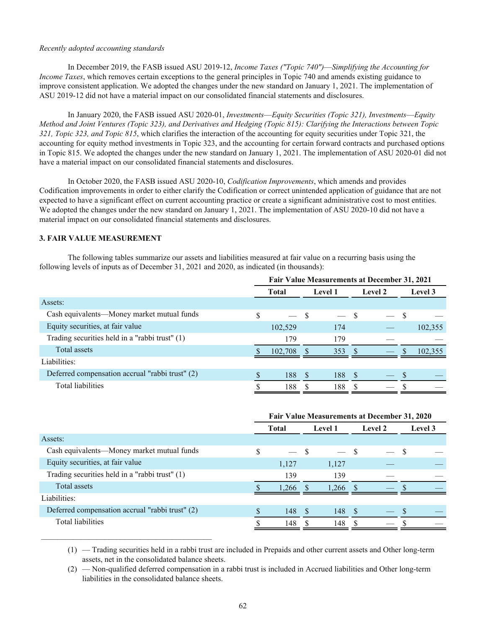#### *Recently adopted accounting standards*

In December 2019, the FASB issued ASU 2019-12, *Income Taxes ("Topic 740")*—*Simplifying the Accounting for Income Taxes*, which removes certain exceptions to the general principles in Topic 740 and amends existing guidance to improve consistent application. We adopted the changes under the new standard on January 1, 2021. The implementation of ASU 2019-12 did not have a material impact on our consolidated financial statements and disclosures.

In January 2020, the FASB issued ASU 2020-01, *Investments*—*Equity Securities (Topic 321), Investments*—*Equity Method and Joint Ventures (Topic 323), and Derivatives and Hedging (Topic 815): Clarifying the Interactions between Topic 321, Topic 323, and Topic 815*, which clarifies the interaction of the accounting for equity securities under Topic 321, the accounting for equity method investments in Topic 323, and the accounting for certain forward contracts and purchased options in Topic 815. We adopted the changes under the new standard on January 1, 2021. The implementation of ASU 2020-01 did not have a material impact on our consolidated financial statements and disclosures.

In October 2020, the FASB issued ASU 2020-10, *Codification Improvements*, which amends and provides Codification improvements in order to either clarify the Codification or correct unintended application of guidance that are not expected to have a significant effect on current accounting practice or create a significant administrative cost to most entities. We adopted the changes under the new standard on January 1, 2021. The implementation of ASU 2020-10 did not have a material impact on our consolidated financial statements and disclosures.

## **3. FAIR VALUE MEASUREMENT**

 $\frac{1}{2}$  ,  $\frac{1}{2}$  ,  $\frac{1}{2}$  ,  $\frac{1}{2}$  ,  $\frac{1}{2}$  ,  $\frac{1}{2}$  ,  $\frac{1}{2}$  ,  $\frac{1}{2}$  ,  $\frac{1}{2}$  ,  $\frac{1}{2}$  ,  $\frac{1}{2}$  ,  $\frac{1}{2}$  ,  $\frac{1}{2}$  ,  $\frac{1}{2}$  ,  $\frac{1}{2}$  ,  $\frac{1}{2}$  ,  $\frac{1}{2}$  ,  $\frac{1}{2}$  ,  $\frac{1$ 

The following tables summarize our assets and liabilities measured at fair value on a recurring basis using the following levels of inputs as of December 31, 2021 and 2020, as indicated (in thousands):

|                                                 | <b>Fair Value Measurements at December 31, 2021</b> |                          |         |        |         |                          |          |         |
|-------------------------------------------------|-----------------------------------------------------|--------------------------|---------|--------|---------|--------------------------|----------|---------|
|                                                 | <b>Total</b>                                        |                          | Level 1 |        | Level 2 |                          |          | Level 3 |
| Assets:                                         |                                                     |                          |         |        |         |                          |          |         |
| Cash equivalents—Money market mutual funds      | \$                                                  | $\overline{\phantom{a}}$ | - \$    |        | - \$    | $\overline{\phantom{0}}$ | - S      |         |
| Equity securities, at fair value                |                                                     | 102,529                  |         | 174    |         |                          |          | 102,355 |
| Trading securities held in a "rabbi trust" (1)  |                                                     | 179                      |         | 179    |         |                          |          |         |
| Total assets                                    |                                                     | 102,708                  |         | 353S   |         |                          |          | 102,355 |
| Liabilities:                                    |                                                     |                          |         |        |         |                          |          |         |
| Deferred compensation accrual "rabbi trust" (2) | S                                                   | 188                      | - \$    | 188 \$ |         | $\frac{1}{2}$            | $\sim$ S |         |
| Total liabilities                               |                                                     | 188                      |         | 188    |         |                          |          |         |

| <b>Fair Value Measurements at December 31, 2020</b> |                          |              |       |         |      |    |         |  |
|-----------------------------------------------------|--------------------------|--------------|-------|---------|------|----|---------|--|
|                                                     |                          | Level 1      |       | Level 2 |      |    | Level 3 |  |
|                                                     |                          |              |       |         |      |    |         |  |
| \$                                                  | $\overline{\phantom{0}}$ |              |       |         |      |    |         |  |
|                                                     | 1,127                    |              | 1,127 |         |      |    |         |  |
|                                                     | 139                      |              | 139   |         |      |    |         |  |
|                                                     | 1,266                    |              | 1,266 |         |      |    |         |  |
|                                                     |                          |              |       |         |      |    |         |  |
|                                                     | 148                      | -S           | 148   |         |      | -S |         |  |
|                                                     | 148                      |              | 148   |         |      |    |         |  |
|                                                     |                          | <b>Total</b> |       |         | - \$ |    |         |  |

<sup>(1) —</sup> Trading securities held in a rabbi trust are included in Prepaids and other current assets and Other long-term assets, net in the consolidated balance sheets.

<sup>(2) —</sup> Non-qualified deferred compensation in a rabbi trust is included in Accrued liabilities and Other long-term liabilities in the consolidated balance sheets.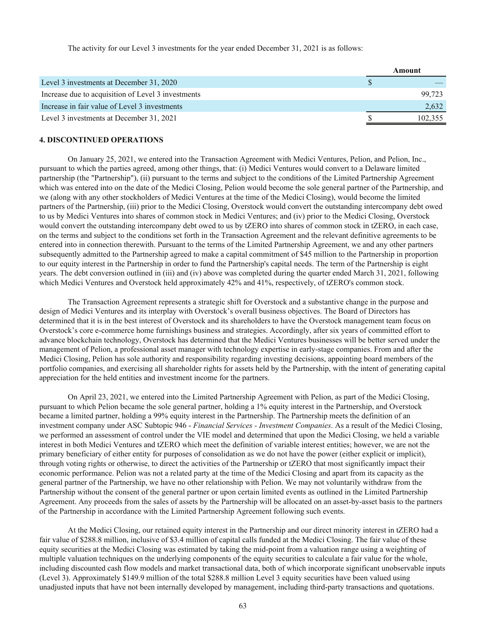The activity for our Level 3 investments for the year ended December 31, 2021 is as follows:

|                                                    | Amount |         |  |
|----------------------------------------------------|--------|---------|--|
| Level 3 investments at December 31, 2020           |        |         |  |
| Increase due to acquisition of Level 3 investments |        | 99.723  |  |
| Increase in fair value of Level 3 investments      |        | 2.632   |  |
| Level 3 investments at December 31, 2021           |        | 102,355 |  |

#### **4. DISCONTINUED OPERATIONS**

On January 25, 2021, we entered into the Transaction Agreement with Medici Ventures, Pelion, and Pelion, Inc., pursuant to which the parties agreed, among other things, that: (i) Medici Ventures would convert to a Delaware limited partnership (the "Partnership"), (ii) pursuant to the terms and subject to the conditions of the Limited Partnership Agreement which was entered into on the date of the Medici Closing, Pelion would become the sole general partner of the Partnership, and we (along with any other stockholders of Medici Ventures at the time of the Medici Closing), would become the limited partners of the Partnership, (iii) prior to the Medici Closing, Overstock would convert the outstanding intercompany debt owed to us by Medici Ventures into shares of common stock in Medici Ventures; and (iv) prior to the Medici Closing, Overstock would convert the outstanding intercompany debt owed to us by tZERO into shares of common stock in tZERO, in each case, on the terms and subject to the conditions set forth in the Transaction Agreement and the relevant definitive agreements to be entered into in connection therewith. Pursuant to the terms of the Limited Partnership Agreement, we and any other partners subsequently admitted to the Partnership agreed to make a capital commitment of \$45 million to the Partnership in proportion to our equity interest in the Partnership in order to fund the Partnership's capital needs. The term of the Partnership is eight years. The debt conversion outlined in (iii) and (iv) above was completed during the quarter ended March 31, 2021, following which Medici Ventures and Overstock held approximately 42% and 41%, respectively, of tZERO's common stock.

The Transaction Agreement represents a strategic shift for Overstock and a substantive change in the purpose and design of Medici Ventures and its interplay with Overstock's overall business objectives. The Board of Directors has determined that it is in the best interest of Overstock and its shareholders to have the Overstock management team focus on Overstock's core e-commerce home furnishings business and strategies. Accordingly, after six years of committed effort to advance blockchain technology, Overstock has determined that the Medici Ventures businesses will be better served under the management of Pelion, a professional asset manager with technology expertise in early-stage companies. From and after the Medici Closing, Pelion has sole authority and responsibility regarding investing decisions, appointing board members of the portfolio companies, and exercising all shareholder rights for assets held by the Partnership, with the intent of generating capital appreciation for the held entities and investment income for the partners.

On April 23, 2021, we entered into the Limited Partnership Agreement with Pelion, as part of the Medici Closing, pursuant to which Pelion became the sole general partner, holding a 1% equity interest in the Partnership, and Overstock became a limited partner, holding a 99% equity interest in the Partnership. The Partnership meets the definition of an investment company under ASC Subtopic 946 - *Financial Services - Investment Companies*. As a result of the Medici Closing, we performed an assessment of control under the VIE model and determined that upon the Medici Closing, we held a variable interest in both Medici Ventures and tZERO which meet the definition of variable interest entities; however, we are not the primary beneficiary of either entity for purposes of consolidation as we do not have the power (either explicit or implicit), through voting rights or otherwise, to direct the activities of the Partnership or tZERO that most significantly impact their economic performance. Pelion was not a related party at the time of the Medici Closing and apart from its capacity as the general partner of the Partnership, we have no other relationship with Pelion. We may not voluntarily withdraw from the Partnership without the consent of the general partner or upon certain limited events as outlined in the Limited Partnership Agreement. Any proceeds from the sales of assets by the Partnership will be allocated on an asset-by-asset basis to the partners of the Partnership in accordance with the Limited Partnership Agreement following such events.

At the Medici Closing, our retained equity interest in the Partnership and our direct minority interest in tZERO had a fair value of \$288.8 million, inclusive of \$3.4 million of capital calls funded at the Medici Closing. The fair value of these equity securities at the Medici Closing was estimated by taking the mid-point from a valuation range using a weighting of multiple valuation techniques on the underlying components of the equity securities to calculate a fair value for the whole, including discounted cash flow models and market transactional data, both of which incorporate significant unobservable inputs (Level 3). Approximately \$149.9 million of the total \$288.8 million Level 3 equity securities have been valued using unadjusted inputs that have not been internally developed by management, including third-party transactions and quotations.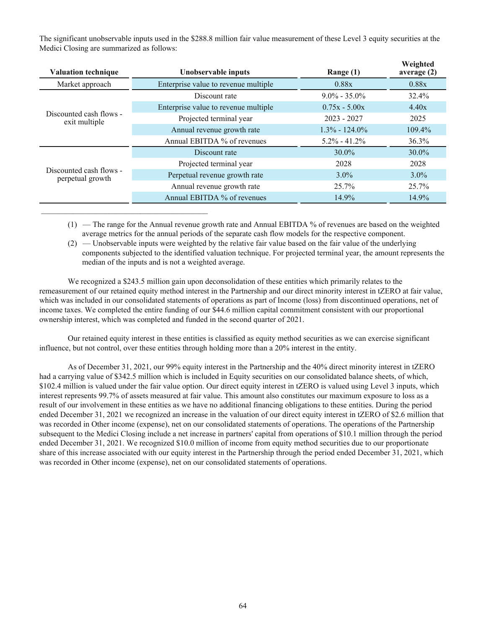The significant unobservable inputs used in the \$288.8 million fair value measurement of these Level 3 equity securities at the Medici Closing are summarized as follows:

| <b>Valuation technique</b>                  | Unobservable inputs                                | Range (1)         | Weighted<br>average (2) |
|---------------------------------------------|----------------------------------------------------|-------------------|-------------------------|
| Market approach                             | Enterprise value to revenue multiple               | 0.88x             | 0.88x                   |
|                                             | Discount rate                                      | $9.0\% - 35.0\%$  | 32.4%                   |
|                                             | Enterprise value to revenue multiple               | $0.75x - 5.00x$   | 4.40x                   |
| exit multiple                               | Discounted cash flows -<br>Projected terminal year |                   |                         |
|                                             | Annual revenue growth rate                         | $1.3\% - 124.0\%$ | $109.4\%$               |
|                                             | Annual EBITDA % of revenues                        |                   | 36.3%                   |
|                                             | Discount rate                                      | $30.0\%$          | $30.0\%$                |
|                                             | Projected terminal year                            | 2028              | 2028                    |
| Discounted cash flows -<br>perpetual growth | Perpetual revenue growth rate                      | $3.0\%$           | $3.0\%$                 |
|                                             | Annual revenue growth rate                         | 25.7%             | 25.7%                   |
| Annual EBITDA % of revenues                 |                                                    | 14.9%             | 14.9%                   |

(1) — The range for the Annual revenue growth rate and Annual EBITDA % of revenues are based on the weighted average metrics for the annual periods of the separate cash flow models for the respective component.

(2) — Unobservable inputs were weighted by the relative fair value based on the fair value of the underlying components subjected to the identified valuation technique. For projected terminal year, the amount represents the median of the inputs and is not a weighted average.

We recognized a \$243.5 million gain upon deconsolidation of these entities which primarily relates to the remeasurement of our retained equity method interest in the Partnership and our direct minority interest in tZERO at fair value, which was included in our consolidated statements of operations as part of Income (loss) from discontinued operations, net of income taxes. We completed the entire funding of our \$44.6 million capital commitment consistent with our proportional ownership interest, which was completed and funded in the second quarter of 2021.

Our retained equity interest in these entities is classified as equity method securities as we can exercise significant influence, but not control, over these entities through holding more than a 20% interest in the entity.

As of December 31, 2021, our 99% equity interest in the Partnership and the 40% direct minority interest in tZERO had a carrying value of \$342.5 million which is included in Equity securities on our consolidated balance sheets, of which, \$102.4 million is valued under the fair value option. Our direct equity interest in tZERO is valued using Level 3 inputs, which interest represents 99.7% of assets measured at fair value. This amount also constitutes our maximum exposure to loss as a result of our involvement in these entities as we have no additional financing obligations to these entities. During the period ended December 31, 2021 we recognized an increase in the valuation of our direct equity interest in tZERO of \$2.6 million that was recorded in Other income (expense), net on our consolidated statements of operations. The operations of the Partnership subsequent to the Medici Closing include a net increase in partners' capital from operations of \$10.1 million through the period ended December 31, 2021. We recognized \$10.0 million of income from equity method securities due to our proportionate share of this increase associated with our equity interest in the Partnership through the period ended December 31, 2021, which was recorded in Other income (expense), net on our consolidated statements of operations.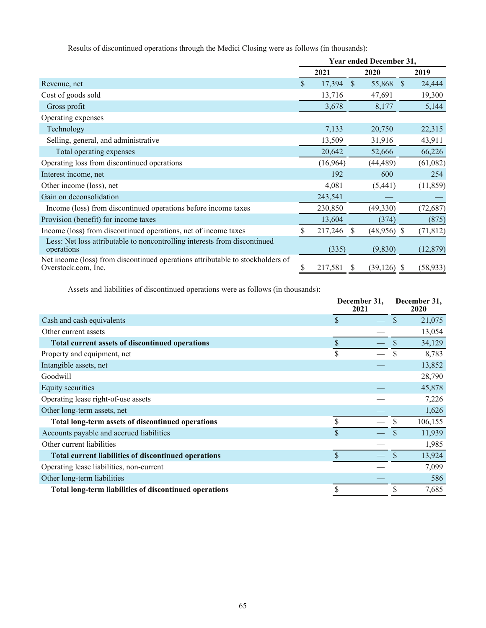Results of discontinued operations through the Medici Closing were as follows (in thousands):

|                                                                                                       | Year ended December 31, |          |               |               |               |           |
|-------------------------------------------------------------------------------------------------------|-------------------------|----------|---------------|---------------|---------------|-----------|
|                                                                                                       |                         | 2021     |               | 2020          |               | 2019      |
| Revenue, net                                                                                          | $\mathcal{S}$           | 17,394   | $\mathcal{S}$ | 55,868        | $\mathcal{S}$ | 24,444    |
| Cost of goods sold                                                                                    |                         | 13,716   |               | 47,691        |               | 19,300    |
| Gross profit                                                                                          |                         | 3,678    |               | 8,177         |               | 5,144     |
| Operating expenses                                                                                    |                         |          |               |               |               |           |
| Technology                                                                                            |                         | 7,133    |               | 20,750        |               | 22,315    |
| Selling, general, and administrative                                                                  |                         | 13,509   |               | 31,916        |               | 43,911    |
| Total operating expenses                                                                              |                         | 20,642   |               | 52,666        |               | 66,226    |
| Operating loss from discontinued operations                                                           |                         | (16,964) |               | (44, 489)     |               | (61,082)  |
| Interest income, net                                                                                  |                         | 192      |               | 600           |               | 254       |
| Other income (loss), net                                                                              |                         | 4,081    |               | (5,441)       |               | (11, 859) |
| Gain on deconsolidation                                                                               |                         | 243,541  |               |               |               |           |
| Income (loss) from discontinued operations before income taxes                                        |                         | 230,850  |               | (49, 330)     |               | (72, 687) |
| Provision (benefit) for income taxes                                                                  |                         | 13,604   |               | (374)         |               | (875)     |
| Income (loss) from discontinued operations, net of income taxes                                       | S                       | 217,246  | \$            | $(48,956)$ \$ |               | (71, 812) |
| Less: Net loss attributable to noncontrolling interests from discontinued<br>operations               |                         | (335)    |               | (9,830)       |               | (12, 879) |
| Net income (loss) from discontinued operations attributable to stockholders of<br>Overstock.com, Inc. | \$                      | 217,581  | S             | $(39,126)$ \$ |               | (58, 933) |

Assets and liabilities of discontinued operations were as follows (in thousands):

|                                                        | December 31,<br>2021 | December 31,<br>2020 |         |  |
|--------------------------------------------------------|----------------------|----------------------|---------|--|
| Cash and cash equivalents                              | \$                   |                      | 21,075  |  |
| Other current assets                                   |                      |                      | 13,054  |  |
| <b>Total current assets of discontinued operations</b> | \$                   |                      | 34,129  |  |
| Property and equipment, net                            | \$                   |                      | 8,783   |  |
| Intangible assets, net                                 |                      |                      | 13,852  |  |
| Goodwill                                               |                      |                      | 28,790  |  |
| Equity securities                                      |                      |                      | 45,878  |  |
| Operating lease right-of-use assets                    |                      |                      | 7,226   |  |
| Other long-term assets, net                            |                      |                      | 1,626   |  |
| Total long-term assets of discontinued operations      |                      |                      | 106,155 |  |
| Accounts payable and accrued liabilities               | \$                   |                      | 11,939  |  |
| Other current liabilities                              |                      |                      | 1,985   |  |
| Total current liabilities of discontinued operations   | \$                   |                      | 13,924  |  |
| Operating lease liabilities, non-current               |                      |                      | 7,099   |  |
| Other long-term liabilities                            |                      |                      | 586     |  |
| Total long-term liabilities of discontinued operations | \$                   | \$                   | 7,685   |  |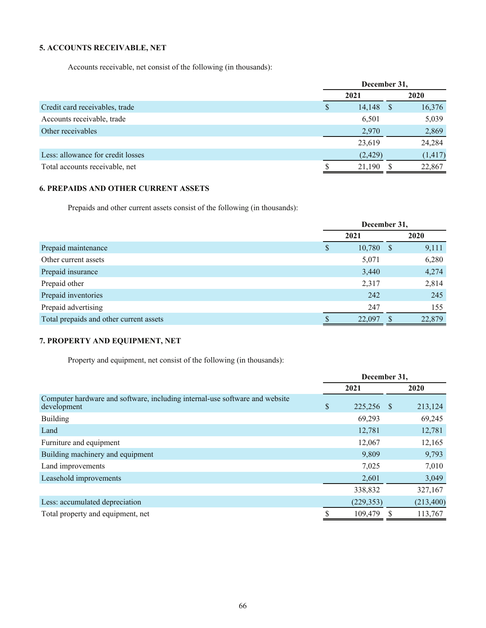# **5. ACCOUNTS RECEIVABLE, NET**

Accounts receivable, net consist of the following (in thousands):

|                                   | December 31, |         |    |          |  |  |  |  |  |  |  |  |  |  |  |  |  |      |
|-----------------------------------|--------------|---------|----|----------|--|--|--|--|--|--|--|--|--|--|--|--|--|------|
|                                   |              | 2021    |    |          |  |  |  |  |  |  |  |  |  |  |  |  |  | 2020 |
| Credit card receivables, trade    | S            | 14,148  | -S | 16,376   |  |  |  |  |  |  |  |  |  |  |  |  |  |      |
| Accounts receivable, trade        |              | 6,501   |    | 5,039    |  |  |  |  |  |  |  |  |  |  |  |  |  |      |
| Other receivables                 |              | 2,970   |    | 2,869    |  |  |  |  |  |  |  |  |  |  |  |  |  |      |
|                                   |              | 23,619  |    | 24,284   |  |  |  |  |  |  |  |  |  |  |  |  |  |      |
| Less: allowance for credit losses |              | (2,429) |    | (1, 417) |  |  |  |  |  |  |  |  |  |  |  |  |  |      |
| Total accounts receivable, net    |              | 21,190  |    | 22,867   |  |  |  |  |  |  |  |  |  |  |  |  |  |      |

# **6. PREPAIDS AND OTHER CURRENT ASSETS**

Prepaids and other current assets consist of the following (in thousands):

|                                         | December 31, |        |      |        |  |      |
|-----------------------------------------|--------------|--------|------|--------|--|------|
|                                         |              | 2021   |      |        |  | 2020 |
| Prepaid maintenance                     |              | 10,780 | - \$ | 9,111  |  |      |
| Other current assets                    |              | 5,071  |      | 6,280  |  |      |
| Prepaid insurance                       |              | 3,440  |      | 4,274  |  |      |
| Prepaid other                           |              | 2,317  |      | 2,814  |  |      |
| Prepaid inventories                     |              | 242    |      | 245    |  |      |
| Prepaid advertising                     |              | 247    |      | 155    |  |      |
| Total prepaids and other current assets |              | 22,097 |      | 22,879 |  |      |

# **7. PROPERTY AND EQUIPMENT, NET**

Property and equipment, net consist of the following (in thousands):

|                                                                                            | December 31, |            |  |           |  |
|--------------------------------------------------------------------------------------------|--------------|------------|--|-----------|--|
|                                                                                            | 2021         |            |  | 2020      |  |
| Computer hardware and software, including internal-use software and website<br>development | \$           | 225,256 \$ |  | 213,124   |  |
| <b>Building</b>                                                                            |              | 69,293     |  | 69,245    |  |
| Land                                                                                       |              | 12,781     |  | 12,781    |  |
| Furniture and equipment                                                                    |              | 12,067     |  | 12,165    |  |
| Building machinery and equipment                                                           |              | 9,809      |  | 9,793     |  |
| Land improvements                                                                          |              | 7,025      |  | 7,010     |  |
| Leasehold improvements                                                                     |              | 2,601      |  | 3,049     |  |
|                                                                                            |              | 338,832    |  | 327,167   |  |
| Less: accumulated depreciation                                                             |              | (229, 353) |  | (213,400) |  |
| Total property and equipment, net                                                          | \$           | 109.479    |  | 113,767   |  |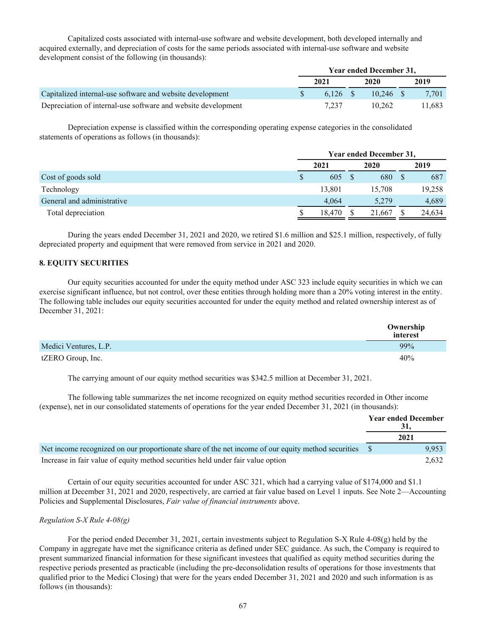Capitalized costs associated with internal-use software and website development, both developed internally and acquired externally, and depreciation of costs for the same periods associated with internal-use software and website development consist of the following (in thousands):

|                                                               | Year ended December 31, |  |             |  |        |  |  |
|---------------------------------------------------------------|-------------------------|--|-------------|--|--------|--|--|
|                                                               | 2021                    |  | 2020        |  | 2019   |  |  |
| Capitalized internal-use software and website development     | 6.126 \$                |  | $10.246$ \$ |  | 7.701  |  |  |
| Depreciation of internal-use software and website development | 7.237                   |  | 10.262      |  | 11,683 |  |  |

Depreciation expense is classified within the corresponding operating expense categories in the consolidated statements of operations as follows (in thousands):

|                            | Year ended December 31, |  |        |  |        |  |
|----------------------------|-------------------------|--|--------|--|--------|--|
|                            | 2021                    |  | 2020   |  | 2019   |  |
| Cost of goods sold         | \$<br>605               |  | 680    |  | 687    |  |
| Technology                 | 13.801                  |  | 15.708 |  | 19,258 |  |
| General and administrative | 4.064                   |  | 5,279  |  | 4,689  |  |
| Total depreciation         | 18,470                  |  | 21,667 |  | 24.634 |  |

During the years ended December 31, 2021 and 2020, we retired \$1.6 million and \$25.1 million, respectively, of fully depreciated property and equipment that were removed from service in 2021 and 2020.

## **8. EQUITY SECURITIES**

Our equity securities accounted for under the equity method under ASC 323 include equity securities in which we can exercise significant influence, but not control, over these entities through holding more than a 20% voting interest in the entity. The following table includes our equity securities accounted for under the equity method and related ownership interest as of December 31, 2021:

|                       | Ownership<br>interest |
|-----------------------|-----------------------|
| Medici Ventures, L.P. | 99%                   |
| tZERO Group, Inc.     | 40%                   |

The carrying amount of our equity method securities was \$342.5 million at December 31, 2021.

The following table summarizes the net income recognized on equity method securities recorded in Other income (expense), net in our consolidated statements of operations for the year ended December 31, 2021 (in thousands):

|                                                                                                    | <b>Year ended December</b> |
|----------------------------------------------------------------------------------------------------|----------------------------|
|                                                                                                    | 2021                       |
| Net income recognized on our proportionate share of the net income of our equity method securities | 9.953                      |
| Increase in fair value of equity method securities held under fair value option                    | 2.632                      |

Certain of our equity securities accounted for under ASC 321, which had a carrying value of \$174,000 and \$1.1 million at December 31, 2021 and 2020, respectively, are carried at fair value based on Level 1 inputs. See Note 2—Accounting Policies and Supplemental Disclosures, *Fair value of financial instruments* above.

#### *Regulation S-X Rule 4-08(g)*

For the period ended December 31, 2021, certain investments subject to Regulation S-X Rule 4-08(g) held by the Company in aggregate have met the significance criteria as defined under SEC guidance. As such, the Company is required to present summarized financial information for these significant investees that qualified as equity method securities during the respective periods presented as practicable (including the pre-deconsolidation results of operations for those investments that qualified prior to the Medici Closing) that were for the years ended December 31, 2021 and 2020 and such information is as follows (in thousands):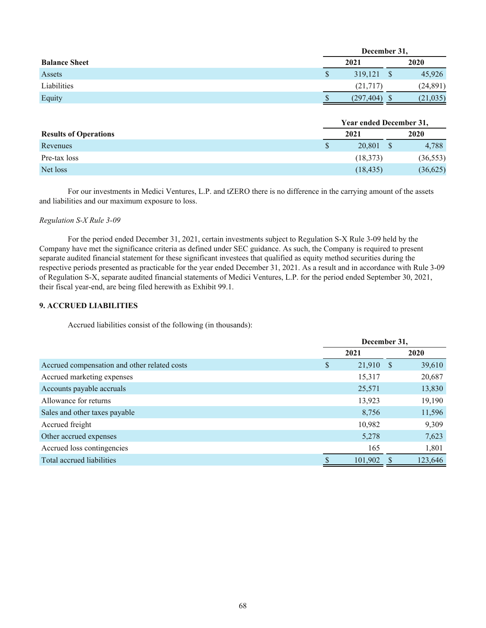|                      |            | December 31, |           |  |  |  |  |  |  |  |
|----------------------|------------|--------------|-----------|--|--|--|--|--|--|--|
| <b>Balance Sheet</b> | 2021       |              | 2020      |  |  |  |  |  |  |  |
| Assets               | 319,121    | - \$         | 45,926    |  |  |  |  |  |  |  |
| Liabilities          | (21,717)   |              | (24, 891) |  |  |  |  |  |  |  |
| Equity               | (297, 404) |              | (21, 035) |  |  |  |  |  |  |  |

|                              |           | Year ended December 31, |           |  |  |  |  |  |  |  |
|------------------------------|-----------|-------------------------|-----------|--|--|--|--|--|--|--|
| <b>Results of Operations</b> | 2021      |                         | 2020      |  |  |  |  |  |  |  |
| Revenues                     | 20,801    |                         | 4,788     |  |  |  |  |  |  |  |
| Pre-tax loss                 | (18, 373) |                         | (36, 553) |  |  |  |  |  |  |  |
| Net loss                     | (18, 435) |                         | (36, 625) |  |  |  |  |  |  |  |

For our investments in Medici Ventures, L.P. and tZERO there is no difference in the carrying amount of the assets and liabilities and our maximum exposure to loss.

## *Regulation S-X Rule 3-09*

For the period ended December 31, 2021, certain investments subject to Regulation S-X Rule 3-09 held by the Company have met the significance criteria as defined under SEC guidance. As such, the Company is required to present separate audited financial statement for these significant investees that qualified as equity method securities during the respective periods presented as practicable for the year ended December 31, 2021. As a result and in accordance with Rule 3-09 of Regulation S-X, separate audited financial statements of Medici Ventures, L.P. for the period ended September 30, 2021, their fiscal year-end, are being filed herewith as Exhibit 99.1.

# **9. ACCRUED LIABILITIES**

Accrued liabilities consist of the following (in thousands):

|                                              | December 31, |         |    |         |  |
|----------------------------------------------|--------------|---------|----|---------|--|
|                                              |              | 2021    |    | 2020    |  |
| Accrued compensation and other related costs | S            | 21,910  | -S | 39,610  |  |
| Accrued marketing expenses                   |              | 15,317  |    | 20,687  |  |
| Accounts payable accruals                    |              | 25,571  |    | 13,830  |  |
| Allowance for returns                        |              | 13,923  |    | 19,190  |  |
| Sales and other taxes payable                |              | 8,756   |    | 11,596  |  |
| Accrued freight                              |              | 10,982  |    | 9,309   |  |
| Other accrued expenses                       |              | 5,278   |    | 7,623   |  |
| Accrued loss contingencies                   |              | 165     |    | 1,801   |  |
| Total accrued liabilities                    |              | 101,902 |    | 123,646 |  |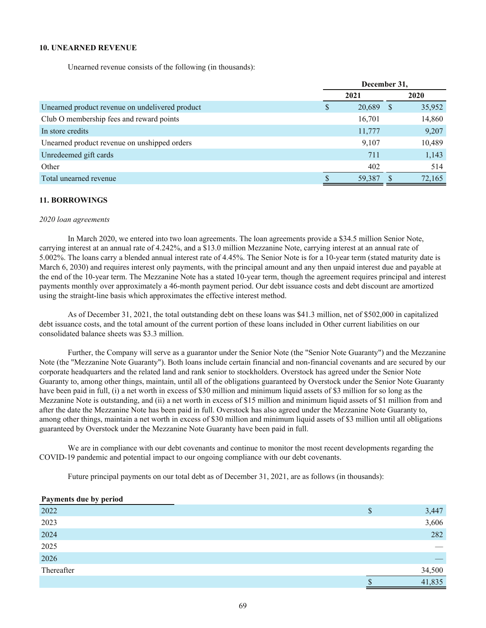## **10. UNEARNED REVENUE**

Unearned revenue consists of the following (in thousands):

|                                                 |          | December 31, |    |        |  |  |
|-------------------------------------------------|----------|--------------|----|--------|--|--|
|                                                 |          | 2021         |    | 2020   |  |  |
| Unearned product revenue on undelivered product | <b>S</b> | 20,689       | -S | 35,952 |  |  |
| Club O membership fees and reward points        |          | 16,701       |    | 14,860 |  |  |
| In store credits                                |          | 11,777       |    | 9,207  |  |  |
| Unearned product revenue on unshipped orders    |          | 9,107        |    | 10,489 |  |  |
| Unredeemed gift cards                           |          | 711          |    | 1,143  |  |  |
| Other                                           |          | 402          |    | 514    |  |  |
| Total unearned revenue                          |          | 59,387       |    | 72,165 |  |  |

## **11. BORROWINGS**

#### *2020 loan agreements*

In March 2020, we entered into two loan agreements. The loan agreements provide a \$34.5 million Senior Note, carrying interest at an annual rate of 4.242%, and a \$13.0 million Mezzanine Note, carrying interest at an annual rate of 5.002%. The loans carry a blended annual interest rate of 4.45%. The Senior Note is for a 10-year term (stated maturity date is March 6, 2030) and requires interest only payments, with the principal amount and any then unpaid interest due and payable at the end of the 10-year term. The Mezzanine Note has a stated 10-year term, though the agreement requires principal and interest payments monthly over approximately a 46-month payment period. Our debt issuance costs and debt discount are amortized using the straight-line basis which approximates the effective interest method.

As of December 31, 2021, the total outstanding debt on these loans was \$41.3 million, net of \$502,000 in capitalized debt issuance costs, and the total amount of the current portion of these loans included in Other current liabilities on our consolidated balance sheets was \$3.3 million.

Further, the Company will serve as a guarantor under the Senior Note (the "Senior Note Guaranty") and the Mezzanine Note (the "Mezzanine Note Guaranty"). Both loans include certain financial and non-financial covenants and are secured by our corporate headquarters and the related land and rank senior to stockholders. Overstock has agreed under the Senior Note Guaranty to, among other things, maintain, until all of the obligations guaranteed by Overstock under the Senior Note Guaranty have been paid in full, (i) a net worth in excess of \$30 million and minimum liquid assets of \$3 million for so long as the Mezzanine Note is outstanding, and (ii) a net worth in excess of \$15 million and minimum liquid assets of \$1 million from and after the date the Mezzanine Note has been paid in full. Overstock has also agreed under the Mezzanine Note Guaranty to, among other things, maintain a net worth in excess of \$30 million and minimum liquid assets of \$3 million until all obligations guaranteed by Overstock under the Mezzanine Note Guaranty have been paid in full.

We are in compliance with our debt covenants and continue to monitor the most recent developments regarding the COVID-19 pandemic and potential impact to our ongoing compliance with our debt covenants.

Future principal payments on our total debt as of December 31, 2021, are as follows (in thousands):

| Payments due by period |   |        |
|------------------------|---|--------|
| 2022                   | D | 3,447  |
| 2023                   |   | 3,606  |
| 2024                   |   | 282    |
| 2025                   |   |        |
| 2026                   |   |        |
| Thereafter             |   | 34,500 |
|                        |   | 41,835 |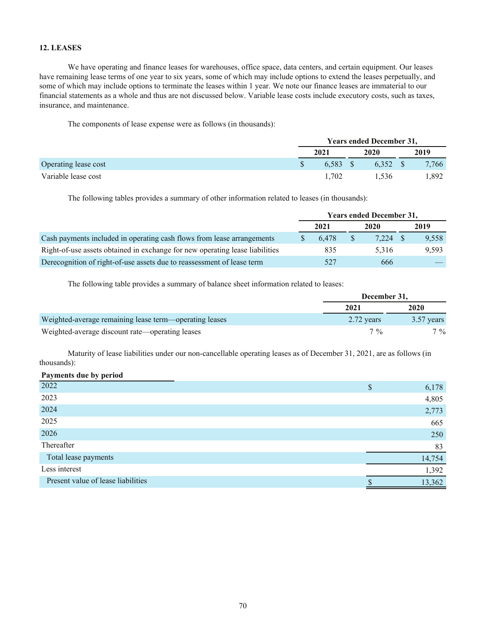## **12. LEASES**

We have operating and finance leases for warehouses, office space, data centers, and certain equipment. Our leases have remaining lease terms of one year to six years, some of which may include options to extend the leases perpetually, and some of which may include options to terminate the leases within 1 year. We note our finance leases are immaterial to our financial statements as a whole and thus are not discussed below. Variable lease costs include executory costs, such as taxes, insurance, and maintenance.

The components of lease expense were as follows (in thousands):

|                      | <b>Years ended December 31,</b> |  |         |  |       |  |  |
|----------------------|---------------------------------|--|---------|--|-------|--|--|
|                      | 2021                            |  | 2020    |  | 2019  |  |  |
| Operating lease cost | $6.583$ \$                      |  | 6.352 S |  | 7.766 |  |  |
| Variable lease cost  | 1.702                           |  | 1.536   |  | .892  |  |  |

The following tables provides a summary of other information related to leases (in thousands):

|                                                                              | <b>Years ended December 31,</b> |       |  |       |  |       |
|------------------------------------------------------------------------------|---------------------------------|-------|--|-------|--|-------|
|                                                                              |                                 | 2021  |  | 2020  |  | 2019  |
| Cash payments included in operating cash flows from lease arrangements       |                                 | 6.478 |  | 7.224 |  | 9.558 |
| Right-of-use assets obtained in exchange for new operating lease liabilities |                                 | 835   |  | 5.316 |  | 9.593 |
| Derecognition of right-of-use assets due to reassessment of lease term       |                                 | 527   |  | 666   |  |       |

The following table provides a summary of balance sheet information related to leases:

|                                                        |                | December 31, |  |
|--------------------------------------------------------|----------------|--------------|--|
|                                                        | 2021           | <b>2020</b>  |  |
| Weighted-average remaining lease term—operating leases | $2.72$ vears   | $3.57$ years |  |
| Weighted-average discount rate—operating leases        | $7\frac{0}{6}$ | $7\%$        |  |

Maturity of lease liabilities under our non-cancellable operating leases as of December 31, 2021, are as follows (in thousands):

| Payments due by period             |             |
|------------------------------------|-------------|
| 2022                               | \$<br>6,178 |
| 2023                               | 4,805       |
| 2024                               | 2,773       |
| 2025                               | 665         |
| 2026                               | 250         |
| Thereafter                         | 83          |
| Total lease payments               | 14,754      |
| Less interest                      | 1,392       |
| Present value of lease liabilities | 13,362      |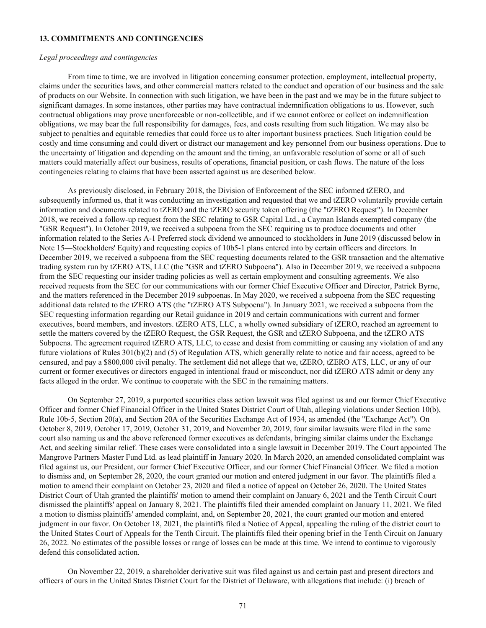## **13. COMMITMENTS AND CONTINGENCIES**

#### *Legal proceedings and contingencies*

From time to time, we are involved in litigation concerning consumer protection, employment, intellectual property, claims under the securities laws, and other commercial matters related to the conduct and operation of our business and the sale of products on our Website. In connection with such litigation, we have been in the past and we may be in the future subject to significant damages. In some instances, other parties may have contractual indemnification obligations to us. However, such contractual obligations may prove unenforceable or non-collectible, and if we cannot enforce or collect on indemnification obligations, we may bear the full responsibility for damages, fees, and costs resulting from such litigation. We may also be subject to penalties and equitable remedies that could force us to alter important business practices. Such litigation could be costly and time consuming and could divert or distract our management and key personnel from our business operations. Due to the uncertainty of litigation and depending on the amount and the timing, an unfavorable resolution of some or all of such matters could materially affect our business, results of operations, financial position, or cash flows. The nature of the loss contingencies relating to claims that have been asserted against us are described below.

As previously disclosed, in February 2018, the Division of Enforcement of the SEC informed tZERO, and subsequently informed us, that it was conducting an investigation and requested that we and tZERO voluntarily provide certain information and documents related to tZERO and the tZERO security token offering (the "tZERO Request"). In December 2018, we received a follow-up request from the SEC relating to GSR Capital Ltd., a Cayman Islands exempted company (the "GSR Request"). In October 2019, we received a subpoena from the SEC requiring us to produce documents and other information related to the Series A-1 Preferred stock dividend we announced to stockholders in June 2019 (discussed below in Note 15—Stockholders' Equity) and requesting copies of 10b5-1 plans entered into by certain officers and directors. In December 2019, we received a subpoena from the SEC requesting documents related to the GSR transaction and the alternative trading system run by tZERO ATS, LLC (the "GSR and tZERO Subpoena"). Also in December 2019, we received a subpoena from the SEC requesting our insider trading policies as well as certain employment and consulting agreements. We also received requests from the SEC for our communications with our former Chief Executive Officer and Director, Patrick Byrne, and the matters referenced in the December 2019 subpoenas. In May 2020, we received a subpoena from the SEC requesting additional data related to the tZERO ATS (the "tZERO ATS Subpoena"). In January 2021, we received a subpoena from the SEC requesting information regarding our Retail guidance in 2019 and certain communications with current and former executives, board members, and investors. tZERO ATS, LLC, a wholly owned subsidiary of tZERO, reached an agreement to settle the matters covered by the tZERO Request, the GSR Request, the GSR and tZERO Subpoena, and the tZERO ATS Subpoena. The agreement required tZERO ATS, LLC, to cease and desist from committing or causing any violation of and any future violations of Rules 301(b)(2) and (5) of Regulation ATS, which generally relate to notice and fair access, agreed to be censured, and pay a \$800,000 civil penalty. The settlement did not allege that we, tZERO, tZERO ATS, LLC, or any of our current or former executives or directors engaged in intentional fraud or misconduct, nor did tZERO ATS admit or deny any facts alleged in the order. We continue to cooperate with the SEC in the remaining matters.

On September 27, 2019, a purported securities class action lawsuit was filed against us and our former Chief Executive Officer and former Chief Financial Officer in the United States District Court of Utah, alleging violations under Section 10(b), Rule 10b-5, Section 20(a), and Section 20A of the Securities Exchange Act of 1934, as amended (the "Exchange Act"). On October 8, 2019, October 17, 2019, October 31, 2019, and November 20, 2019, four similar lawsuits were filed in the same court also naming us and the above referenced former executives as defendants, bringing similar claims under the Exchange Act, and seeking similar relief. These cases were consolidated into a single lawsuit in December 2019. The Court appointed The Mangrove Partners Master Fund Ltd. as lead plaintiff in January 2020. In March 2020, an amended consolidated complaint was filed against us, our President, our former Chief Executive Officer, and our former Chief Financial Officer. We filed a motion to dismiss and, on September 28, 2020, the court granted our motion and entered judgment in our favor. The plaintiffs filed a motion to amend their complaint on October 23, 2020 and filed a notice of appeal on October 26, 2020. The United States District Court of Utah granted the plaintiffs' motion to amend their complaint on January 6, 2021 and the Tenth Circuit Court dismissed the plaintiffs' appeal on January 8, 2021. The plaintiffs filed their amended complaint on January 11, 2021. We filed a motion to dismiss plaintiffs' amended complaint, and, on September 20, 2021, the court granted our motion and entered judgment in our favor. On October 18, 2021, the plaintiffs filed a Notice of Appeal, appealing the ruling of the district court to the United States Court of Appeals for the Tenth Circuit. The plaintiffs filed their opening brief in the Tenth Circuit on January 26, 2022. No estimates of the possible losses or range of losses can be made at this time. We intend to continue to vigorously defend this consolidated action.

On November 22, 2019, a shareholder derivative suit was filed against us and certain past and present directors and officers of ours in the United States District Court for the District of Delaware, with allegations that include: (i) breach of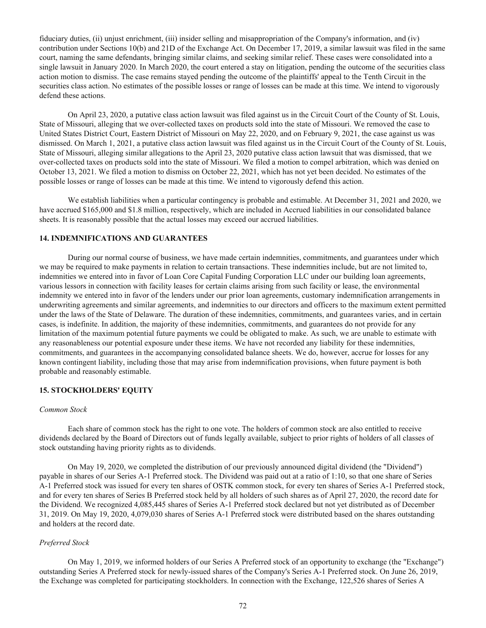fiduciary duties, (ii) unjust enrichment, (iii) insider selling and misappropriation of the Company's information, and (iv) contribution under Sections 10(b) and 21D of the Exchange Act. On December 17, 2019, a similar lawsuit was filed in the same court, naming the same defendants, bringing similar claims, and seeking similar relief. These cases were consolidated into a single lawsuit in January 2020. In March 2020, the court entered a stay on litigation, pending the outcome of the securities class action motion to dismiss. The case remains stayed pending the outcome of the plaintiffs' appeal to the Tenth Circuit in the securities class action. No estimates of the possible losses or range of losses can be made at this time. We intend to vigorously defend these actions.

On April 23, 2020, a putative class action lawsuit was filed against us in the Circuit Court of the County of St. Louis, State of Missouri, alleging that we over-collected taxes on products sold into the state of Missouri. We removed the case to United States District Court, Eastern District of Missouri on May 22, 2020, and on February 9, 2021, the case against us was dismissed. On March 1, 2021, a putative class action lawsuit was filed against us in the Circuit Court of the County of St. Louis, State of Missouri, alleging similar allegations to the April 23, 2020 putative class action lawsuit that was dismissed, that we over-collected taxes on products sold into the state of Missouri. We filed a motion to compel arbitration, which was denied on October 13, 2021. We filed a motion to dismiss on October 22, 2021, which has not yet been decided. No estimates of the possible losses or range of losses can be made at this time. We intend to vigorously defend this action.

We establish liabilities when a particular contingency is probable and estimable. At December 31, 2021 and 2020, we have accrued \$165,000 and \$1.8 million, respectively, which are included in Accrued liabilities in our consolidated balance sheets. It is reasonably possible that the actual losses may exceed our accrued liabilities.

#### **14. INDEMNIFICATIONS AND GUARANTEES**

During our normal course of business, we have made certain indemnities, commitments, and guarantees under which we may be required to make payments in relation to certain transactions. These indemnities include, but are not limited to, indemnities we entered into in favor of Loan Core Capital Funding Corporation LLC under our building loan agreements, various lessors in connection with facility leases for certain claims arising from such facility or lease, the environmental indemnity we entered into in favor of the lenders under our prior loan agreements, customary indemnification arrangements in underwriting agreements and similar agreements, and indemnities to our directors and officers to the maximum extent permitted under the laws of the State of Delaware. The duration of these indemnities, commitments, and guarantees varies, and in certain cases, is indefinite. In addition, the majority of these indemnities, commitments, and guarantees do not provide for any limitation of the maximum potential future payments we could be obligated to make. As such, we are unable to estimate with any reasonableness our potential exposure under these items. We have not recorded any liability for these indemnities, commitments, and guarantees in the accompanying consolidated balance sheets. We do, however, accrue for losses for any known contingent liability, including those that may arise from indemnification provisions, when future payment is both probable and reasonably estimable.

# **15. STOCKHOLDERS' EQUITY**

#### *Common Stock*

Each share of common stock has the right to one vote. The holders of common stock are also entitled to receive dividends declared by the Board of Directors out of funds legally available, subject to prior rights of holders of all classes of stock outstanding having priority rights as to dividends.

On May 19, 2020, we completed the distribution of our previously announced digital dividend (the "Dividend") payable in shares of our Series A-1 Preferred stock. The Dividend was paid out at a ratio of 1:10, so that one share of Series A-1 Preferred stock was issued for every ten shares of OSTK common stock, for every ten shares of Series A-1 Preferred stock, and for every ten shares of Series B Preferred stock held by all holders of such shares as of April 27, 2020, the record date for the Dividend. We recognized 4,085,445 shares of Series A-1 Preferred stock declared but not yet distributed as of December 31, 2019. On May 19, 2020, 4,079,030 shares of Series A-1 Preferred stock were distributed based on the shares outstanding and holders at the record date.

#### *Preferred Stock*

On May 1, 2019, we informed holders of our Series A Preferred stock of an opportunity to exchange (the "Exchange") outstanding Series A Preferred stock for newly-issued shares of the Company's Series A-1 Preferred stock. On June 26, 2019, the Exchange was completed for participating stockholders. In connection with the Exchange, 122,526 shares of Series A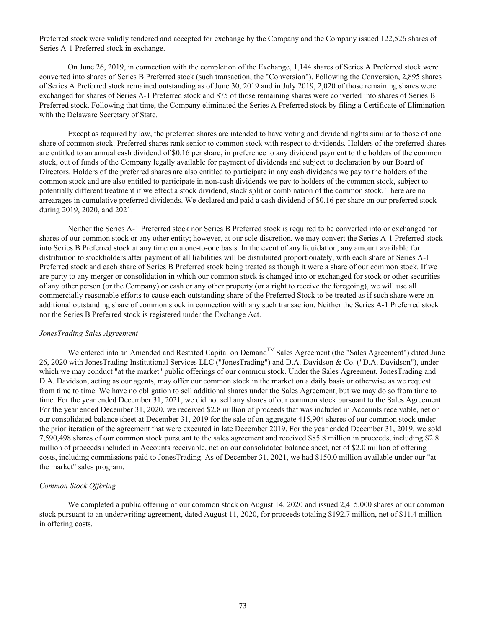Preferred stock were validly tendered and accepted for exchange by the Company and the Company issued 122,526 shares of Series A-1 Preferred stock in exchange.

On June 26, 2019, in connection with the completion of the Exchange, 1,144 shares of Series A Preferred stock were converted into shares of Series B Preferred stock (such transaction, the "Conversion"). Following the Conversion, 2,895 shares of Series A Preferred stock remained outstanding as of June 30, 2019 and in July 2019, 2,020 of those remaining shares were exchanged for shares of Series A-1 Preferred stock and 875 of those remaining shares were converted into shares of Series B Preferred stock. Following that time, the Company eliminated the Series A Preferred stock by filing a Certificate of Elimination with the Delaware Secretary of State.

Except as required by law, the preferred shares are intended to have voting and dividend rights similar to those of one share of common stock. Preferred shares rank senior to common stock with respect to dividends. Holders of the preferred shares are entitled to an annual cash dividend of \$0.16 per share, in preference to any dividend payment to the holders of the common stock, out of funds of the Company legally available for payment of dividends and subject to declaration by our Board of Directors. Holders of the preferred shares are also entitled to participate in any cash dividends we pay to the holders of the common stock and are also entitled to participate in non-cash dividends we pay to holders of the common stock, subject to potentially different treatment if we effect a stock dividend, stock split or combination of the common stock. There are no arrearages in cumulative preferred dividends. We declared and paid a cash dividend of \$0.16 per share on our preferred stock during 2019, 2020, and 2021.

Neither the Series A-1 Preferred stock nor Series B Preferred stock is required to be converted into or exchanged for shares of our common stock or any other entity; however, at our sole discretion, we may convert the Series A-1 Preferred stock into Series B Preferred stock at any time on a one-to-one basis. In the event of any liquidation, any amount available for distribution to stockholders after payment of all liabilities will be distributed proportionately, with each share of Series A-1 Preferred stock and each share of Series B Preferred stock being treated as though it were a share of our common stock. If we are party to any merger or consolidation in which our common stock is changed into or exchanged for stock or other securities of any other person (or the Company) or cash or any other property (or a right to receive the foregoing), we will use all commercially reasonable efforts to cause each outstanding share of the Preferred Stock to be treated as if such share were an additional outstanding share of common stock in connection with any such transaction. Neither the Series A-1 Preferred stock nor the Series B Preferred stock is registered under the Exchange Act.

#### *JonesTrading Sales Agreement*

We entered into an Amended and Restated Capital on Demand™ Sales Agreement (the "Sales Agreement") dated June 26, 2020 with JonesTrading Institutional Services LLC ("JonesTrading") and D.A. Davidson & Co. ("D.A. Davidson"), under which we may conduct "at the market" public offerings of our common stock. Under the Sales Agreement, JonesTrading and D.A. Davidson, acting as our agents, may offer our common stock in the market on a daily basis or otherwise as we request from time to time. We have no obligation to sell additional shares under the Sales Agreement, but we may do so from time to time. For the year ended December 31, 2021, we did not sell any shares of our common stock pursuant to the Sales Agreement. For the year ended December 31, 2020, we received \$2.8 million of proceeds that was included in Accounts receivable, net on our consolidated balance sheet at December 31, 2019 for the sale of an aggregate 415,904 shares of our common stock under the prior iteration of the agreement that were executed in late December 2019. For the year ended December 31, 2019, we sold 7,590,498 shares of our common stock pursuant to the sales agreement and received \$85.8 million in proceeds, including \$2.8 million of proceeds included in Accounts receivable, net on our consolidated balance sheet, net of \$2.0 million of offering costs, including commissions paid to JonesTrading. As of December 31, 2021, we had \$150.0 million available under our "at the market" sales program.

#### *Common Stock Offering*

We completed a public offering of our common stock on August 14, 2020 and issued 2,415,000 shares of our common stock pursuant to an underwriting agreement, dated August 11, 2020, for proceeds totaling \$192.7 million, net of \$11.4 million in offering costs.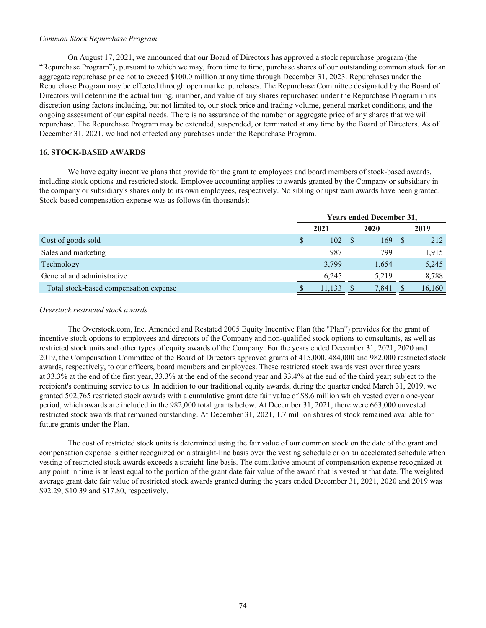### *Common Stock Repurchase Program*

On August 17, 2021, we announced that our Board of Directors has approved a stock repurchase program (the "Repurchase Program"), pursuant to which we may, from time to time, purchase shares of our outstanding common stock for an aggregate repurchase price not to exceed \$100.0 million at any time through December 31, 2023. Repurchases under the Repurchase Program may be effected through open market purchases. The Repurchase Committee designated by the Board of Directors will determine the actual timing, number, and value of any shares repurchased under the Repurchase Program in its discretion using factors including, but not limited to, our stock price and trading volume, general market conditions, and the ongoing assessment of our capital needs. There is no assurance of the number or aggregate price of any shares that we will repurchase. The Repurchase Program may be extended, suspended, or terminated at any time by the Board of Directors. As of December 31, 2021, we had not effected any purchases under the Repurchase Program.

# **16. STOCK-BASED AWARDS**

We have equity incentive plans that provide for the grant to employees and board members of stock-based awards, including stock options and restricted stock. Employee accounting applies to awards granted by the Company or subsidiary in the company or subsidiary's shares only to its own employees, respectively. No sibling or upstream awards have been granted. Stock-based compensation expense was as follows (in thousands):

|                                        | <b>Years ended December 31,</b> |        |  |       |  |        |
|----------------------------------------|---------------------------------|--------|--|-------|--|--------|
|                                        |                                 | 2021   |  | 2020  |  | 2019   |
| Cost of goods sold                     | \$                              | 102    |  | 169   |  | 212    |
| Sales and marketing                    |                                 | 987    |  | 799   |  | 1,915  |
| Technology                             |                                 | 3,799  |  | 1,654 |  | 5,245  |
| General and administrative             |                                 | 6.245  |  | 5.219 |  | 8,788  |
| Total stock-based compensation expense |                                 | 11,133 |  | 7,841 |  | 16,160 |

### *Overstock restricted stock awards*

The Overstock.com, Inc. Amended and Restated 2005 Equity Incentive Plan (the "Plan") provides for the grant of incentive stock options to employees and directors of the Company and non-qualified stock options to consultants, as well as restricted stock units and other types of equity awards of the Company. For the years ended December 31, 2021, 2020 and 2019, the Compensation Committee of the Board of Directors approved grants of 415,000, 484,000 and 982,000 restricted stock awards, respectively, to our officers, board members and employees. These restricted stock awards vest over three years at 33.3% at the end of the first year, 33.3% at the end of the second year and 33.4% at the end of the third year; subject to the recipient's continuing service to us. In addition to our traditional equity awards, during the quarter ended March 31, 2019, we granted 502,765 restricted stock awards with a cumulative grant date fair value of \$8.6 million which vested over a one-year period, which awards are included in the 982,000 total grants below. At December 31, 2021, there were 663,000 unvested restricted stock awards that remained outstanding. At December 31, 2021, 1.7 million shares of stock remained available for future grants under the Plan.

The cost of restricted stock units is determined using the fair value of our common stock on the date of the grant and compensation expense is either recognized on a straight-line basis over the vesting schedule or on an accelerated schedule when vesting of restricted stock awards exceeds a straight-line basis. The cumulative amount of compensation expense recognized at any point in time is at least equal to the portion of the grant date fair value of the award that is vested at that date. The weighted average grant date fair value of restricted stock awards granted during the years ended December 31, 2021, 2020 and 2019 was \$92.29, \$10.39 and \$17.80, respectively.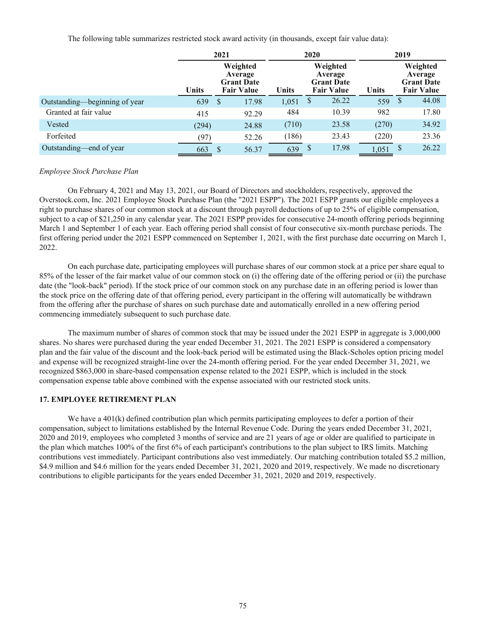The following table summarizes restricted stock award activity (in thousands, except fair value data):

|                               | 2021         |   |                                                               | 2020         |              |                                                               | 2019  |    |                                                               |
|-------------------------------|--------------|---|---------------------------------------------------------------|--------------|--------------|---------------------------------------------------------------|-------|----|---------------------------------------------------------------|
|                               | <b>Units</b> |   | Weighted<br>Average<br><b>Grant Date</b><br><b>Fair Value</b> | <b>Units</b> |              | Weighted<br>Average<br><b>Grant Date</b><br><b>Fair Value</b> | Units |    | Weighted<br>Average<br><b>Grant Date</b><br><b>Fair Value</b> |
| Outstanding—beginning of year | 639          | S | 17.98                                                         | 1,051        | S            | 26.22                                                         | 559   | S  | 44.08                                                         |
| Granted at fair value         | 415          |   | 92.29                                                         | 484          |              | 10.39                                                         | 982   |    | 17.80                                                         |
| Vested                        | (294)        |   | 24.88                                                         | (710)        |              | 23.58                                                         | (270) |    | 34.92                                                         |
| Forfeited                     | (97)         |   | 52.26                                                         | (186)        |              | 23.43                                                         | (220) |    | 23.36                                                         |
| Outstanding—end of year       | 663          |   | 56.37                                                         | 639          | <sup>S</sup> | 17.98                                                         | 1.051 | \$ | 26.22                                                         |

### *Employee Stock Purchase Plan*

On February 4, 2021 and May 13, 2021, our Board of Directors and stockholders, respectively, approved the Overstock.com, Inc. 2021 Employee Stock Purchase Plan (the "2021 ESPP"). The 2021 ESPP grants our eligible employees a right to purchase shares of our common stock at a discount through payroll deductions of up to 25% of eligible compensation, subject to a cap of \$21,250 in any calendar year. The 2021 ESPP provides for consecutive 24-month offering periods beginning March 1 and September 1 of each year. Each offering period shall consist of four consecutive six-month purchase periods. The first offering period under the 2021 ESPP commenced on September 1, 2021, with the first purchase date occurring on March 1, 2022.

On each purchase date, participating employees will purchase shares of our common stock at a price per share equal to 85% of the lesser of the fair market value of our common stock on (i) the offering date of the offering period or (ii) the purchase date (the "look-back" period). If the stock price of our common stock on any purchase date in an offering period is lower than the stock price on the offering date of that offering period, every participant in the offering will automatically be withdrawn from the offering after the purchase of shares on such purchase date and automatically enrolled in a new offering period commencing immediately subsequent to such purchase date.

The maximum number of shares of common stock that may be issued under the 2021 ESPP in aggregate is 3,000,000 shares. No shares were purchased during the year ended December 31, 2021. The 2021 ESPP is considered a compensatory plan and the fair value of the discount and the look-back period will be estimated using the Black-Scholes option pricing model and expense will be recognized straight-line over the 24-month offering period. For the year ended December 31, 2021, we recognized \$863,000 in share-based compensation expense related to the 2021 ESPP, which is included in the stock compensation expense table above combined with the expense associated with our restricted stock units.

# **17. EMPLOYEE RETIREMENT PLAN**

We have a 401(k) defined contribution plan which permits participating employees to defer a portion of their compensation, subject to limitations established by the Internal Revenue Code. During the years ended December 31, 2021, 2020 and 2019, employees who completed 3 months of service and are 21 years of age or older are qualified to participate in the plan which matches 100% of the first 6% of each participant's contributions to the plan subject to IRS limits. Matching contributions vest immediately. Participant contributions also vest immediately. Our matching contribution totaled \$5.2 million, \$4.9 million and \$4.6 million for the years ended December 31, 2021, 2020 and 2019, respectively. We made no discretionary contributions to eligible participants for the years ended December 31, 2021, 2020 and 2019, respectively.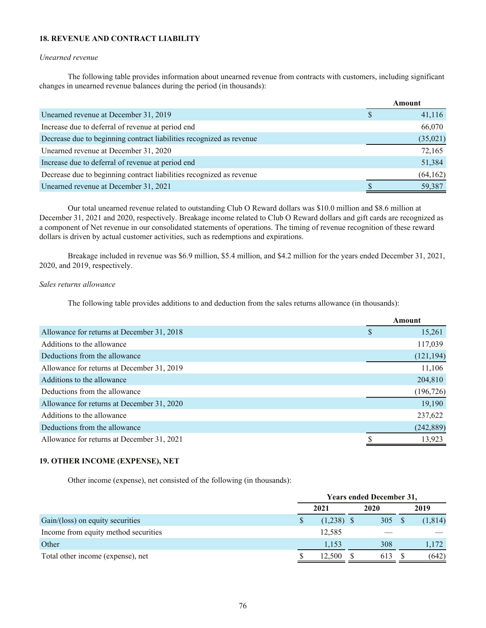# **18. REVENUE AND CONTRACT LIABILITY**

### *Unearned revenue*

The following table provides information about unearned revenue from contracts with customers, including significant changes in unearned revenue balances during the period (in thousands):

|                                                                      | Amount    |
|----------------------------------------------------------------------|-----------|
| Unearned revenue at December 31, 2019                                | 41,116    |
| Increase due to deferral of revenue at period end                    | 66,070    |
| Decrease due to beginning contract liabilities recognized as revenue | (35, 021) |
| Unearned revenue at December 31, 2020                                | 72,165    |
| Increase due to deferral of revenue at period end                    | 51,384    |
| Decrease due to beginning contract liabilities recognized as revenue | (64, 162) |
| Unearned revenue at December 31, 2021                                | 59,387    |

Our total unearned revenue related to outstanding Club O Reward dollars was \$10.0 million and \$8.6 million at December 31, 2021 and 2020, respectively. Breakage income related to Club O Reward dollars and gift cards are recognized as a component of Net revenue in our consolidated statements of operations. The timing of revenue recognition of these reward dollars is driven by actual customer activities, such as redemptions and expirations.

Breakage included in revenue was \$6.9 million, \$5.4 million, and \$4.2 million for the years ended December 31, 2021, 2020, and 2019, respectively.

#### *Sales returns allowance*

The following table provides additions to and deduction from the sales returns allowance (in thousands):

|                                            |   | Amount     |
|--------------------------------------------|---|------------|
| Allowance for returns at December 31, 2018 | S | 15,261     |
| Additions to the allowance                 |   | 117,039    |
| Deductions from the allowance              |   | (121, 194) |
| Allowance for returns at December 31, 2019 |   | 11,106     |
| Additions to the allowance                 |   | 204,810    |
| Deductions from the allowance              |   | (196, 726) |
| Allowance for returns at December 31, 2020 |   | 19,190     |
| Additions to the allowance                 |   | 237,622    |
| Deductions from the allowance              |   | (242, 889) |
| Allowance for returns at December 31, 2021 |   | 13,923     |

### **19. OTHER INCOME (EXPENSE), NET**

Other income (expense), net consisted of the following (in thousands):

|                                      | <b>Years ended December 31,</b> |              |  |      |  |          |
|--------------------------------------|---------------------------------|--------------|--|------|--|----------|
|                                      | 2021                            |              |  | 2020 |  | 2019     |
| Gain/(loss) on equity securities     |                                 | $(1,238)$ \$ |  | 305  |  | (1, 814) |
| Income from equity method securities |                                 | 12,585       |  |      |  |          |
| Other                                |                                 | 1,153        |  | 308  |  | 1,172    |
| Total other income (expense), net    |                                 | 12,500       |  | 613  |  | (642)    |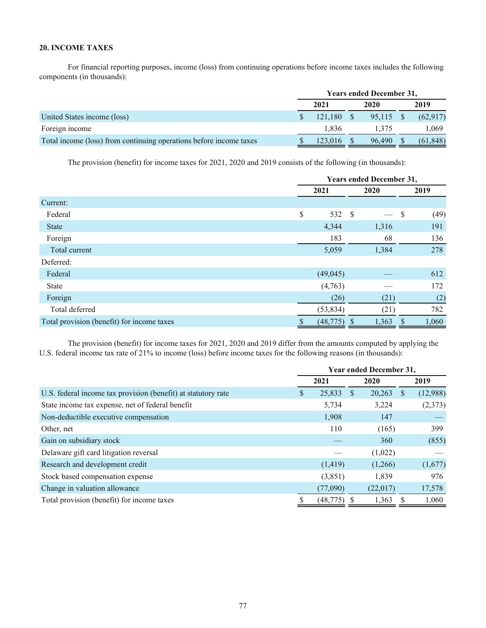# **20. INCOME TAXES**

For financial reporting purposes, income (loss) from continuing operations before income taxes includes the following components (in thousands):

|                                                                    | <b>Years ended December 31,</b> |         |  |        |  |           |
|--------------------------------------------------------------------|---------------------------------|---------|--|--------|--|-----------|
|                                                                    | 2021                            |         |  | 2020   |  | 2019      |
| United States income (loss)                                        |                                 | 121.180 |  | 95.115 |  | (62.917)  |
| Foreign income                                                     |                                 | 1.836   |  | .375   |  | 1.069     |
| Total income (loss) from continuing operations before income taxes |                                 | 123.016 |  | 96.490 |  | (61, 848) |

The provision (benefit) for income taxes for 2021, 2020 and 2019 consists of the following (in thousands):

|                                            | <b>Years ended December 31,</b> |                       |                       |  |  |
|--------------------------------------------|---------------------------------|-----------------------|-----------------------|--|--|
|                                            | 2021                            | 2020                  | 2019                  |  |  |
| Current:                                   |                                 |                       |                       |  |  |
| Federal                                    | \$<br>532                       | $\mathbf{\hat{s}}$    | $\mathcal{S}$<br>(49) |  |  |
| <b>State</b>                               | 4,344                           | 1,316                 | 191                   |  |  |
| Foreign                                    | 183                             | 68                    | 136                   |  |  |
| Total current                              | 5,059                           | 1,384                 | 278                   |  |  |
| Deferred:                                  |                                 |                       |                       |  |  |
| Federal                                    | (49, 045)                       |                       | 612                   |  |  |
| <b>State</b>                               | (4,763)                         |                       | 172                   |  |  |
| Foreign                                    | (26)                            | (21)                  | (2)                   |  |  |
| Total deferred                             | (53, 834)                       | (21)                  | 782                   |  |  |
| Total provision (benefit) for income taxes | (48, 775)                       | 1,363<br><sup>S</sup> | 1,060<br>-S           |  |  |

The provision (benefit) for income taxes for 2021, 2020 and 2019 differ from the amounts computed by applying the U.S. federal income tax rate of 21% to income (loss) before income taxes for the following reasons (in thousands):

|                                                               | <b>Year ended December 31,</b> |           |              |          |    |          |
|---------------------------------------------------------------|--------------------------------|-----------|--------------|----------|----|----------|
|                                                               |                                | 2021      |              | 2020     |    | 2019     |
| U.S. federal income tax provision (benefit) at statutory rate | S.                             | 25,833    | <sup>S</sup> | 20,263   | -S | (12,988) |
| State income tax expense, net of federal benefit              |                                | 5,734     |              | 3,224    |    | (2,373)  |
| Non-deductible executive compensation                         |                                | 1,908     |              | 147      |    |          |
| Other, net                                                    |                                | 110       |              | (165)    |    | 399      |
| Gain on subsidiary stock                                      |                                |           |              | 360      |    | (855)    |
| Delaware gift card litigation reversal                        |                                |           |              | (1,022)  |    |          |
| Research and development credit                               |                                | (1, 419)  |              | (1,266)  |    | (1,677)  |
| Stock based compensation expense                              |                                | (3,851)   |              | 1,839    |    | 976      |
| Change in valuation allowance                                 |                                | (77,090)  |              | (22,017) |    | 17,578   |
| Total provision (benefit) for income taxes                    |                                | (48, 775) |              | 1,363    |    | 1,060    |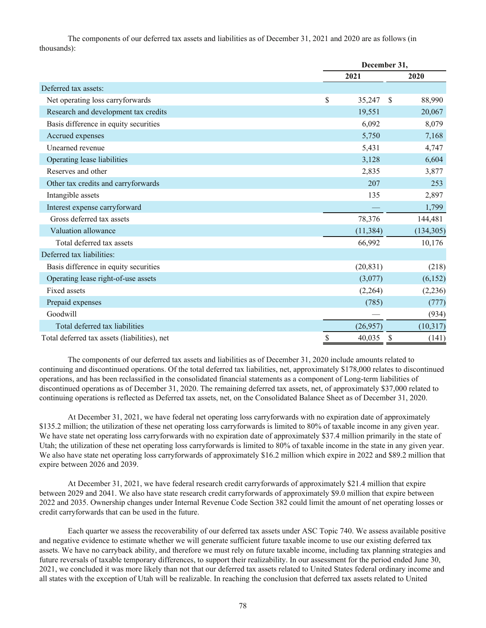The components of our deferred tax assets and liabilities as of December 31, 2021 and 2020 are as follows (in thousands):

|                                              |      | December 31,            |
|----------------------------------------------|------|-------------------------|
|                                              | 2021 | 2020                    |
| Deferred tax assets:                         |      |                         |
| Net operating loss carryforwards             | \$   | 88,990<br>35,247<br>\$. |
| Research and development tax credits         |      | 19,551<br>20,067        |
| Basis difference in equity securities        |      | 6,092<br>8,079          |
| Accrued expenses                             |      | 7,168<br>5,750          |
| Unearned revenue                             |      | 5,431<br>4,747          |
| Operating lease liabilities                  |      | 3,128<br>6,604          |
| Reserves and other                           |      | 2,835<br>3,877          |
| Other tax credits and carryforwards          |      | 207<br>253              |
| Intangible assets                            |      | 2,897<br>135            |
| Interest expense carryforward                |      | 1,799                   |
| Gross deferred tax assets                    |      | 78,376<br>144,481       |
| Valuation allowance                          |      | (11, 384)<br>(134, 305) |
| Total deferred tax assets                    |      | 10,176<br>66,992        |
| Deferred tax liabilities:                    |      |                         |
| Basis difference in equity securities        |      | (20, 831)<br>(218)      |
| Operating lease right-of-use assets          |      | (6,152)<br>(3,077)      |
| Fixed assets                                 |      | (2,236)<br>(2,264)      |
| Prepaid expenses                             |      | (785)<br>(777)          |
| Goodwill                                     |      | (934)                   |
| Total deferred tax liabilities               |      | (10,317)<br>(26,957)    |
| Total deferred tax assets (liabilities), net | \$   | 40,035<br>\$<br>(141)   |

The components of our deferred tax assets and liabilities as of December 31, 2020 include amounts related to continuing and discontinued operations. Of the total deferred tax liabilities, net, approximately \$178,000 relates to discontinued operations, and has been reclassified in the consolidated financial statements as a component of Long-term liabilities of discontinued operations as of December 31, 2020. The remaining deferred tax assets, net, of approximately \$37,000 related to continuing operations is reflected as Deferred tax assets, net, on the Consolidated Balance Sheet as of December 31, 2020.

At December 31, 2021, we have federal net operating loss carryforwards with no expiration date of approximately \$135.2 million; the utilization of these net operating loss carryforwards is limited to 80% of taxable income in any given year. We have state net operating loss carryforwards with no expiration date of approximately \$37.4 million primarily in the state of Utah; the utilization of these net operating loss carryforwards is limited to 80% of taxable income in the state in any given year. We also have state net operating loss carryforwards of approximately \$16.2 million which expire in 2022 and \$89.2 million that expire between 2026 and 2039.

At December 31, 2021, we have federal research credit carryforwards of approximately \$21.4 million that expire between 2029 and 2041. We also have state research credit carryforwards of approximately \$9.0 million that expire between 2022 and 2035. Ownership changes under Internal Revenue Code Section 382 could limit the amount of net operating losses or credit carryforwards that can be used in the future.

Each quarter we assess the recoverability of our deferred tax assets under ASC Topic 740. We assess available positive and negative evidence to estimate whether we will generate sufficient future taxable income to use our existing deferred tax assets. We have no carryback ability, and therefore we must rely on future taxable income, including tax planning strategies and future reversals of taxable temporary differences, to support their realizability. In our assessment for the period ended June 30, 2021, we concluded it was more likely than not that our deferred tax assets related to United States federal ordinary income and all states with the exception of Utah will be realizable. In reaching the conclusion that deferred tax assets related to United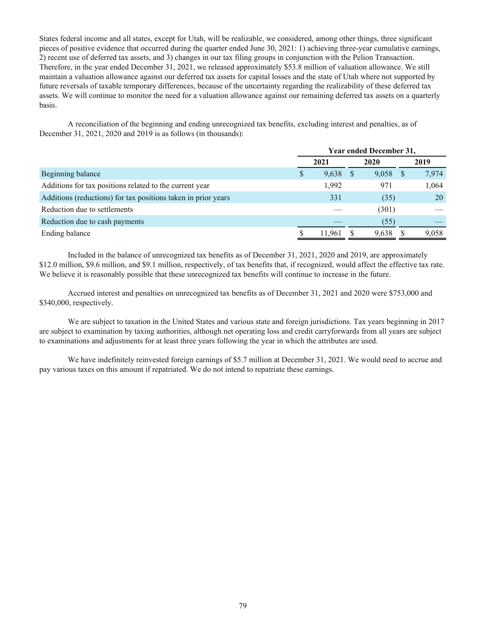States federal income and all states, except for Utah, will be realizable, we considered, among other things, three significant pieces of positive evidence that occurred during the quarter ended June 30, 2021: 1) achieving three-year cumulative earnings, 2) recent use of deferred tax assets, and 3) changes in our tax filing groups in conjunction with the Pelion Transaction. Therefore, in the year ended December 31, 2021, we released approximately \$53.8 million of valuation allowance. We still maintain a valuation allowance against our deferred tax assets for capital losses and the state of Utah where not supported by future reversals of taxable temporary differences, because of the uncertainty regarding the realizability of these deferred tax assets. We will continue to monitor the need for a valuation allowance against our remaining deferred tax assets on a quarterly basis.

A reconciliation of the beginning and ending unrecognized tax benefits, excluding interest and penalties, as of December 31, 2021, 2020 and 2019 is as follows (in thousands):

|                                                               | Year ended December 31, |        |  |       |  |       |
|---------------------------------------------------------------|-------------------------|--------|--|-------|--|-------|
|                                                               |                         | 2021   |  | 2020  |  | 2019  |
| Beginning balance                                             | S                       | 9,638  |  | 9,058 |  | 7,974 |
| Additions for tax positions related to the current year       |                         | 1,992  |  | 971   |  | 1,064 |
| Additions (reductions) for tax positions taken in prior years |                         | 331    |  | (35)  |  | 20    |
| Reduction due to settlements                                  |                         |        |  | (301) |  |       |
| Reduction due to cash payments                                |                         |        |  | (55)  |  |       |
| Ending balance                                                |                         | 11.961 |  | 9.638 |  | 9,058 |

Included in the balance of unrecognized tax benefits as of December 31, 2021, 2020 and 2019, are approximately \$12.0 million, \$9.6 million, and \$9.1 million, respectively, of tax benefits that, if recognized, would affect the effective tax rate. We believe it is reasonably possible that these unrecognized tax benefits will continue to increase in the future.

Accrued interest and penalties on unrecognized tax benefits as of December 31, 2021 and 2020 were \$753,000 and \$340,000, respectively.

We are subject to taxation in the United States and various state and foreign jurisdictions. Tax years beginning in 2017 are subject to examination by taxing authorities, although net operating loss and credit carryforwards from all years are subject to examinations and adjustments for at least three years following the year in which the attributes are used.

We have indefinitely reinvested foreign earnings of \$5.7 million at December 31, 2021. We would need to accrue and pay various taxes on this amount if repatriated. We do not intend to repatriate these earnings.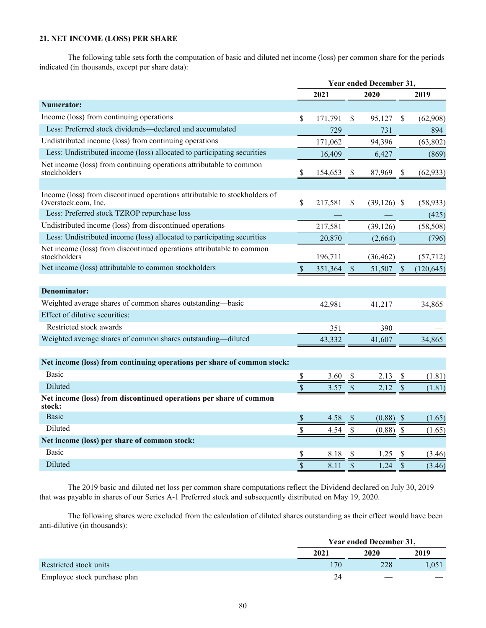### **21. NET INCOME (LOSS) PER SHARE**

The following table sets forth the computation of basic and diluted net income (loss) per common share for the periods indicated (in thousands, except per share data):

|                                                                                                   | Year ended December 31,         |         |                           |               |                           |            |
|---------------------------------------------------------------------------------------------------|---------------------------------|---------|---------------------------|---------------|---------------------------|------------|
|                                                                                                   |                                 | 2021    |                           | 2020          |                           | 2019       |
| <b>Numerator:</b>                                                                                 |                                 |         |                           |               |                           |            |
| Income (loss) from continuing operations                                                          | \$                              | 171,791 | <sup>\$</sup>             | 95,127        | \$                        | (62,908)   |
| Less: Preferred stock dividends—declared and accumulated                                          |                                 | 729     |                           | 731           |                           | 894        |
| Undistributed income (loss) from continuing operations                                            |                                 | 171,062 |                           | 94,396        |                           | (63, 802)  |
| Less: Undistributed income (loss) allocated to participating securities                           |                                 | 16,409  |                           | 6,427         |                           | (869)      |
| Net income (loss) from continuing operations attributable to common<br>stockholders               | \$                              | 154,653 | S                         | 87,969        | S                         | (62, 933)  |
|                                                                                                   |                                 |         |                           |               |                           |            |
| Income (loss) from discontinued operations attributable to stockholders of<br>Overstock.com, Inc. | \$                              | 217,581 | S                         | $(39,126)$ \$ |                           | (58, 933)  |
| Less: Preferred stock TZROP repurchase loss                                                       |                                 |         |                           |               |                           | (425)      |
| Undistributed income (loss) from discontinued operations                                          |                                 | 217,581 |                           | (39, 126)     |                           | (58, 508)  |
| Less: Undistributed income (loss) allocated to participating securities                           |                                 | 20,870  |                           | (2,664)       |                           | (796)      |
| Net income (loss) from discontinued operations attributable to common<br>stockholders             |                                 | 196,711 |                           | (36, 462)     |                           | (57, 712)  |
| Net income (loss) attributable to common stockholders                                             | $\mathbb{S}$                    | 351,364 | <sup>\$</sup>             | 51,507        | $\mathcal{S}$             | (120, 645) |
|                                                                                                   |                                 |         |                           |               |                           |            |
| Denominator:                                                                                      |                                 |         |                           |               |                           |            |
| Weighted average shares of common shares outstanding-basic                                        |                                 | 42,981  |                           | 41,217        |                           | 34,865     |
| Effect of dilutive securities:                                                                    |                                 |         |                           |               |                           |            |
| Restricted stock awards                                                                           |                                 | 351     |                           | 390           |                           |            |
| Weighted average shares of common shares outstanding-diluted                                      |                                 | 43,332  |                           | 41,607        |                           | 34,865     |
|                                                                                                   |                                 |         |                           |               |                           |            |
| Net income (loss) from continuing operations per share of common stock:                           |                                 |         |                           |               |                           |            |
| <b>Basic</b>                                                                                      | $\frac{1}{2}$                   | 3.60    | \$                        | 2.13          | \$                        | (1.81)     |
| Diluted                                                                                           | \$                              | 3.57    | $\boldsymbol{\mathsf{S}}$ | 2.12          | $\boldsymbol{\mathsf{S}}$ | (1.81)     |
| Net income (loss) from discontinued operations per share of common<br>stock:                      |                                 |         |                           |               |                           |            |
| <b>Basic</b>                                                                                      | $\boldsymbol{\mathsf{S}}$       | 4.58    | $\boldsymbol{\mathsf{S}}$ | (0.88)        | -S                        | (1.65)     |
| Diluted                                                                                           | \$                              | 4.54    | \$                        | (0.88)        | $\mathcal{S}$             | (1.65)     |
| Net income (loss) per share of common stock:                                                      |                                 |         |                           |               |                           |            |
| <b>Basic</b>                                                                                      | \$                              | 8.18    | S                         | 1.25          | S                         | (3.46)     |
| Diluted                                                                                           | $\boldsymbol{\hat{\mathsf{S}}}$ | 8.11    | $\mathsf{\$}$             | 1.24          | $\sqrt{\frac{2}{\pi}}$    | (3.46)     |

The 2019 basic and diluted net loss per common share computations reflect the Dividend declared on July 30, 2019 that was payable in shares of our Series A-1 Preferred stock and subsequently distributed on May 19, 2020.

The following shares were excluded from the calculation of diluted shares outstanding as their effect would have been anti-dilutive (in thousands):

|                              | Year ended December 31, |      |       |  |  |  |
|------------------------------|-------------------------|------|-------|--|--|--|
|                              | 2021                    | 2020 | 2019  |  |  |  |
| Restricted stock units       | 170                     | 228  | 1.051 |  |  |  |
| Employee stock purchase plan |                         |      |       |  |  |  |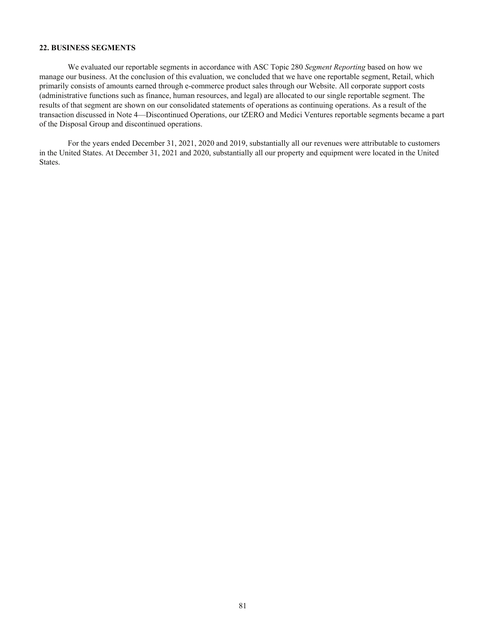#### **22. BUSINESS SEGMENTS**

We evaluated our reportable segments in accordance with ASC Topic 280 *Segment Reporting* based on how we manage our business. At the conclusion of this evaluation, we concluded that we have one reportable segment, Retail, which primarily consists of amounts earned through e-commerce product sales through our Website. All corporate support costs (administrative functions such as finance, human resources, and legal) are allocated to our single reportable segment. The results of that segment are shown on our consolidated statements of operations as continuing operations. As a result of the transaction discussed in Note 4—Discontinued Operations, our tZERO and Medici Ventures reportable segments became a part of the Disposal Group and discontinued operations.

For the years ended December 31, 2021, 2020 and 2019, substantially all our revenues were attributable to customers in the United States. At December 31, 2021 and 2020, substantially all our property and equipment were located in the United States.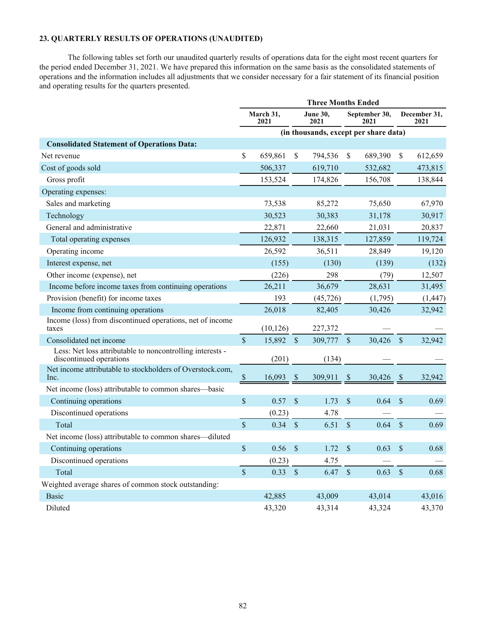# **23. QUARTERLY RESULTS OF OPERATIONS (UNAUDITED)**

The following tables set forth our unaudited quarterly results of operations data for the eight most recent quarters for the period ended December 31, 2021. We have prepared this information on the same basis as the consolidated statements of operations and the information includes all adjustments that we consider necessary for a fair statement of its financial position and operating results for the quarters presented.

|                                                                                      | <b>Three Months Ended</b> |                   |                           |                                       |               |                       |                           |                      |
|--------------------------------------------------------------------------------------|---------------------------|-------------------|---------------------------|---------------------------------------|---------------|-----------------------|---------------------------|----------------------|
|                                                                                      |                           | March 31,<br>2021 |                           | <b>June 30,</b><br>2021               |               | September 30,<br>2021 |                           | December 31,<br>2021 |
|                                                                                      |                           |                   |                           | (in thousands, except per share data) |               |                       |                           |                      |
| <b>Consolidated Statement of Operations Data:</b>                                    |                           |                   |                           |                                       |               |                       |                           |                      |
| Net revenue                                                                          | \$                        | 659,861           | $\mathsf{\$}$             | 794,536                               | \$            | 689,390               | \$                        | 612,659              |
| Cost of goods sold                                                                   |                           | 506,337           |                           | 619,710                               |               | 532,682               |                           | 473,815              |
| Gross profit                                                                         |                           | 153,524           |                           | 174,826                               |               | 156,708               |                           | 138,844              |
| Operating expenses:                                                                  |                           |                   |                           |                                       |               |                       |                           |                      |
| Sales and marketing                                                                  |                           | 73,538            |                           | 85,272                                |               | 75,650                |                           | 67,970               |
| Technology                                                                           |                           | 30,523            |                           | 30,383                                |               | 31,178                |                           | 30,917               |
| General and administrative                                                           |                           | 22,871            |                           | 22,660                                |               | 21,031                |                           | 20,837               |
| Total operating expenses                                                             |                           | 126,932           |                           | 138,315                               |               | 127,859               |                           | 119,724              |
| Operating income                                                                     |                           | 26,592            |                           | 36,511                                |               | 28,849                |                           | 19,120               |
| Interest expense, net                                                                |                           | (155)             |                           | (130)                                 |               | (139)                 |                           | (132)                |
| Other income (expense), net                                                          |                           | (226)             |                           | 298                                   |               | (79)                  |                           | 12,507               |
| Income before income taxes from continuing operations                                |                           | 26,211            |                           | 36,679                                |               | 28,631                |                           | 31,495               |
| Provision (benefit) for income taxes                                                 |                           | 193               |                           | (45, 726)                             |               | (1,795)               |                           | (1, 447)             |
| Income from continuing operations                                                    |                           | 26,018            |                           | 82,405                                |               | 30,426                |                           | 32,942               |
| Income (loss) from discontinued operations, net of income<br>taxes                   |                           | (10, 126)         |                           | 227,372                               |               |                       |                           |                      |
| Consolidated net income                                                              | $\mathsf{\$}$             | 15,892            | $\mathsf{\$}$             | 309,777                               | $\mathcal{S}$ | 30,426                | $\mathsf{\$}$             | 32,942               |
| Less: Net loss attributable to noncontrolling interests -<br>discontinued operations |                           | (201)             |                           | (134)                                 |               |                       |                           |                      |
| Net income attributable to stockholders of Overstock.com,<br>Inc.                    | $\mathcal{S}$             | 16,093            | S                         | 309,911                               | S             | 30.426                | $\boldsymbol{\mathsf{S}}$ | 32,942               |
| Net income (loss) attributable to common shares—basic                                |                           |                   |                           |                                       |               |                       |                           |                      |
| Continuing operations                                                                | \$                        | 0.57              | $\boldsymbol{\mathsf{S}}$ | 1.73                                  | $\mathsf{\$}$ | 0.64                  | \$                        | 0.69                 |
| Discontinued operations                                                              |                           | (0.23)            |                           | 4.78                                  |               |                       |                           |                      |
| Total                                                                                | $\mathbb{S}$              | 0.34              | $\mathsf{\$}$             | 6.51                                  | $\mathbf S$   | 0.64                  | $\mathbf{\hat{S}}$        | 0.69                 |
| Net income (loss) attributable to common shares—diluted                              |                           |                   |                           |                                       |               |                       |                           |                      |
| Continuing operations                                                                | $\mathbb{S}$              | 0.56              | $\mathsf{\$}$             | 1.72                                  | $\mathsf{\$}$ | 0.63                  | $\mathbf{\hat{S}}$        | 0.68                 |
| Discontinued operations                                                              |                           | (0.23)            |                           | 4.75                                  |               |                       |                           |                      |
| Total                                                                                | $\mathbb{S}$              | 0.33              | $\mathbb S$               | 6.47                                  | $\mathcal{S}$ | 0.63                  | $\$$                      | 0.68                 |
| Weighted average shares of common stock outstanding:                                 |                           |                   |                           |                                       |               |                       |                           |                      |
| <b>Basic</b>                                                                         |                           | 42,885            |                           | 43,009                                |               | 43,014                |                           | 43,016               |
| Diluted                                                                              |                           | 43,320            |                           | 43,314                                |               | 43,324                |                           | 43,370               |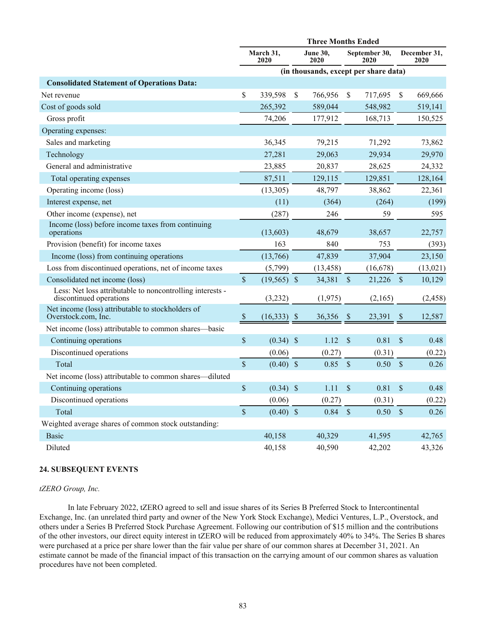|                                                                                      | <b>Three Months Ended</b> |                   |    |                                       |                      |                       |                           |                      |
|--------------------------------------------------------------------------------------|---------------------------|-------------------|----|---------------------------------------|----------------------|-----------------------|---------------------------|----------------------|
|                                                                                      |                           | March 31,<br>2020 |    | <b>June 30.</b><br>2020               |                      | September 30,<br>2020 |                           | December 31,<br>2020 |
|                                                                                      |                           |                   |    | (in thousands, except per share data) |                      |                       |                           |                      |
| <b>Consolidated Statement of Operations Data:</b>                                    |                           |                   |    |                                       |                      |                       |                           |                      |
| Net revenue                                                                          | \$                        | 339,598           | \$ | 766,956                               | \$                   | 717,695               | \$                        | 669,666              |
| Cost of goods sold                                                                   |                           | 265,392           |    | 589,044                               |                      | 548,982               |                           | 519,141              |
| Gross profit                                                                         |                           | 74,206            |    | 177,912                               |                      | 168,713               |                           | 150,525              |
| Operating expenses:                                                                  |                           |                   |    |                                       |                      |                       |                           |                      |
| Sales and marketing                                                                  |                           | 36,345            |    | 79,215                                |                      | 71,292                |                           | 73,862               |
| Technology                                                                           |                           | 27,281            |    | 29,063                                |                      | 29,934                |                           | 29,970               |
| General and administrative                                                           |                           | 23,885            |    | 20,837                                |                      | 28,625                |                           | 24,332               |
| Total operating expenses                                                             |                           | 87,511            |    | 129,115                               |                      | 129,851               |                           | 128,164              |
| Operating income (loss)                                                              |                           | (13,305)          |    | 48,797                                |                      | 38,862                |                           | 22,361               |
| Interest expense, net                                                                |                           | (11)              |    | (364)                                 |                      | (264)                 |                           | (199)                |
| Other income (expense), net                                                          |                           | (287)             |    | 246                                   |                      | 59                    |                           | 595                  |
| Income (loss) before income taxes from continuing<br>operations                      |                           | (13,603)          |    | 48,679                                |                      | 38,657                |                           | 22,757               |
| Provision (benefit) for income taxes                                                 |                           | 163               |    | 840                                   |                      | 753                   |                           | (393)                |
| Income (loss) from continuing operations                                             |                           | (13,766)          |    | 47,839                                |                      | 37,904                |                           | 23,150               |
| Loss from discontinued operations, net of income taxes                               |                           | (5,799)           |    | (13, 458)                             |                      | (16, 678)             |                           | (13, 021)            |
| Consolidated net income (loss)                                                       | \$                        | $(19, 565)$ \$    |    | 34,381                                | $\sqrt{\frac{2}{5}}$ | 21,226                | $\mathcal{S}$             | 10,129               |
| Less: Net loss attributable to noncontrolling interests -<br>discontinued operations |                           | (3,232)           |    | (1,975)                               |                      | (2,165)               |                           | (2, 458)             |
| Net income (loss) attributable to stockholders of<br>Overstock.com, Inc.             | $\mathcal{S}$             | $(16,333)$ \$     |    | 36,356                                | $\mathcal{S}$        | 23,391                | $\mathcal{S}$             | 12,587               |
| Net income (loss) attributable to common shares—basic                                |                           |                   |    |                                       |                      |                       |                           |                      |
| Continuing operations                                                                | \$                        | $(0.34)$ \$       |    | 1.12                                  | $\mathcal{S}$        | 0.81                  | $\boldsymbol{\mathsf{S}}$ | 0.48                 |
| Discontinued operations                                                              |                           | (0.06)            |    | (0.27)                                |                      | (0.31)                |                           | (0.22)               |
| Total                                                                                | $\mathsf{\$}$             | $(0.40)$ \$       |    | 0.85                                  | $\sqrt{\frac{2}{5}}$ | 0.50                  | $\mathsf{\$}$             | 0.26                 |
| Net income (loss) attributable to common shares—diluted                              |                           |                   |    |                                       |                      |                       |                           |                      |
| Continuing operations                                                                | \$                        | $(0.34)$ \$       |    | 1.11                                  | \$                   | 0.81                  | \$                        | 0.48                 |
| Discontinued operations                                                              |                           | (0.06)            |    | (0.27)                                |                      | (0.31)                |                           | (0.22)               |
| Total                                                                                | $\mathsf{\$}$             | $(0.40)$ \$       |    | 0.84                                  | $\mathcal{S}$        | 0.50                  | $\mathcal{S}$             | 0.26                 |
| Weighted average shares of common stock outstanding:                                 |                           |                   |    |                                       |                      |                       |                           |                      |
| <b>Basic</b>                                                                         |                           | 40,158            |    | 40,329                                |                      | 41,595                |                           | 42,765               |
| Diluted                                                                              |                           | 40,158            |    | 40,590                                |                      | 42,202                |                           | 43,326               |

# **24. SUBSEQUENT EVENTS**

# *tZERO Group, Inc.*

In late February 2022, tZERO agreed to sell and issue shares of its Series B Preferred Stock to Intercontinental Exchange, Inc. (an unrelated third party and owner of the New York Stock Exchange), Medici Ventures, L.P., Overstock, and others under a Series B Preferred Stock Purchase Agreement. Following our contribution of \$15 million and the contributions of the other investors, our direct equity interest in tZERO will be reduced from approximately 40% to 34%. The Series B shares were purchased at a price per share lower than the fair value per share of our common shares at December 31, 2021. An estimate cannot be made of the financial impact of this transaction on the carrying amount of our common shares as valuation procedures have not been completed.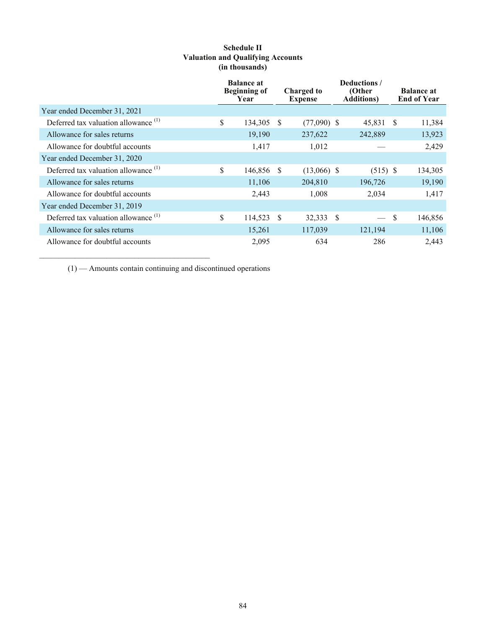|                                                 | <b>Balance at</b><br><b>Beginning of</b><br>Year |               | Charged to<br><b>Expense</b> |    | Deductions /<br>(Other<br><b>Additions</b> ) |    | <b>Balance at</b><br><b>End of Year</b> |  |
|-------------------------------------------------|--------------------------------------------------|---------------|------------------------------|----|----------------------------------------------|----|-----------------------------------------|--|
| Year ended December 31, 2021                    |                                                  |               |                              |    |                                              |    |                                         |  |
| Deferred tax valuation allowance <sup>(1)</sup> | \$<br>134,305                                    | <sup>S</sup>  | $(77,090)$ \$                |    | 45,831                                       | -S | 11,384                                  |  |
| Allowance for sales returns                     | 19,190                                           |               | 237,622                      |    | 242,889                                      |    | 13,923                                  |  |
| Allowance for doubtful accounts                 | 1,417                                            |               | 1,012                        |    |                                              |    | 2,429                                   |  |
| Year ended December 31, 2020                    |                                                  |               |                              |    |                                              |    |                                         |  |
| Deferred tax valuation allowance <sup>(1)</sup> | \$<br>146,856 \$                                 |               | $(13,066)$ \$                |    | $(515)$ \$                                   |    | 134,305                                 |  |
| Allowance for sales returns                     | 11,106                                           |               | 204,810                      |    | 196,726                                      |    | 19,190                                  |  |
| Allowance for doubtful accounts                 | 2,443                                            |               | 1,008                        |    | 2,034                                        |    | 1,417                                   |  |
| Year ended December 31, 2019                    |                                                  |               |                              |    |                                              |    |                                         |  |
| Deferred tax valuation allowance <sup>(1)</sup> | \$<br>114,523                                    | <sup>\$</sup> | 32,333                       | -S | $\overline{\phantom{0}}$                     | \$ | 146,856                                 |  |
| Allowance for sales returns                     | 15,261                                           |               | 117,039                      |    | 121,194                                      |    | 11,106                                  |  |
| Allowance for doubtful accounts                 | 2,095                                            |               | 634                          |    | 286                                          |    | 2,443                                   |  |

# **Schedule II Valuation and Qualifying Accounts (in thousands)**

(1) — Amounts contain continuing and discontinued operations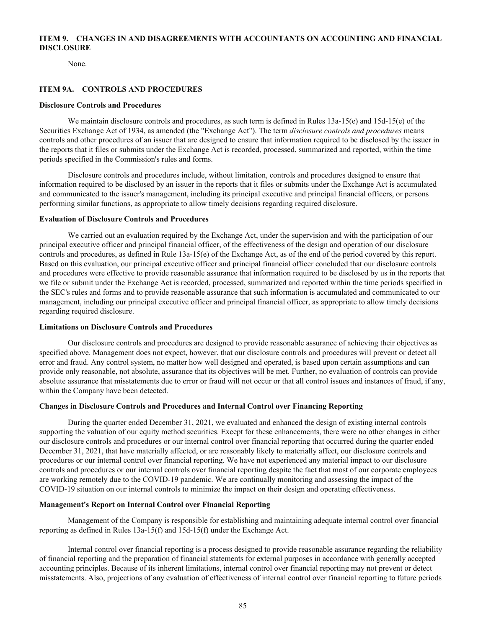# **ITEM 9. CHANGES IN AND DISAGREEMENTS WITH ACCOUNTANTS ON ACCOUNTING AND FINANCIAL DISCLOSURE**

None.

#### **ITEM 9A. CONTROLS AND PROCEDURES**

### **Disclosure Controls and Procedures**

We maintain disclosure controls and procedures, as such term is defined in Rules 13a-15(e) and 15d-15(e) of the Securities Exchange Act of 1934, as amended (the "Exchange Act"). The term *disclosure controls and procedures* means controls and other procedures of an issuer that are designed to ensure that information required to be disclosed by the issuer in the reports that it files or submits under the Exchange Act is recorded, processed, summarized and reported, within the time periods specified in the Commission's rules and forms.

Disclosure controls and procedures include, without limitation, controls and procedures designed to ensure that information required to be disclosed by an issuer in the reports that it files or submits under the Exchange Act is accumulated and communicated to the issuer's management, including its principal executive and principal financial officers, or persons performing similar functions, as appropriate to allow timely decisions regarding required disclosure.

#### **Evaluation of Disclosure Controls and Procedures**

We carried out an evaluation required by the Exchange Act, under the supervision and with the participation of our principal executive officer and principal financial officer, of the effectiveness of the design and operation of our disclosure controls and procedures, as defined in Rule 13a-15(e) of the Exchange Act, as of the end of the period covered by this report. Based on this evaluation, our principal executive officer and principal financial officer concluded that our disclosure controls and procedures were effective to provide reasonable assurance that information required to be disclosed by us in the reports that we file or submit under the Exchange Act is recorded, processed, summarized and reported within the time periods specified in the SEC's rules and forms and to provide reasonable assurance that such information is accumulated and communicated to our management, including our principal executive officer and principal financial officer, as appropriate to allow timely decisions regarding required disclosure.

#### **Limitations on Disclosure Controls and Procedures**

Our disclosure controls and procedures are designed to provide reasonable assurance of achieving their objectives as specified above. Management does not expect, however, that our disclosure controls and procedures will prevent or detect all error and fraud. Any control system, no matter how well designed and operated, is based upon certain assumptions and can provide only reasonable, not absolute, assurance that its objectives will be met. Further, no evaluation of controls can provide absolute assurance that misstatements due to error or fraud will not occur or that all control issues and instances of fraud, if any, within the Company have been detected.

#### **Changes in Disclosure Controls and Procedures and Internal Control over Financing Reporting**

During the quarter ended December 31, 2021, we evaluated and enhanced the design of existing internal controls supporting the valuation of our equity method securities. Except for these enhancements, there were no other changes in either our disclosure controls and procedures or our internal control over financial reporting that occurred during the quarter ended December 31, 2021, that have materially affected, or are reasonably likely to materially affect, our disclosure controls and procedures or our internal control over financial reporting. We have not experienced any material impact to our disclosure controls and procedures or our internal controls over financial reporting despite the fact that most of our corporate employees are working remotely due to the COVID-19 pandemic. We are continually monitoring and assessing the impact of the COVID-19 situation on our internal controls to minimize the impact on their design and operating effectiveness.

#### **Management's Report on Internal Control over Financial Reporting**

Management of the Company is responsible for establishing and maintaining adequate internal control over financial reporting as defined in Rules 13a-15(f) and 15d-15(f) under the Exchange Act.

Internal control over financial reporting is a process designed to provide reasonable assurance regarding the reliability of financial reporting and the preparation of financial statements for external purposes in accordance with generally accepted accounting principles. Because of its inherent limitations, internal control over financial reporting may not prevent or detect misstatements. Also, projections of any evaluation of effectiveness of internal control over financial reporting to future periods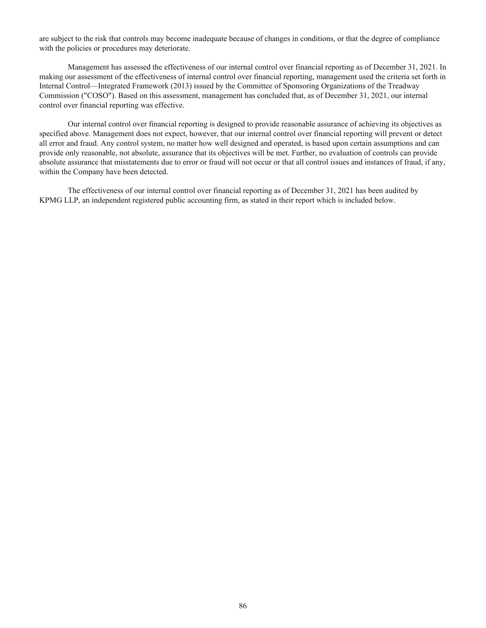are subject to the risk that controls may become inadequate because of changes in conditions, or that the degree of compliance with the policies or procedures may deteriorate.

Management has assessed the effectiveness of our internal control over financial reporting as of December 31, 2021. In making our assessment of the effectiveness of internal control over financial reporting, management used the criteria set forth in Internal Control—Integrated Framework (2013) issued by the Committee of Sponsoring Organizations of the Treadway Commission ("COSO"). Based on this assessment, management has concluded that, as of December 31, 2021, our internal control over financial reporting was effective.

Our internal control over financial reporting is designed to provide reasonable assurance of achieving its objectives as specified above. Management does not expect, however, that our internal control over financial reporting will prevent or detect all error and fraud. Any control system, no matter how well designed and operated, is based upon certain assumptions and can provide only reasonable, not absolute, assurance that its objectives will be met. Further, no evaluation of controls can provide absolute assurance that misstatements due to error or fraud will not occur or that all control issues and instances of fraud, if any, within the Company have been detected.

The effectiveness of our internal control over financial reporting as of December 31, 2021 has been audited by KPMG LLP, an independent registered public accounting firm, as stated in their report which is included below.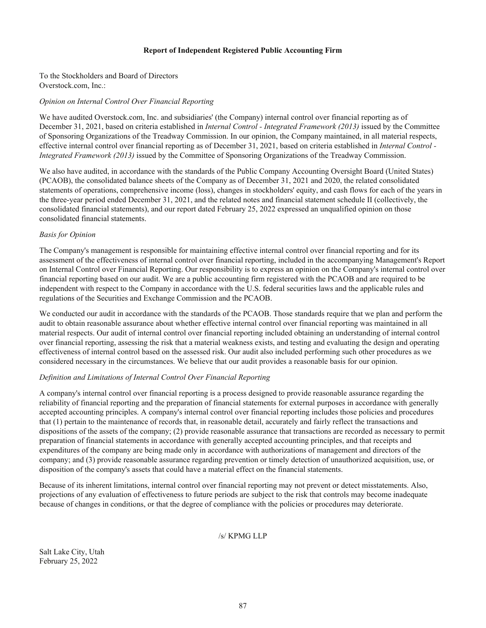# **Report of Independent Registered Public Accounting Firm**

To the Stockholders and Board of Directors Overstock.com, Inc.:

# *Opinion on Internal Control Over Financial Reporting*

We have audited Overstock.com, Inc. and subsidiaries' (the Company) internal control over financial reporting as of December 31, 2021, based on criteria established in *Internal Control - Integrated Framework (2013)* issued by the Committee of Sponsoring Organizations of the Treadway Commission. In our opinion, the Company maintained, in all material respects, effective internal control over financial reporting as of December 31, 2021, based on criteria established in *Internal Control - Integrated Framework (2013)* issued by the Committee of Sponsoring Organizations of the Treadway Commission.

We also have audited, in accordance with the standards of the Public Company Accounting Oversight Board (United States) (PCAOB), the consolidated balance sheets of the Company as of December 31, 2021 and 2020, the related consolidated statements of operations, comprehensive income (loss), changes in stockholders' equity, and cash flows for each of the years in the three-year period ended December 31, 2021, and the related notes and financial statement schedule II (collectively, the consolidated financial statements), and our report dated February 25, 2022 expressed an unqualified opinion on those consolidated financial statements.

# *Basis for Opinion*

The Company's management is responsible for maintaining effective internal control over financial reporting and for its assessment of the effectiveness of internal control over financial reporting, included in the accompanying Management's Report on Internal Control over Financial Reporting. Our responsibility is to express an opinion on the Company's internal control over financial reporting based on our audit. We are a public accounting firm registered with the PCAOB and are required to be independent with respect to the Company in accordance with the U.S. federal securities laws and the applicable rules and regulations of the Securities and Exchange Commission and the PCAOB.

We conducted our audit in accordance with the standards of the PCAOB. Those standards require that we plan and perform the audit to obtain reasonable assurance about whether effective internal control over financial reporting was maintained in all material respects. Our audit of internal control over financial reporting included obtaining an understanding of internal control over financial reporting, assessing the risk that a material weakness exists, and testing and evaluating the design and operating effectiveness of internal control based on the assessed risk. Our audit also included performing such other procedures as we considered necessary in the circumstances. We believe that our audit provides a reasonable basis for our opinion.

# *Definition and Limitations of Internal Control Over Financial Reporting*

A company's internal control over financial reporting is a process designed to provide reasonable assurance regarding the reliability of financial reporting and the preparation of financial statements for external purposes in accordance with generally accepted accounting principles. A company's internal control over financial reporting includes those policies and procedures that (1) pertain to the maintenance of records that, in reasonable detail, accurately and fairly reflect the transactions and dispositions of the assets of the company; (2) provide reasonable assurance that transactions are recorded as necessary to permit preparation of financial statements in accordance with generally accepted accounting principles, and that receipts and expenditures of the company are being made only in accordance with authorizations of management and directors of the company; and (3) provide reasonable assurance regarding prevention or timely detection of unauthorized acquisition, use, or disposition of the company's assets that could have a material effect on the financial statements.

Because of its inherent limitations, internal control over financial reporting may not prevent or detect misstatements. Also, projections of any evaluation of effectiveness to future periods are subject to the risk that controls may become inadequate because of changes in conditions, or that the degree of compliance with the policies or procedures may deteriorate.

# /s/ KPMG LLP

Salt Lake City, Utah February 25, 2022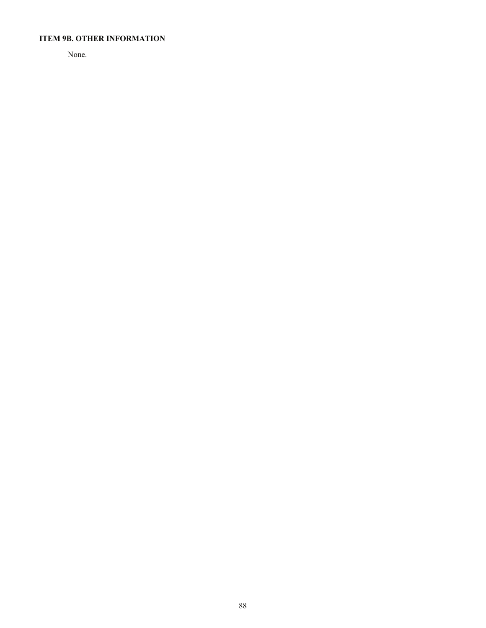# **ITEM 9B. OTHER INFORMATION**

None.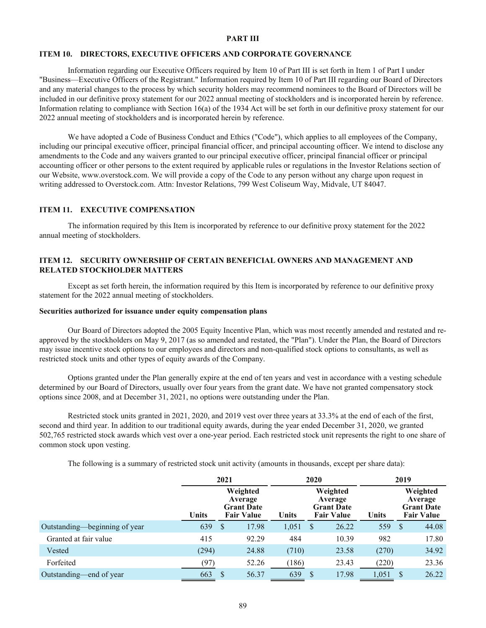#### **PART III**

#### **ITEM 10. DIRECTORS, EXECUTIVE OFFICERS AND CORPORATE GOVERNANCE**

Information regarding our Executive Officers required by Item 10 of Part III is set forth in Item 1 of Part I under "Business—Executive Officers of the Registrant." Information required by Item 10 of Part III regarding our Board of Directors and any material changes to the process by which security holders may recommend nominees to the Board of Directors will be included in our definitive proxy statement for our 2022 annual meeting of stockholders and is incorporated herein by reference. Information relating to compliance with Section 16(a) of the 1934 Act will be set forth in our definitive proxy statement for our 2022 annual meeting of stockholders and is incorporated herein by reference.

We have adopted a Code of Business Conduct and Ethics ("Code"), which applies to all employees of the Company, including our principal executive officer, principal financial officer, and principal accounting officer. We intend to disclose any amendments to the Code and any waivers granted to our principal executive officer, principal financial officer or principal accounting officer or other persons to the extent required by applicable rules or regulations in the Investor Relations section of our Website, www.overstock.com. We will provide a copy of the Code to any person without any charge upon request in writing addressed to Overstock.com. Attn: Investor Relations, 799 West Coliseum Way, Midvale, UT 84047.

### **ITEM 11. EXECUTIVE COMPENSATION**

The information required by this Item is incorporated by reference to our definitive proxy statement for the 2022 annual meeting of stockholders.

# **ITEM 12. SECURITY OWNERSHIP OF CERTAIN BENEFICIAL OWNERS AND MANAGEMENT AND RELATED STOCKHOLDER MATTERS**

Except as set forth herein, the information required by this Item is incorporated by reference to our definitive proxy statement for the 2022 annual meeting of stockholders.

#### **Securities authorized for issuance under equity compensation plans**

Our Board of Directors adopted the 2005 Equity Incentive Plan, which was most recently amended and restated and reapproved by the stockholders on May 9, 2017 (as so amended and restated, the "Plan"). Under the Plan, the Board of Directors may issue incentive stock options to our employees and directors and non-qualified stock options to consultants, as well as restricted stock units and other types of equity awards of the Company.

Options granted under the Plan generally expire at the end of ten years and vest in accordance with a vesting schedule determined by our Board of Directors, usually over four years from the grant date. We have not granted compensatory stock options since 2008, and at December 31, 2021, no options were outstanding under the Plan.

Restricted stock units granted in 2021, 2020, and 2019 vest over three years at 33.3% at the end of each of the first, second and third year. In addition to our traditional equity awards, during the year ended December 31, 2020, we granted 502,765 restricted stock awards which vest over a one-year period. Each restricted stock unit represents the right to one share of common stock upon vesting.

The following is a summary of restricted stock unit activity (amounts in thousands, except per share data):

|                               |              | 2021          |                                                               | 2020         | 2019 |                                                               |              |              |                                                               |
|-------------------------------|--------------|---------------|---------------------------------------------------------------|--------------|------|---------------------------------------------------------------|--------------|--------------|---------------------------------------------------------------|
|                               | <b>Units</b> |               | Weighted<br>Average<br><b>Grant Date</b><br><b>Fair Value</b> | <b>Units</b> |      | Weighted<br>Average<br><b>Grant Date</b><br><b>Fair Value</b> | <b>Units</b> |              | Weighted<br>Average<br><b>Grant Date</b><br><b>Fair Value</b> |
| Outstanding—beginning of year | 639          | S             | 17.98                                                         | 1,051        | \$   | 26.22                                                         | 559          | <sup>S</sup> | 44.08                                                         |
| Granted at fair value         | 415          |               | 92.29                                                         | 484          |      | 10.39                                                         | 982          |              | 17.80                                                         |
| Vested                        | (294)        |               | 24.88                                                         | (710)        |      | 23.58                                                         | (270)        |              | 34.92                                                         |
| Forfeited                     | (97)         |               | 52.26                                                         | (186)        |      | 23.43                                                         | (220)        |              | 23.36                                                         |
| Outstanding—end of year       | 663          | <sup>\$</sup> | 56.37                                                         | 639          | S    | 17.98                                                         | 1,051        | <sup>S</sup> | 26.22                                                         |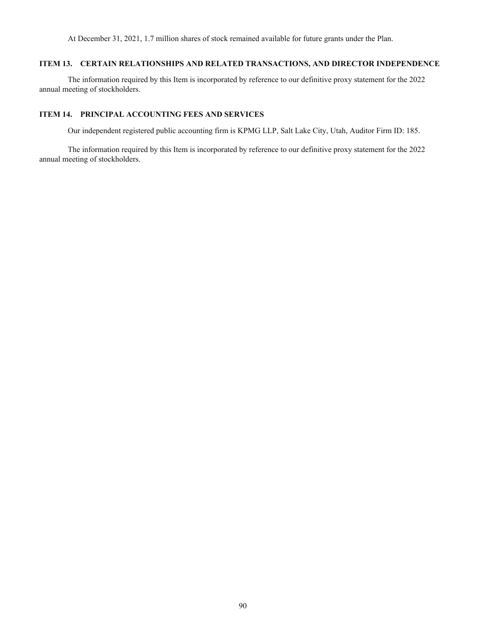At December 31, 2021, 1.7 million shares of stock remained available for future grants under the Plan.

### **ITEM 13. CERTAIN RELATIONSHIPS AND RELATED TRANSACTIONS, AND DIRECTOR INDEPENDENCE**

The information required by this Item is incorporated by reference to our definitive proxy statement for the 2022 annual meeting of stockholders.

# **ITEM 14. PRINCIPAL ACCOUNTING FEES AND SERVICES**

Our independent registered public accounting firm is KPMG LLP, Salt Lake City, Utah, Auditor Firm ID: 185.

The information required by this Item is incorporated by reference to our definitive proxy statement for the 2022 annual meeting of stockholders.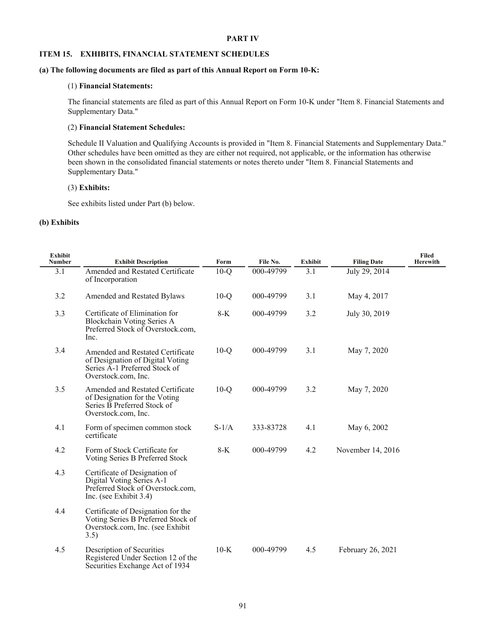#### **PART IV**

### **ITEM 15. EXHIBITS, FINANCIAL STATEMENT SCHEDULES**

#### **(a) The following documents are filed as part of this Annual Report on Form 10-K:**

#### (1) **Financial Statements:**

The financial statements are filed as part of this Annual Report on Form 10-K under "Item 8. Financial Statements and Supplementary Data."

#### (2) **Financial Statement Schedules:**

Schedule II Valuation and Qualifying Accounts is provided in "Item 8. Financial Statements and Supplementary Data." Other schedules have been omitted as they are either not required, not applicable, or the information has otherwise been shown in the consolidated financial statements or notes thereto under "Item 8. Financial Statements and Supplementary Data."

### (3) **Exhibits:**

See exhibits listed under Part (b) below.

# **(b) Exhibits**

 $\overline{\phantom{0}}$ 

| <b>Exhibit</b><br><b>Number</b> | <b>Exhibit Description</b>                                                                                                   | Form    | File No.  | <b>Exhibit</b> | <b>Filing Date</b> | <b>Filed</b><br><b>Herewith</b> |
|---------------------------------|------------------------------------------------------------------------------------------------------------------------------|---------|-----------|----------------|--------------------|---------------------------------|
| 3.1                             | Amended and Restated Certificate<br>of Incorporation                                                                         | $10-Q$  | 000-49799 | 3.1            | July 29, 2014      |                                 |
| 3.2                             | Amended and Restated Bylaws                                                                                                  | $10-Q$  | 000-49799 | 3.1            | May 4, 2017        |                                 |
| 3.3                             | Certificate of Elimination for<br><b>Blockchain Voting Series A</b><br>Preferred Stock of Overstock.com,<br>Inc.             | $8-K$   | 000-49799 | 3.2            | July 30, 2019      |                                 |
| 3.4                             | Amended and Restated Certificate<br>of Designation of Digital Voting<br>Series A-1 Preferred Stock of<br>Overstock.com, Inc. | $10-Q$  | 000-49799 | 3.1            | May 7, 2020        |                                 |
| 3.5                             | Amended and Restated Certificate<br>of Designation for the Voting<br>Series B Preferred Stock of<br>Overstock.com, Inc.      | $10-Q$  | 000-49799 | 3.2            | May 7, 2020        |                                 |
| 4.1                             | Form of specimen common stock<br>certificate                                                                                 | $S-1/A$ | 333-83728 | 4.1            | May 6, 2002        |                                 |
| 4.2                             | Form of Stock Certificate for<br>Voting Series B Preferred Stock                                                             | $8-K$   | 000-49799 | 4.2            | November 14, 2016  |                                 |
| 4.3                             | Certificate of Designation of<br>Digital Voting Series A-1<br>Preferred Stock of Overstock.com,<br>Inc. (see Exhibit 3.4)    |         |           |                |                    |                                 |
| 4.4                             | Certificate of Designation for the<br>Voting Series B Preferred Stock of<br>Overstock.com, Inc. (see Exhibit<br>3.5)         |         |           |                |                    |                                 |
| 4.5                             | Description of Securities<br>Registered Under Section 12 of the<br>Securities Exchange Act of 1934                           | $10-K$  | 000-49799 | 4.5            | February 26, 2021  |                                 |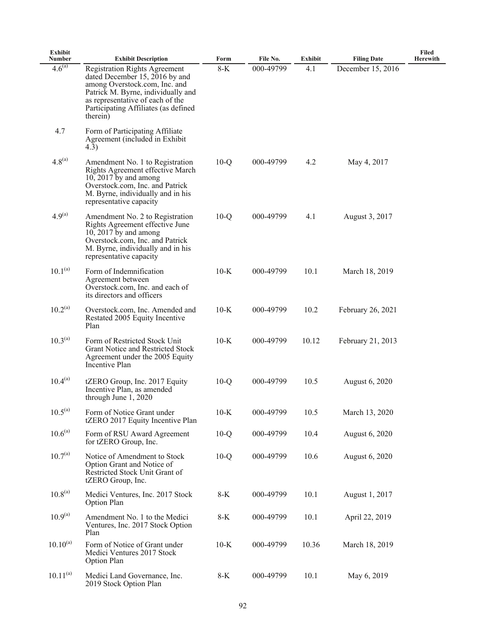| <b>Exhibit</b><br>Number | <b>Exhibit Description</b>                                                                                                                                                                                                            | Form   | File No.  | Exhibit | <b>Filing Date</b> | <b>Filed</b><br>Herewith |
|--------------------------|---------------------------------------------------------------------------------------------------------------------------------------------------------------------------------------------------------------------------------------|--------|-----------|---------|--------------------|--------------------------|
| $4.6^{(a)}$              | <b>Registration Rights Agreement</b><br>dated December 15, 2016 by and<br>among Overstock.com, Inc. and<br>Patrick M. Byrne, individually and<br>as representative of each of the<br>Participating Affiliates (as defined<br>therein) | $8-K$  | 000-49799 | 4.1     | December 15, 2016  |                          |
| 4.7                      | Form of Participating Affiliate<br>Agreement (included in Exhibit<br>4.3)                                                                                                                                                             |        |           |         |                    |                          |
| $4.8^{(a)}$              | Amendment No. 1 to Registration<br>Rights Agreement effective March<br>10, 2017 by and among<br>Overstock.com, Inc. and Patrick<br>M. Byrne, individually and in his<br>representative capacity                                       | $10-Q$ | 000-49799 | 4.2     | May 4, 2017        |                          |
| $4.9^{(a)}$              | Amendment No. 2 to Registration<br>Rights Agreement effective June<br>10, 2017 by and among<br>Overstock.com, Inc. and Patrick<br>M. Byrne, individually and in his<br>representative capacity                                        | $10-Q$ | 000-49799 | 4.1     | August 3, 2017     |                          |
| $10.1^{(a)}$             | Form of Indemnification<br>Agreement between<br>Overstock.com, Inc. and each of<br>its directors and officers                                                                                                                         | $10-K$ | 000-49799 | 10.1    | March 18, 2019     |                          |
| 10.2 <sup>(a)</sup>      | Overstock.com, Inc. Amended and<br>Restated 2005 Equity Incentive<br>Plan                                                                                                                                                             | $10-K$ | 000-49799 | 10.2    | February 26, 2021  |                          |
| 10.3 <sup>(a)</sup>      | Form of Restricted Stock Unit<br>Grant Notice and Restricted Stock<br>Agreement under the 2005 Equity<br>Incentive Plan                                                                                                               | $10-K$ | 000-49799 | 10.12   | February 21, 2013  |                          |
| $10.4^{(a)}$             | tZERO Group, Inc. 2017 Equity<br>Incentive Plan, as amended<br>through June 1, 2020                                                                                                                                                   | $10-Q$ | 000-49799 | 10.5    | August 6, 2020     |                          |
| $10.5^{(a)}$             | Form of Notice Grant under<br>tZERO 2017 Equity Incentive Plan                                                                                                                                                                        | $10-K$ | 000-49799 | 10.5    | March 13, 2020     |                          |
| 10.6 <sup>(a)</sup>      | Form of RSU Award Agreement<br>for tZERO Group, Inc.                                                                                                                                                                                  | $10-Q$ | 000-49799 | 10.4    | August 6, 2020     |                          |
| 10.7 <sup>(a)</sup>      | Notice of Amendment to Stock<br>Option Grant and Notice of<br>Restricted Stock Unit Grant of<br>tZERO Group, Inc.                                                                                                                     | $10-Q$ | 000-49799 | 10.6    | August 6, 2020     |                          |
| $10.8^{(a)}$             | Medici Ventures, Inc. 2017 Stock<br>Option Plan                                                                                                                                                                                       | $8-K$  | 000-49799 | 10.1    | August 1, 2017     |                          |
| 10.9 <sup>(a)</sup>      | Amendment No. 1 to the Medici<br>Ventures, Inc. 2017 Stock Option<br>Plan                                                                                                                                                             | 8-K    | 000-49799 | 10.1    | April 22, 2019     |                          |
| $10.10^{(a)}$            | Form of Notice of Grant under<br>Medici Ventures 2017 Stock<br><b>Option Plan</b>                                                                                                                                                     | $10-K$ | 000-49799 | 10.36   | March 18, 2019     |                          |
| $10.11^{(a)}$            | Medici Land Governance, Inc.<br>2019 Stock Option Plan                                                                                                                                                                                | $8-K$  | 000-49799 | 10.1    | May 6, 2019        |                          |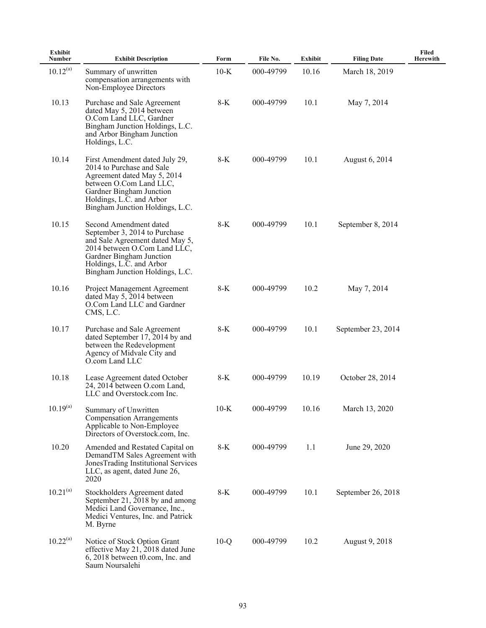| <b>Exhibit</b><br><b>Number</b> | <b>Exhibit Description</b>                                                                                                                                                                                            | Form   | File No.  | <b>Exhibit</b> | <b>Filing Date</b> | <b>Filed</b><br>Herewith |
|---------------------------------|-----------------------------------------------------------------------------------------------------------------------------------------------------------------------------------------------------------------------|--------|-----------|----------------|--------------------|--------------------------|
| $10.12^{(a)}$                   | Summary of unwritten<br>compensation arrangements with<br>Non-Employee Directors                                                                                                                                      | $10-K$ | 000-49799 | 10.16          | March 18, 2019     |                          |
| 10.13                           | Purchase and Sale Agreement<br>dated May 5, 2014 between<br>O.Com Land LLC, Gardner<br>Bingham Junction Holdings, L.C.<br>and Arbor Bingham Junction<br>Holdings, L.C.                                                | $8-K$  | 000-49799 | 10.1           | May 7, 2014        |                          |
| 10.14                           | First Amendment dated July 29,<br>2014 to Purchase and Sale<br>Agreement dated May 5, 2014<br>between O.Com Land LLC,<br>Gardner Bingham Junction<br>Holdings, L.C. and Arbor<br>Bingham Junction Holdings, L.C.      | $8-K$  | 000-49799 | 10.1           | August 6, 2014     |                          |
| 10.15                           | Second Amendment dated<br>September 3, 2014 to Purchase<br>and Sale Agreement dated May 5,<br>2014 between O.Com Land LLC,<br>Gardner Bingham Junction<br>Holdings, L.C. and Arbor<br>Bingham Junction Holdings, L.C. | $8-K$  | 000-49799 | 10.1           | September 8, 2014  |                          |
| 10.16                           | Project Management Agreement<br>dated May 5, 2014 between<br>O.Com Land LLC and Gardner<br>CMS, L.C.                                                                                                                  | 8-K    | 000-49799 | 10.2           | May 7, 2014        |                          |
| 10.17                           | Purchase and Sale Agreement<br>dated September 17, 2014 by and<br>between the Redevelopment<br>Agency of Midvale City and<br>O.com Land LLC                                                                           | 8-K    | 000-49799 | 10.1           | September 23, 2014 |                          |
| 10.18                           | Lease Agreement dated October<br>24, 2014 between O.com Land,<br>LLC and Overstock.com Inc.                                                                                                                           | 8-K    | 000-49799 | 10.19          | October 28, 2014   |                          |
| $10.19^{(a)}$                   | Summary of Unwritten<br><b>Compensation Arrangements</b><br>Applicable to Non-Employee<br>Directors of Overstock.com, Inc.                                                                                            | $10-K$ | 000-49799 | 10.16          | March 13, 2020     |                          |
| 10.20                           | Amended and Restated Capital on<br>DemandTM Sales Agreement with<br>JonesTrading Institutional Services<br>LLC, as agent, dated June 26,<br>2020                                                                      | $8-K$  | 000-49799 | 1.1            | June 29, 2020      |                          |
| $10.21^{(a)}$                   | Stockholders Agreement dated<br>September 21, 2018 by and among<br>Medici Land Governance, Inc.,<br>Medici Ventures, Inc. and Patrick<br>M. Byrne                                                                     | $8-K$  | 000-49799 | 10.1           | September 26, 2018 |                          |
| $10.22^{(a)}$                   | Notice of Stock Option Grant<br>effective May 21, 2018 dated June<br>6, 2018 between t0.com, Inc. and<br>Saum Noursalehi                                                                                              | $10-Q$ | 000-49799 | 10.2           | August 9, 2018     |                          |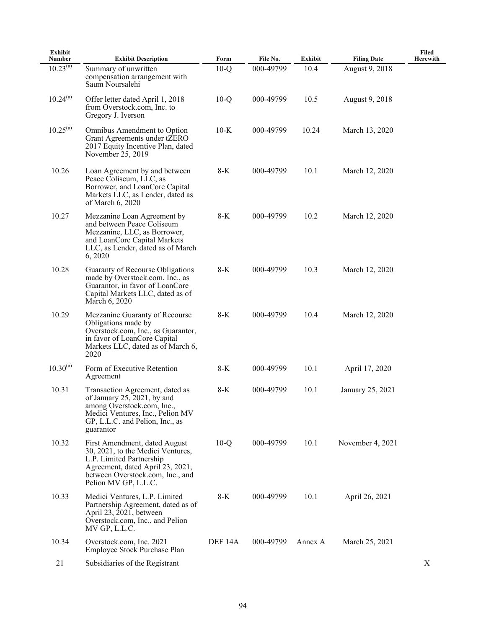| <b>Exhibit</b><br><b>Number</b> | <b>Exhibit Description</b>                                                                                                                                                                     | Form               | File No.  | Exhibit | <b>Filing Date</b> | <b>Filed</b><br>Herewith |
|---------------------------------|------------------------------------------------------------------------------------------------------------------------------------------------------------------------------------------------|--------------------|-----------|---------|--------------------|--------------------------|
| $10.23^{(a)}$                   | Summary of unwritten<br>compensation arrangement with<br>Saum Noursalehi                                                                                                                       | $10-Q$             | 000-49799 | 10.4    | August 9, 2018     |                          |
| $10.24^{(a)}$                   | Offer letter dated April 1, 2018<br>from Overstock.com, Inc. to<br>Gregory J. Iverson                                                                                                          | $10-Q$             | 000-49799 | 10.5    | August 9, 2018     |                          |
| $10.25^{(a)}$                   | Omnibus Amendment to Option<br>Grant Agreements under tZERO<br>2017 Equity Incentive Plan, dated<br>November 25, 2019                                                                          | $10-K$             | 000-49799 | 10.24   | March 13, 2020     |                          |
| 10.26                           | Loan Agreement by and between<br>Peace Coliseum, LLC, as<br>Borrower, and LoanCore Capital<br>Markets LLC, as Lender, dated as<br>of March 6, 2020                                             | $8-K$              | 000-49799 | 10.1    | March 12, 2020     |                          |
| 10.27                           | Mezzanine Loan Agreement by<br>and between Peace Coliseum<br>Mezzanine, LLC, as Borrower,<br>and LoanCore Capital Markets<br>LLC, as Lender, dated as of March<br>6, 2020                      | $8-K$              | 000-49799 | 10.2    | March 12, 2020     |                          |
| 10.28                           | Guaranty of Recourse Obligations<br>made by Overstock.com, Inc., as<br>Guarantor, in favor of LoanCore<br>Capital Markets LLC, dated as of<br>March 6, 2020                                    | $8-K$              | 000-49799 | 10.3    | March 12, 2020     |                          |
| 10.29                           | Mezzanine Guaranty of Recourse<br>Obligations made by<br>Overstock.com, Inc., as Guarantor,<br>in favor of LoanCore Capital<br>Markets LLC, dated as of March 6,<br>2020                       | $8-K$              | 000-49799 | 10.4    | March 12, 2020     |                          |
| $10.30^{(a)}$                   | Form of Executive Retention<br>Agreement                                                                                                                                                       | $8-K$              | 000-49799 | 10.1    | April 17, 2020     |                          |
| 10.31                           | Transaction Agreement, dated as<br>of January 25, 2021, by and<br>among Overstock.com, Inc.,<br>Medici Ventures, Inc., Pelion MV<br>GP, L.L.C. and Pelion, Inc., as<br>guarantor               | $8-K$              | 000-49799 | 10.1    | January 25, 2021   |                          |
| 10.32                           | First Amendment, dated August<br>30, 2021, to the Medici Ventures,<br>L.P. Limited Partnership<br>Agreement, dated April 23, 2021,<br>between Overstock.com, Inc., and<br>Pelion MV GP, L.L.C. | $10-Q$             | 000-49799 | 10.1    | November 4, 2021   |                          |
| 10.33                           | Medici Ventures, L.P. Limited<br>Partnership Agreement, dated as of<br>April 23, $2021$ , between<br>Overstock.com, Inc., and Pelion<br>MV GP, L.L.C.                                          | 8-K                | 000-49799 | 10.1    | April 26, 2021     |                          |
| 10.34                           | Overstock.com, Inc. 2021<br>Employee Stock Purchase Plan                                                                                                                                       | DEF <sub>14A</sub> | 000-49799 | Annex A | March 25, 2021     |                          |
| 21                              | Subsidiaries of the Registrant                                                                                                                                                                 |                    |           |         |                    | X                        |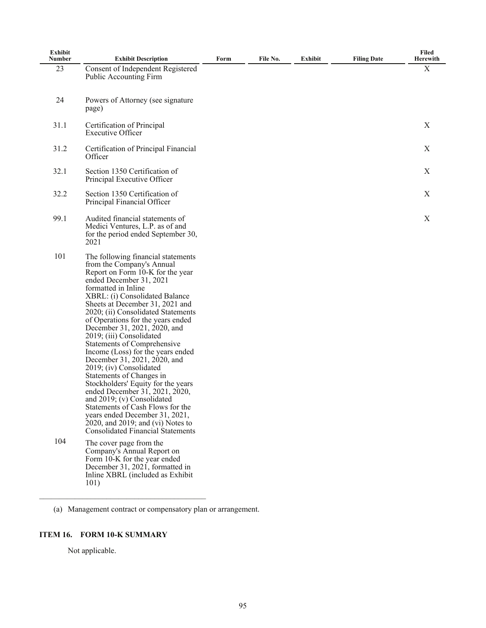| <b>Exhibit</b><br>Number | <b>Exhibit Description</b>                                                                                                                                                                                                                                                                                                                                                                                                                                                                                                                                                                                                                                                                                                                                                                         | Form | File No. | Exhibit | <b>Filing Date</b> | <b>Filed</b><br><b>Herewith</b> |
|--------------------------|----------------------------------------------------------------------------------------------------------------------------------------------------------------------------------------------------------------------------------------------------------------------------------------------------------------------------------------------------------------------------------------------------------------------------------------------------------------------------------------------------------------------------------------------------------------------------------------------------------------------------------------------------------------------------------------------------------------------------------------------------------------------------------------------------|------|----------|---------|--------------------|---------------------------------|
| 23                       | Consent of Independent Registered<br><b>Public Accounting Firm</b>                                                                                                                                                                                                                                                                                                                                                                                                                                                                                                                                                                                                                                                                                                                                 |      |          |         |                    | $\overline{X}$                  |
| 24                       | Powers of Attorney (see signature<br>page)                                                                                                                                                                                                                                                                                                                                                                                                                                                                                                                                                                                                                                                                                                                                                         |      |          |         |                    |                                 |
| 31.1                     | Certification of Principal<br><b>Executive Officer</b>                                                                                                                                                                                                                                                                                                                                                                                                                                                                                                                                                                                                                                                                                                                                             |      |          |         |                    | X                               |
| 31.2                     | Certification of Principal Financial<br>Officer                                                                                                                                                                                                                                                                                                                                                                                                                                                                                                                                                                                                                                                                                                                                                    |      |          |         |                    | X                               |
| 32.1                     | Section 1350 Certification of<br>Principal Executive Officer                                                                                                                                                                                                                                                                                                                                                                                                                                                                                                                                                                                                                                                                                                                                       |      |          |         |                    | $\boldsymbol{\mathrm{X}}$       |
| 32.2                     | Section 1350 Certification of<br>Principal Financial Officer                                                                                                                                                                                                                                                                                                                                                                                                                                                                                                                                                                                                                                                                                                                                       |      |          |         |                    | X                               |
| 99.1                     | Audited financial statements of<br>Medici Ventures, L.P. as of and<br>for the period ended September 30,<br>2021                                                                                                                                                                                                                                                                                                                                                                                                                                                                                                                                                                                                                                                                                   |      |          |         |                    | X                               |
| 101<br>104               | The following financial statements<br>from the Company's Annual<br>Report on Form 10-K for the year<br>ended December 31, 2021<br>formatted in Inline<br>XBRL: (i) Consolidated Balance<br>Sheets at December 31, 2021 and<br>2020; (ii) Consolidated Statements<br>of Operations for the years ended<br>December 31, 2021, 2020, and<br>2019; (iii) Consolidated<br>Statements of Comprehensive<br>Income (Loss) for the years ended<br>December 31, 2021, 2020, and<br>2019; (iv) Consolidated<br>Statements of Changes in<br>Stockholders' Equity for the years<br>ended December 31, 2021, 2020,<br>and $2019$ ; (v) Consolidated<br>Statements of Cash Flows for the<br>years ended December 31, 2021,<br>$2020$ , and $2019$ ; and (vi) Notes to<br><b>Consolidated Financial Statements</b> |      |          |         |                    |                                 |
|                          | The cover page from the<br>Company's Annual Report on<br>Form 10-K for the year ended<br>December 31, 2021, formatted in<br>Inline XBRL (included as Exhibit<br>101)                                                                                                                                                                                                                                                                                                                                                                                                                                                                                                                                                                                                                               |      |          |         |                    |                                 |

(a) Management contract or compensatory plan or arrangement.

# **ITEM 16. FORM 10-K SUMMARY**

Not applicable.